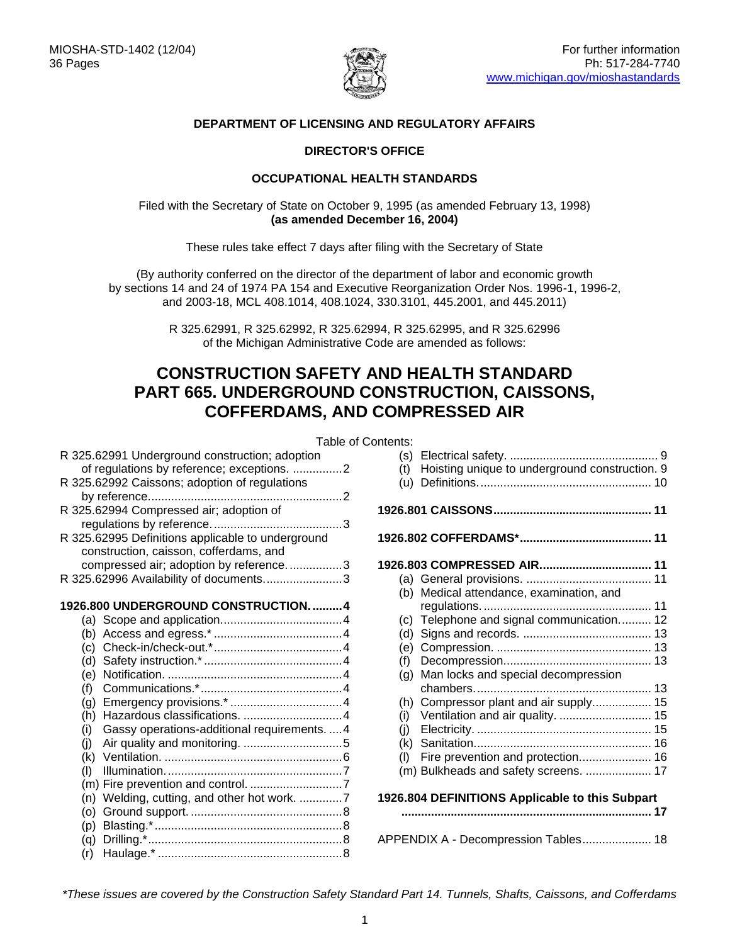

## **DEPARTMENT OF LICENSING AND REGULATORY AFFAIRS**

## **DIRECTOR'S OFFICE**

#### **OCCUPATIONAL HEALTH STANDARDS**

Filed with the Secretary of State on October 9, 1995 (as amended February 13, 1998) **(as amended December 16, 2004)**

These rules take effect 7 days after filing with the Secretary of State

(By authority conferred on the director of the department of labor and economic growth by sections 14 and 24 of 1974 PA 154 and Executive Reorganization Order Nos. 1996-1, 1996-2, and 2003-18, MCL 408.1014, 408.1024, 330.3101, 445.2001, and 445.2011)

> R 325.62991, R 325.62992, R 325.62994, R 325.62995, and R 325.62996 of the Michigan Administrative Code are amended as follows:

# **CONSTRUCTION SAFETY AND HEALTH STANDARD PART 665. UNDERGROUND CONSTRUCTION, CAISSONS, COFFERDAMS, AND COMPRESSED AIR**

| Table of Contents: |                  |  |  |  |
|--------------------|------------------|--|--|--|
|                    | . . <del>.</del> |  |  |  |

<span id="page-0-0"></span>

|            | R 325.62991 Underground construction; adoption<br>of regulations by reference; exceptions. 2 |  |
|------------|----------------------------------------------------------------------------------------------|--|
|            | R 325.62992 Caissons; adoption of regulations                                                |  |
|            | R 325.62994 Compressed air; adoption of                                                      |  |
|            |                                                                                              |  |
|            | R 325.62995 Definitions applicable to underground                                            |  |
|            | construction, caisson, cofferdams, and                                                       |  |
|            | compressed air; adoption by reference3                                                       |  |
|            | R 325.62996 Availability of documents3                                                       |  |
|            |                                                                                              |  |
|            | 1926.800 UNDERGROUND CONSTRUCTION.  4                                                        |  |
|            |                                                                                              |  |
| (b)        |                                                                                              |  |
| (c)        |                                                                                              |  |
| (d)<br>(e) |                                                                                              |  |
| (f)        |                                                                                              |  |
| (g)        |                                                                                              |  |
| (h)        |                                                                                              |  |
| (i)        | Gassy operations-additional requirements.  4                                                 |  |
| (j)        |                                                                                              |  |
| (k)        |                                                                                              |  |
| (1)        |                                                                                              |  |
| (m)        |                                                                                              |  |
| (n)        | Welding, cutting, and other hot work. 7                                                      |  |
| (0)        |                                                                                              |  |
| (p)        |                                                                                              |  |
| (q)        |                                                                                              |  |
| (r)        |                                                                                              |  |

| (t) | Hoisting unique to underground construction. 9  |  |
|-----|-------------------------------------------------|--|
|     |                                                 |  |
|     |                                                 |  |
|     |                                                 |  |
|     |                                                 |  |
| (b) | Medical attendance, examination, and            |  |
|     |                                                 |  |
| (c) | Telephone and signal communication 12           |  |
| (d) |                                                 |  |
| (e) |                                                 |  |
| (f) |                                                 |  |
| (q) | Man locks and special decompression             |  |
|     |                                                 |  |
| (h) | Compressor plant and air supply 15              |  |
| (i) | Ventilation and air quality.  15                |  |
| (i) |                                                 |  |
| (k) |                                                 |  |
| (1) | Fire prevention and protection 16               |  |
|     | (m) Bulkheads and safety screens.  17           |  |
|     | 1926.804 DEFINITIONS Applicable to this Subpart |  |
|     | APPENDIX A - Decompression Tables 18            |  |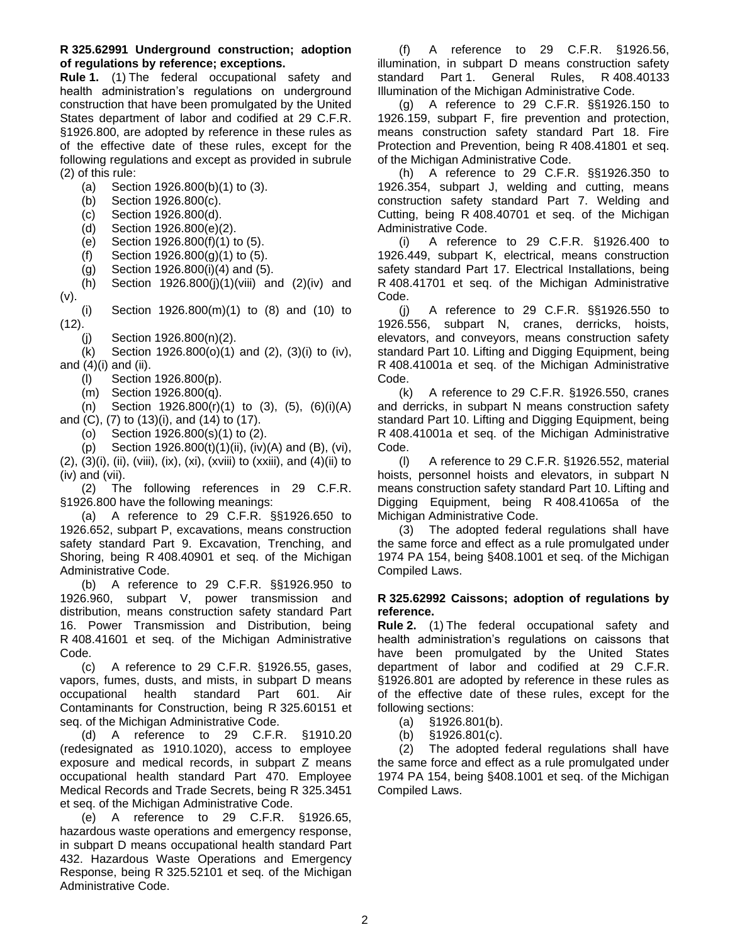#### **R 325.62991 Underground construction; adoption of regulations by reference; exceptions.**

**Rule 1.** (1) The federal occupational safety and health administration's regulations on underground construction that have been promulgated by the United States department of labor and codified at 29 C.F.R. §1926.800, are adopted by reference in these rules as of the effective date of these rules, except for the following regulations and except as provided in subrule (2) of this rule:

- (a) Section 1926.800(b)(1) to (3).
- (b) Section 1926.800(c).
- (c) Section 1926.800(d).
- (d) Section 1926.800(e)(2).
- (e) Section 1926.800(f)(1) to (5).
- (f) Section 1926.800(g)(1) to (5).
- (g) Section 1926.800(i)(4) and (5).

(h) Section 1926.800(j)(1)(viii) and (2)(iv) and (v).

(i) Section 1926.800(m)(1) to (8) and (10) to  $(12).$ 

(j) Section 1926.800(n)(2).

(k) Section 1926.800(o)(1) and (2), (3)(i) to (iv), and  $(4)(i)$  and  $(ii)$ .

- (l) Section 1926.800(p).
- (m) Section 1926.800(q).

(n) Section 1926.800(r)(1) to (3), (5), (6)(i)(A) and (C), (7) to (13)(i), and (14) to (17).

(o) Section 1926.800(s)(1) to (2).

(p) Section 1926.800(t)(1)(ii), (iv)(A) and (B), (vi), (2), (3)(i), (ii), (viii), (ix), (xi), (xviii) to (xxiii), and (4)(ii) to (iv) and (vii).

(2) The following references in 29 C.F.R. §1926.800 have the following meanings:

(a) A reference to 29 C.F.R. §§1926.650 to 1926.652, subpart P, excavations, means construction safety standard Part 9. Excavation, Trenching, and Shoring, being R 408.40901 et seq. of the Michigan Administrative Code.

(b) A reference to 29 C.F.R. §§1926.950 to 1926.960, subpart V, power transmission and distribution, means construction safety standard Part 16. Power Transmission and Distribution, being R 408.41601 et seq. of the Michigan Administrative Code.

(c) A reference to 29 C.F.R. §1926.55, gases, vapors, fumes, dusts, and mists, in subpart D means occupational health standard Part 601. Air Contaminants for Construction, being R 325.60151 et seq. of the Michigan Administrative Code.

(d) A reference to 29 C.F.R. §1910.20 (redesignated as 1910.1020), access to employee exposure and medical records, in subpart Z means occupational health standard Part 470. Employee Medical Records and Trade Secrets, being R 325.3451 et seq. of the Michigan Administrative Code.

(e) A reference to 29 C.F.R. §1926.65, hazardous waste operations and emergency response, in subpart D means occupational health standard Part 432. Hazardous Waste Operations and Emergency Response, being R 325.52101 et seq. of the Michigan Administrative Code.

(f) A reference to 29 C.F.R. §1926.56, illumination, in subpart D means construction safety standard Part 1. General Rules, R 408.40133 Illumination of the Michigan Administrative Code.

(g) A reference to 29 C.F.R. §§1926.150 to 1926.159, subpart F, fire prevention and protection, means construction safety standard Part 18. Fire Protection and Prevention, being R 408.41801 et seq. of the Michigan Administrative Code.

(h) A reference to 29 C.F.R. §§1926.350 to 1926.354, subpart J, welding and cutting, means construction safety standard Part 7. Welding and Cutting, being R 408.40701 et seq. of the Michigan Administrative Code.

(i) A reference to 29 C.F.R. §1926.400 to 1926.449, subpart K, electrical, means construction safety standard Part 17. Electrical Installations, being R 408.41701 et seq. of the Michigan Administrative Code.

(j) A reference to 29 C.F.R. §§1926.550 to 1926.556, subpart N, cranes, derricks, hoists, elevators, and conveyors, means construction safety standard Part 10. Lifting and Digging Equipment, being R 408.41001a et seq. of the Michigan Administrative Code.

(k) A reference to 29 C.F.R. §1926.550, cranes and derricks, in subpart N means construction safety standard Part 10. Lifting and Digging Equipment, being R 408.41001a et seq. of the Michigan Administrative Code.

(l) A reference to 29 C.F.R. §1926.552, material hoists, personnel hoists and elevators, in subpart N means construction safety standard Part 10. Lifting and Digging Equipment, being R 408.41065a of the Michigan Administrative Code.

(3) The adopted federal regulations shall have the same force and effect as a rule promulgated under 1974 PA 154, being §408.1001 et seq. of the Michigan Compiled Laws.

#### <span id="page-1-0"></span>**R 325.62992 Caissons; adoption of regulations by reference.**

**Rule 2.** (1) The federal occupational safety and health administration's regulations on caissons that have been promulgated by the United States department of labor and codified at 29 C.F.R. §1926.801 are adopted by reference in these rules as of the effective date of these rules, except for the following sections:

- (a) §1926.801(b).
- (b) §1926.801(c).

<span id="page-1-1"></span>(2) The adopted federal regulations shall have the same force and effect as a rule promulgated under 1974 PA 154, being §408.1001 et seq. of the Michigan Compiled Laws.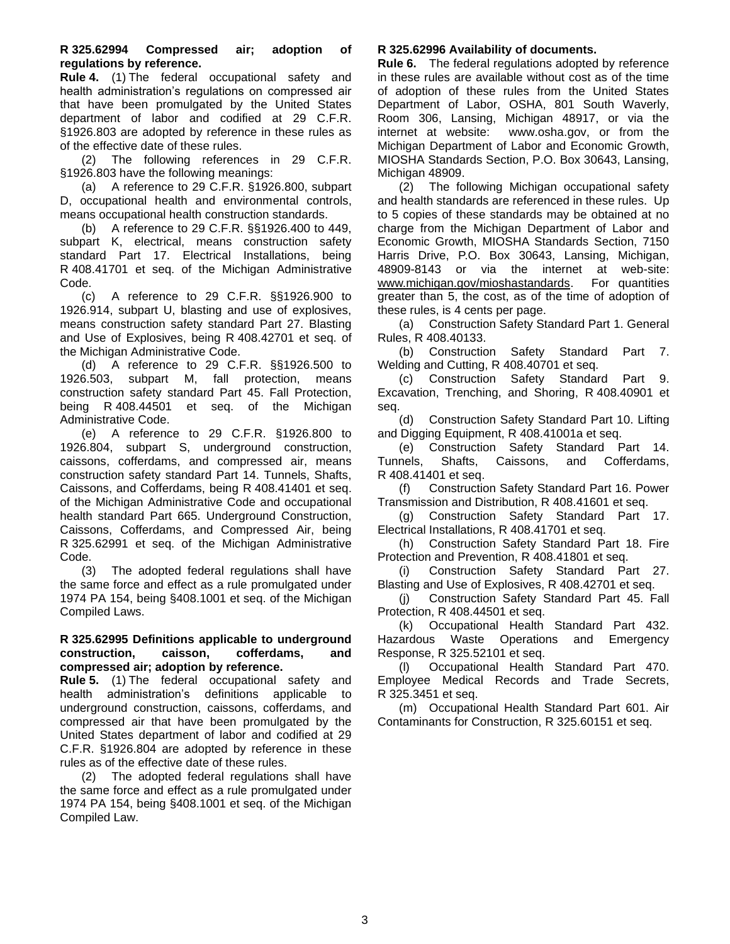#### **R 325.62994 Compressed air; adoption of regulations by reference.**

**Rule 4.** (1) The federal occupational safety and health administration's regulations on compressed air that have been promulgated by the United States department of labor and codified at 29 C.F.R. §1926.803 are adopted by reference in these rules as of the effective date of these rules.

(2) The following references in 29 C.F.R. §1926.803 have the following meanings:

(a) A reference to 29 C.F.R. §1926.800, subpart D, occupational health and environmental controls, means occupational health construction standards.

(b) A reference to 29 C.F.R. §§1926.400 to 449, subpart K, electrical, means construction safety standard Part 17. Electrical Installations, being R 408.41701 et seq. of the Michigan Administrative Code.

(c) A reference to 29 C.F.R. §§1926.900 to 1926.914, subpart U, blasting and use of explosives, means construction safety standard Part 27. Blasting and Use of Explosives, being R 408.42701 et seq. of the Michigan Administrative Code.

(d) A reference to 29 C.F.R. §§1926.500 to 1926.503, subpart M, fall protection, means construction safety standard Part 45. Fall Protection, being R 408.44501 et seq. of the Michigan Administrative Code.

(e) A reference to 29 C.F.R. §1926.800 to 1926.804, subpart S, underground construction, caissons, cofferdams, and compressed air, means construction safety standard Part 14. Tunnels, Shafts, Caissons, and Cofferdams, being R 408.41401 et seq. of the Michigan Administrative Code and occupational health standard Part 665. Underground Construction, Caissons, Cofferdams, and Compressed Air, being R 325.62991 et seq. of the Michigan Administrative Code.

(3) The adopted federal regulations shall have the same force and effect as a rule promulgated under 1974 PA 154, being §408.1001 et seq. of the Michigan Compiled Laws.

#### <span id="page-2-0"></span>**R 325.62995 Definitions applicable to underground construction, caisson, cofferdams, and compressed air; adoption by reference.**

**Rule 5.** (1) The federal occupational safety and health administration's definitions applicable to underground construction, caissons, cofferdams, and compressed air that have been promulgated by the United States department of labor and codified at 29 C.F.R. §1926.804 are adopted by reference in these rules as of the effective date of these rules.

<span id="page-2-1"></span>(2) The adopted federal regulations shall have the same force and effect as a rule promulgated under 1974 PA 154, being §408.1001 et seq. of the Michigan Compiled Law.

## **R 325.62996 Availability of documents.**

**Rule 6.** The federal regulations adopted by reference in these rules are available without cost as of the time of adoption of these rules from the United States Department of Labor, OSHA, 801 South Waverly, Room 306, Lansing, Michigan 48917, or via the internet at website: www.osha.gov, or from the Michigan Department of Labor and Economic Growth, MIOSHA Standards Section, P.O. Box 30643, Lansing, Michigan 48909.

(2) The following Michigan occupational safety and health standards are referenced in these rules. Up to 5 copies of these standards may be obtained at no charge from the Michigan Department of Labor and Economic Growth, MIOSHA Standards Section, 7150 Harris Drive, P.O. Box 30643, Lansing, Michigan, 48909-8143 or via the internet at web-site: [www.michigan.gov/mioshastandards.](http://www.michigan.gov/MIOSHASTANDARDS) greater than 5, the cost, as of the time of adoption of these rules, is 4 cents per page.

(a) Construction Safety Standard Part 1. General Rules, R 408.40133.

(b) Construction Safety Standard Part 7. Welding and Cutting, R 408.40701 et seq.

(c) Construction Safety Standard Part 9. Excavation, Trenching, and Shoring, R 408.40901 et seq.

(d) Construction Safety Standard Part 10. Lifting and Digging Equipment, R 408.41001a et seq.

(e) Construction Safety Standard Part 14. Tunnels, Shafts, Caissons, and Cofferdams, R 408.41401 et seq.

(f) Construction Safety Standard Part 16. Power Transmission and Distribution, R 408.41601 et seq.

(g) Construction Safety Standard Part 17. Electrical Installations, R 408.41701 et seq.

(h) Construction Safety Standard Part 18. Fire Protection and Prevention, R 408.41801 et seq.

(i) Construction Safety Standard Part 27. Blasting and Use of Explosives, R 408.42701 et seq.

(j) Construction Safety Standard Part 45. Fall Protection, R 408.44501 et seq.

(k) Occupational Health Standard Part 432. Hazardous Waste Operations and Emergency Response, R 325.52101 et seq.

(l) Occupational Health Standard Part 470. Employee Medical Records and Trade Secrets, R 325.3451 et seq.

(m) Occupational Health Standard Part 601. Air Contaminants for Construction, R 325.60151 et seq.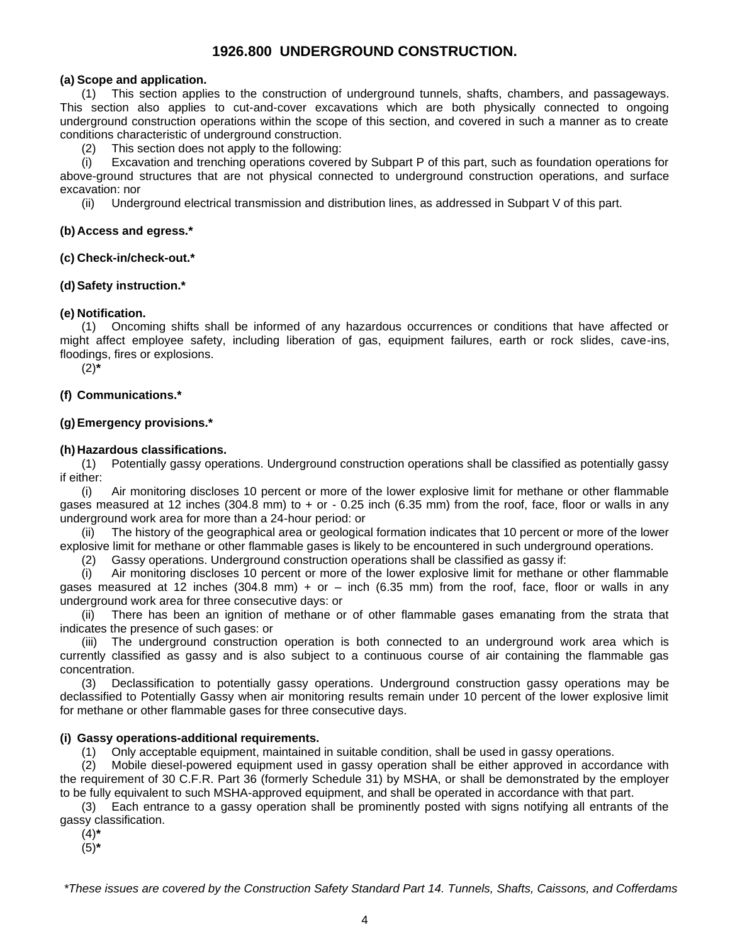## **1926.800 UNDERGROUND CONSTRUCTION.**

#### <span id="page-3-1"></span><span id="page-3-0"></span>**(a) Scope and application.**

(1) This section applies to the construction of underground tunnels, shafts, chambers, and passageways. This section also applies to cut-and-cover excavations which are both physically connected to ongoing underground construction operations within the scope of this section, and covered in such a manner as to create conditions characteristic of underground construction.

(2) This section does not apply to the following:

(i) Excavation and trenching operations covered by Subpart P of this part, such as foundation operations for above-ground structures that are not physical connected to underground construction operations, and surface excavation: nor

(ii) Underground electrical transmission and distribution lines, as addressed in Subpart V of this part.

#### <span id="page-3-2"></span>**(b) Access and egress.\***

#### <span id="page-3-3"></span>**(c) Check-in/check-out.\***

#### <span id="page-3-4"></span>**(d)Safety instruction.\***

#### <span id="page-3-5"></span>**(e) Notification.**

(1) Oncoming shifts shall be informed of any hazardous occurrences or conditions that have affected or might affect employee safety, including liberation of gas, equipment failures, earth or rock slides, cave-ins, floodings, fires or explosions.

(2)**\***

#### <span id="page-3-6"></span>**(f) Communications.\***

#### <span id="page-3-7"></span>**(g)Emergency provisions.\***

#### <span id="page-3-8"></span>**(h) Hazardous classifications.**

(1) Potentially gassy operations. Underground construction operations shall be classified as potentially gassy if either:

(i) Air monitoring discloses 10 percent or more of the lower explosive limit for methane or other flammable gases measured at 12 inches (304.8 mm) to  $+$  or  $-$  0.25 inch (6.35 mm) from the roof, face, floor or walls in any underground work area for more than a 24-hour period: or

(ii) The history of the geographical area or geological formation indicates that 10 percent or more of the lower explosive limit for methane or other flammable gases is likely to be encountered in such underground operations.

(2) Gassy operations. Underground construction operations shall be classified as gassy if:

(i) Air monitoring discloses 10 percent or more of the lower explosive limit for methane or other flammable gases measured at 12 inches (304.8 mm) + or – inch (6.35 mm) from the roof, face, floor or walls in any underground work area for three consecutive days: or

(ii) There has been an ignition of methane or of other flammable gases emanating from the strata that indicates the presence of such gases: or

(iii) The underground construction operation is both connected to an underground work area which is currently classified as gassy and is also subject to a continuous course of air containing the flammable gas concentration.

(3) Declassification to potentially gassy operations. Underground construction gassy operations may be declassified to Potentially Gassy when air monitoring results remain under 10 percent of the lower explosive limit for methane or other flammable gases for three consecutive days.

#### <span id="page-3-9"></span>**(i) Gassy operations-additional requirements.**

(1) Only acceptable equipment, maintained in suitable condition, shall be used in gassy operations.

(2) Mobile diesel-powered equipment used in gassy operation shall be either approved in accordance with the requirement of 30 C.F.R. Part 36 (formerly Schedule 31) by MSHA, or shall be demonstrated by the employer to be fully equivalent to such MSHA-approved equipment, and shall be operated in accordance with that part.

(3) Each entrance to a gassy operation shall be prominently posted with signs notifying all entrants of the gassy classification.

(4)**\***

(5)**\***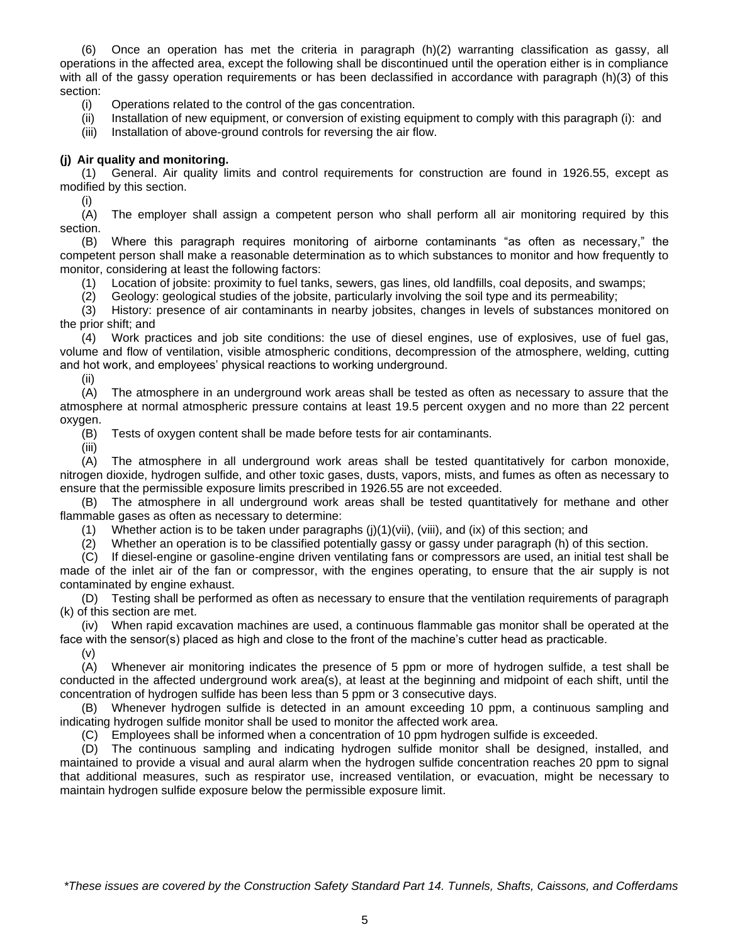(6) Once an operation has met the criteria in paragraph (h)(2) warranting classification as gassy, all operations in the affected area, except the following shall be discontinued until the operation either is in compliance with all of the gassy operation requirements or has been declassified in accordance with paragraph (h)(3) of this section:

(i) Operations related to the control of the gas concentration.

(ii) Installation of new equipment, or conversion of existing equipment to comply with this paragraph (i): and

(iii) Installation of above-ground controls for reversing the air flow.

#### <span id="page-4-0"></span>**(j) Air quality and monitoring.**

(1) General. Air quality limits and control requirements for construction are found in 1926.55, except as modified by this section.

(i)

(A) The employer shall assign a competent person who shall perform all air monitoring required by this section.

(B) Where this paragraph requires monitoring of airborne contaminants "as often as necessary," the competent person shall make a reasonable determination as to which substances to monitor and how frequently to monitor, considering at least the following factors:

(1) Location of jobsite: proximity to fuel tanks, sewers, gas lines, old landfills, coal deposits, and swamps;

(2) Geology: geological studies of the jobsite, particularly involving the soil type and its permeability;

(3) History: presence of air contaminants in nearby jobsites, changes in levels of substances monitored on the prior shift; and

(4) Work practices and job site conditions: the use of diesel engines, use of explosives, use of fuel gas, volume and flow of ventilation, visible atmospheric conditions, decompression of the atmosphere, welding, cutting and hot work, and employees' physical reactions to working underground.

(ii)

(A) The atmosphere in an underground work areas shall be tested as often as necessary to assure that the atmosphere at normal atmospheric pressure contains at least 19.5 percent oxygen and no more than 22 percent oxygen.

(B) Tests of oxygen content shall be made before tests for air contaminants.

(iii)

(A) The atmosphere in all underground work areas shall be tested quantitatively for carbon monoxide, nitrogen dioxide, hydrogen sulfide, and other toxic gases, dusts, vapors, mists, and fumes as often as necessary to ensure that the permissible exposure limits prescribed in 1926.55 are not exceeded.

(B) The atmosphere in all underground work areas shall be tested quantitatively for methane and other flammable gases as often as necessary to determine:

(1) Whether action is to be taken under paragraphs  $(j)(1)(vii)$ ,  $(viii)$ , and  $(ix)$  of this section; and

(2) Whether an operation is to be classified potentially gassy or gassy under paragraph (h) of this section.

(C) If diesel-engine or gasoline-engine driven ventilating fans or compressors are used, an initial test shall be made of the inlet air of the fan or compressor, with the engines operating, to ensure that the air supply is not contaminated by engine exhaust.

(D) Testing shall be performed as often as necessary to ensure that the ventilation requirements of paragraph (k) of this section are met.

(iv) When rapid excavation machines are used, a continuous flammable gas monitor shall be operated at the face with the sensor(s) placed as high and close to the front of the machine's cutter head as practicable.

(v)

(A) Whenever air monitoring indicates the presence of 5 ppm or more of hydrogen sulfide, a test shall be conducted in the affected underground work area(s), at least at the beginning and midpoint of each shift, until the concentration of hydrogen sulfide has been less than 5 ppm or 3 consecutive days.

(B) Whenever hydrogen sulfide is detected in an amount exceeding 10 ppm, a continuous sampling and indicating hydrogen sulfide monitor shall be used to monitor the affected work area.

(C) Employees shall be informed when a concentration of 10 ppm hydrogen sulfide is exceeded.

(D) The continuous sampling and indicating hydrogen sulfide monitor shall be designed, installed, and maintained to provide a visual and aural alarm when the hydrogen sulfide concentration reaches 20 ppm to signal that additional measures, such as respirator use, increased ventilation, or evacuation, might be necessary to maintain hydrogen sulfide exposure below the permissible exposure limit.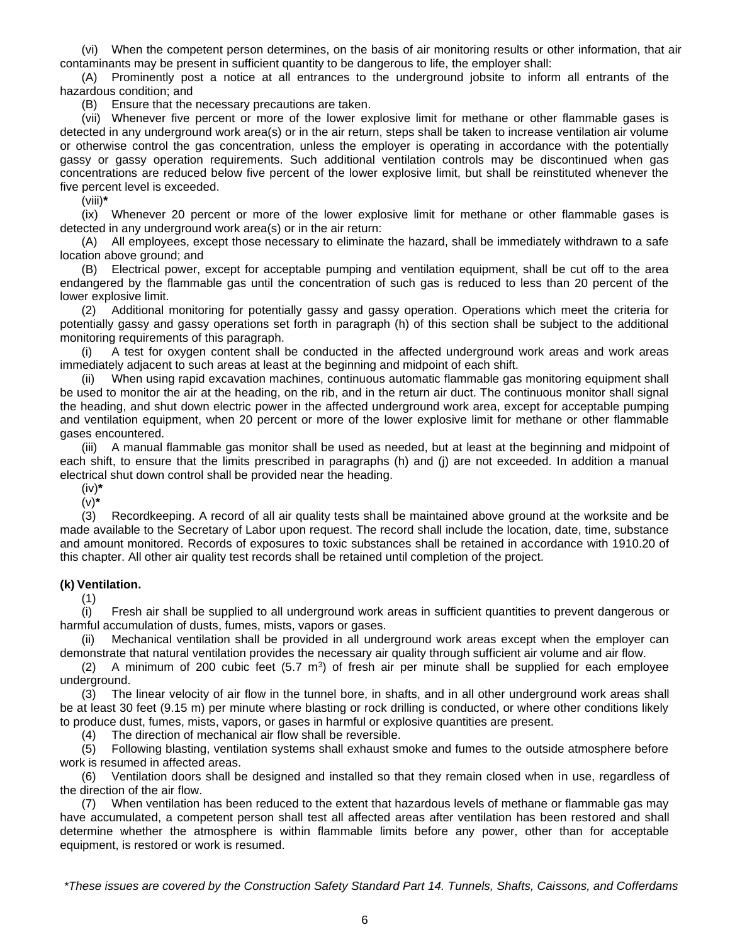(vi) When the competent person determines, on the basis of air monitoring results or other information, that air contaminants may be present in sufficient quantity to be dangerous to life, the employer shall:

(A) Prominently post a notice at all entrances to the underground jobsite to inform all entrants of the hazardous condition; and

(B) Ensure that the necessary precautions are taken.

(vii) Whenever five percent or more of the lower explosive limit for methane or other flammable gases is detected in any underground work area(s) or in the air return, steps shall be taken to increase ventilation air volume or otherwise control the gas concentration, unless the employer is operating in accordance with the potentially gassy or gassy operation requirements. Such additional ventilation controls may be discontinued when gas concentrations are reduced below five percent of the lower explosive limit, but shall be reinstituted whenever the five percent level is exceeded.

(viii)**\***

(ix) Whenever 20 percent or more of the lower explosive limit for methane or other flammable gases is detected in any underground work area(s) or in the air return:

(A) All employees, except those necessary to eliminate the hazard, shall be immediately withdrawn to a safe location above ground; and

(B) Electrical power, except for acceptable pumping and ventilation equipment, shall be cut off to the area endangered by the flammable gas until the concentration of such gas is reduced to less than 20 percent of the lower explosive limit.

(2) Additional monitoring for potentially gassy and gassy operation. Operations which meet the criteria for potentially gassy and gassy operations set forth in paragraph (h) of this section shall be subject to the additional monitoring requirements of this paragraph.

A test for oxygen content shall be conducted in the affected underground work areas and work areas immediately adjacent to such areas at least at the beginning and midpoint of each shift.

(ii) When using rapid excavation machines, continuous automatic flammable gas monitoring equipment shall be used to monitor the air at the heading, on the rib, and in the return air duct. The continuous monitor shall signal the heading, and shut down electric power in the affected underground work area, except for acceptable pumping and ventilation equipment, when 20 percent or more of the lower explosive limit for methane or other flammable gases encountered.

(iii) A manual flammable gas monitor shall be used as needed, but at least at the beginning and midpoint of each shift, to ensure that the limits prescribed in paragraphs (h) and (j) are not exceeded. In addition a manual electrical shut down control shall be provided near the heading.

(iv)**\*** (v)**\***

(3) Recordkeeping. A record of all air quality tests shall be maintained above ground at the worksite and be made available to the Secretary of Labor upon request. The record shall include the location, date, time, substance and amount monitored. Records of exposures to toxic substances shall be retained in accordance with 1910.20 of this chapter. All other air quality test records shall be retained until completion of the project.

## <span id="page-5-0"></span>**(k) Ventilation.**

(1)

(i) Fresh air shall be supplied to all underground work areas in sufficient quantities to prevent dangerous or harmful accumulation of dusts, fumes, mists, vapors or gases.

(ii) Mechanical ventilation shall be provided in all underground work areas except when the employer can demonstrate that natural ventilation provides the necessary air quality through sufficient air volume and air flow.

(2) A minimum of 200 cubic feet  $(5.7 \text{ m}^3)$  of fresh air per minute shall be supplied for each employee underground.

(3) The linear velocity of air flow in the tunnel bore, in shafts, and in all other underground work areas shall be at least 30 feet (9.15 m) per minute where blasting or rock drilling is conducted, or where other conditions likely to produce dust, fumes, mists, vapors, or gases in harmful or explosive quantities are present.

(4) The direction of mechanical air flow shall be reversible.

(5) Following blasting, ventilation systems shall exhaust smoke and fumes to the outside atmosphere before work is resumed in affected areas.

(6) Ventilation doors shall be designed and installed so that they remain closed when in use, regardless of the direction of the air flow.

(7) When ventilation has been reduced to the extent that hazardous levels of methane or flammable gas may have accumulated, a competent person shall test all affected areas after ventilation has been restored and shall determine whether the atmosphere is within flammable limits before any power, other than for acceptable equipment, is restored or work is resumed.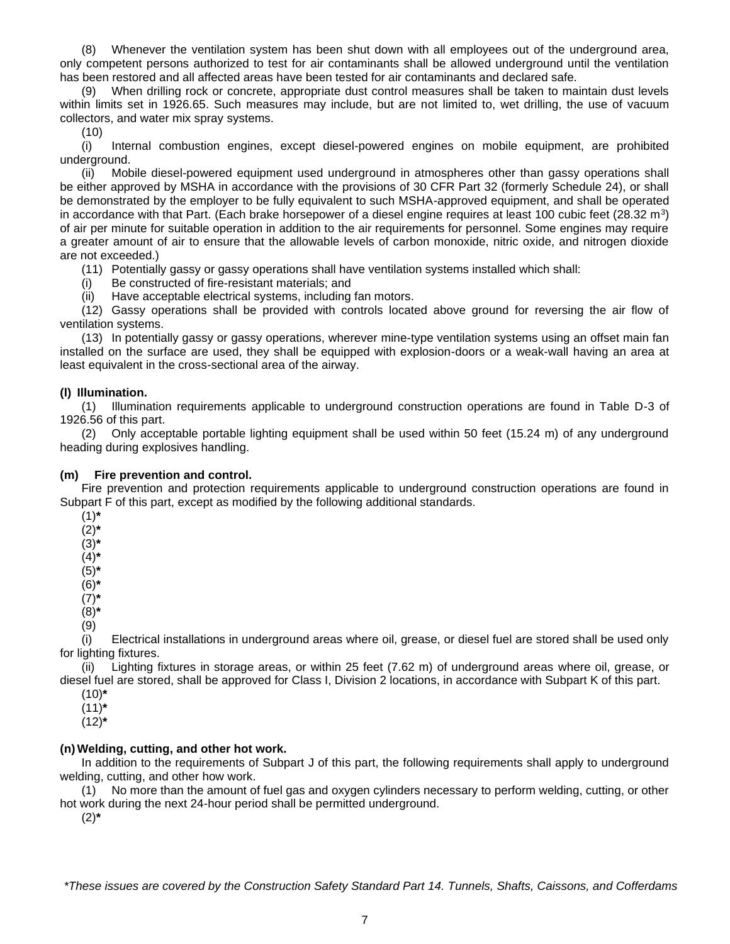(8) Whenever the ventilation system has been shut down with all employees out of the underground area, only competent persons authorized to test for air contaminants shall be allowed underground until the ventilation has been restored and all affected areas have been tested for air contaminants and declared safe.

(9) When drilling rock or concrete, appropriate dust control measures shall be taken to maintain dust levels within limits set in 1926.65. Such measures may include, but are not limited to, wet drilling, the use of vacuum collectors, and water mix spray systems.

(10)

(i) Internal combustion engines, except diesel-powered engines on mobile equipment, are prohibited underground.

(ii) Mobile diesel-powered equipment used underground in atmospheres other than gassy operations shall be either approved by MSHA in accordance with the provisions of 30 CFR Part 32 (formerly Schedule 24), or shall be demonstrated by the employer to be fully equivalent to such MSHA-approved equipment, and shall be operated in accordance with that Part. (Each brake horsepower of a diesel engine requires at least 100 cubic feet (28.32 m<sup>3</sup>) of air per minute for suitable operation in addition to the air requirements for personnel. Some engines may require a greater amount of air to ensure that the allowable levels of carbon monoxide, nitric oxide, and nitrogen dioxide are not exceeded.)

(11) Potentially gassy or gassy operations shall have ventilation systems installed which shall:

(i) Be constructed of fire-resistant materials; and

(ii) Have acceptable electrical systems, including fan motors.

(12) Gassy operations shall be provided with controls located above ground for reversing the air flow of ventilation systems.

(13) In potentially gassy or gassy operations, wherever mine-type ventilation systems using an offset main fan installed on the surface are used, they shall be equipped with explosion-doors or a weak-wall having an area at least equivalent in the cross-sectional area of the airway.

## <span id="page-6-0"></span>**(l) Illumination.**

(1) Illumination requirements applicable to underground construction operations are found in Table D-3 of 1926.56 of this part.

(2) Only acceptable portable lighting equipment shall be used within 50 feet (15.24 m) of any underground heading during explosives handling.

#### <span id="page-6-1"></span>**(m) Fire prevention and control.**

Fire prevention and protection requirements applicable to underground construction operations are found in Subpart F of this part, except as modified by the following additional standards.

- (1)**\***
- (2)**\***
- (3)**\***
- (4)**\***
- (5)**\***
- (6)**\***

(7)**\***

(8)**\***

(9)

(i) Electrical installations in underground areas where oil, grease, or diesel fuel are stored shall be used only for lighting fixtures.

(ii) Lighting fixtures in storage areas, or within 25 feet (7.62 m) of underground areas where oil, grease, or diesel fuel are stored, shall be approved for Class I, Division 2 locations, in accordance with Subpart K of this part.

(10)**\***

(11)**\***

(12)**\***

## <span id="page-6-2"></span>**(n) Welding, cutting, and other hot work.**

In addition to the requirements of Subpart J of this part, the following requirements shall apply to underground welding, cutting, and other how work.

(1) No more than the amount of fuel gas and oxygen cylinders necessary to perform welding, cutting, or other hot work during the next 24-hour period shall be permitted underground.

(2)**\***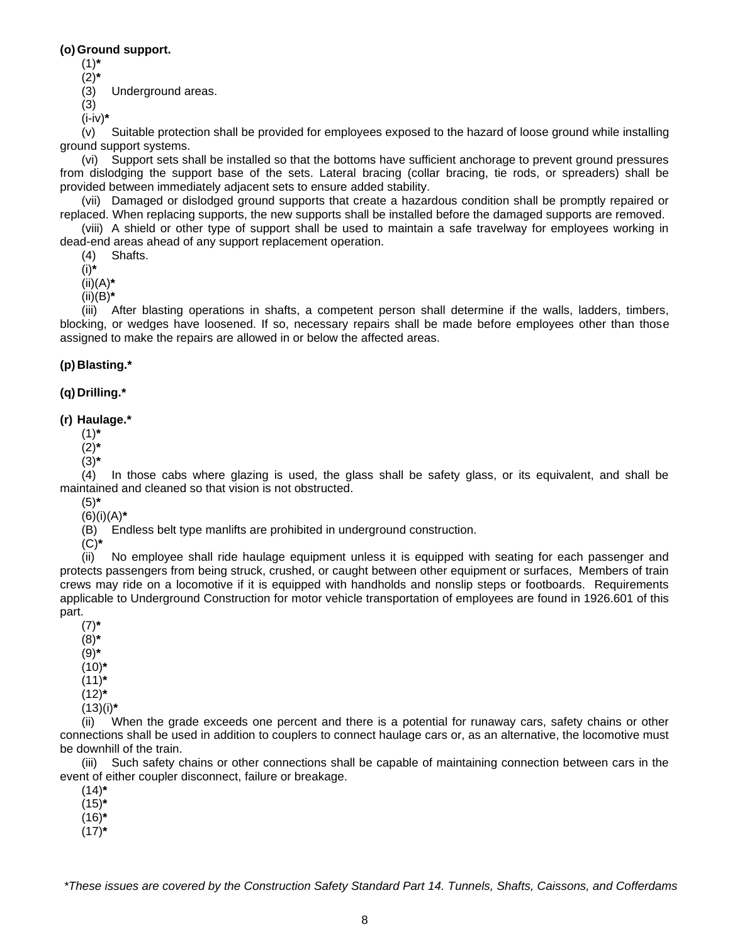#### <span id="page-7-0"></span>**(o) Ground support.**

(1)**\***

(2)**\***

(3) Underground areas.

(3)

(i-iv)**\***

(v) Suitable protection shall be provided for employees exposed to the hazard of loose ground while installing ground support systems.

(vi) Support sets shall be installed so that the bottoms have sufficient anchorage to prevent ground pressures from dislodging the support base of the sets. Lateral bracing (collar bracing, tie rods, or spreaders) shall be provided between immediately adjacent sets to ensure added stability.

(vii) Damaged or dislodged ground supports that create a hazardous condition shall be promptly repaired or replaced. When replacing supports, the new supports shall be installed before the damaged supports are removed.

(viii) A shield or other type of support shall be used to maintain a safe travelway for employees working in dead-end areas ahead of any support replacement operation.

(4) Shafts.

(i)**\***

(ii)(A)**\***

(ii)(B)**\***

(iii) After blasting operations in shafts, a competent person shall determine if the walls, ladders, timbers, blocking, or wedges have loosened. If so, necessary repairs shall be made before employees other than those assigned to make the repairs are allowed in or below the affected areas.

<span id="page-7-1"></span>**(p) Blasting.\***

## <span id="page-7-2"></span>**(q) Drilling.\***

## <span id="page-7-3"></span>**(r) Haulage.\***

(1)**\***

(2)**\***

(3)**\***

(4) In those cabs where glazing is used, the glass shall be safety glass, or its equivalent, and shall be maintained and cleaned so that vision is not obstructed.

(5)**\***

(6)(i)(A)**\***

(B) Endless belt type manlifts are prohibited in underground construction.

(C)**\***

(ii) No employee shall ride haulage equipment unless it is equipped with seating for each passenger and protects passengers from being struck, crushed, or caught between other equipment or surfaces, Members of train crews may ride on a locomotive if it is equipped with handholds and nonslip steps or footboards. Requirements applicable to Underground Construction for motor vehicle transportation of employees are found in 1926.601 of this part.

(7)**\*** (8)**\*** (9)**\*** (10)**\*** (11)**\*** (12)**\***

(13)(i)**\***

(ii) When the grade exceeds one percent and there is a potential for runaway cars, safety chains or other connections shall be used in addition to couplers to connect haulage cars or, as an alternative, the locomotive must be downhill of the train.

(iii) Such safety chains or other connections shall be capable of maintaining connection between cars in the event of either coupler disconnect, failure or breakage.

(14)**\***

(15)**\***

(16)**\***

(17)**\***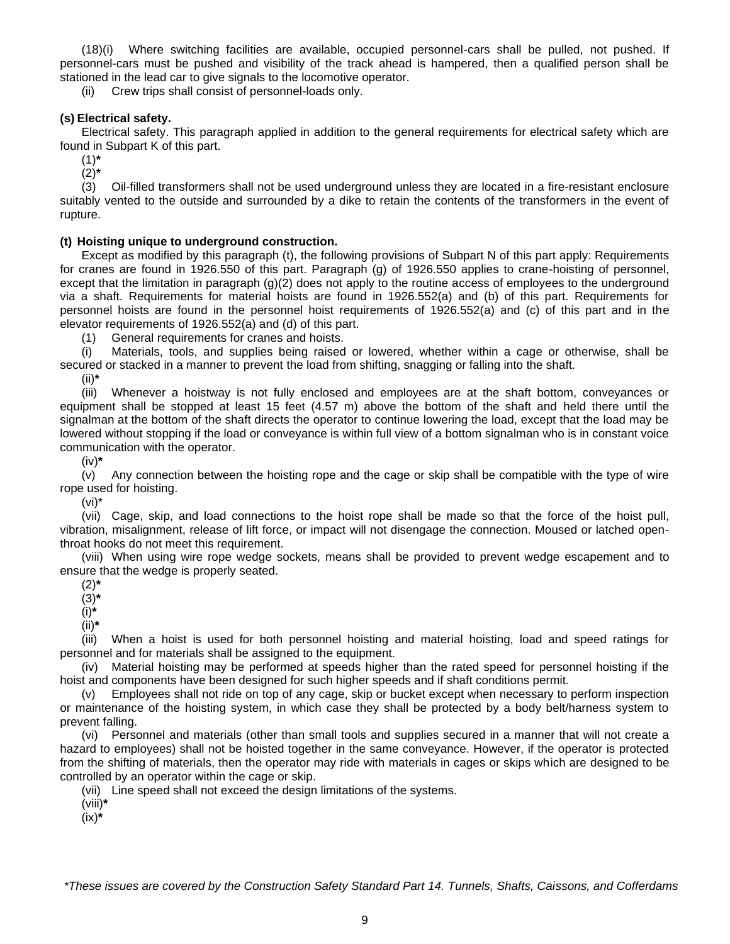(18)(i) Where switching facilities are available, occupied personnel-cars shall be pulled, not pushed. If personnel-cars must be pushed and visibility of the track ahead is hampered, then a qualified person shall be stationed in the lead car to give signals to the locomotive operator.

(ii) Crew trips shall consist of personnel-loads only.

## <span id="page-8-0"></span>**(s) Electrical safety.**

Electrical safety. This paragraph applied in addition to the general requirements for electrical safety which are found in Subpart K of this part.

(1)**\***

(2)**\***

(3) Oil-filled transformers shall not be used underground unless they are located in a fire-resistant enclosure suitably vented to the outside and surrounded by a dike to retain the contents of the transformers in the event of rupture.

## <span id="page-8-1"></span>**(t) Hoisting unique to underground construction.**

Except as modified by this paragraph (t), the following provisions of Subpart N of this part apply: Requirements for cranes are found in 1926.550 of this part. Paragraph (g) of 1926.550 applies to crane-hoisting of personnel, except that the limitation in paragraph (g)(2) does not apply to the routine access of employees to the underground via a shaft. Requirements for material hoists are found in 1926.552(a) and (b) of this part. Requirements for personnel hoists are found in the personnel hoist requirements of 1926.552(a) and (c) of this part and in the elevator requirements of 1926.552(a) and (d) of this part.

(1) General requirements for cranes and hoists.

(i) Materials, tools, and supplies being raised or lowered, whether within a cage or otherwise, shall be secured or stacked in a manner to prevent the load from shifting, snagging or falling into the shaft.

(ii)**\***

(iii) Whenever a hoistway is not fully enclosed and employees are at the shaft bottom, conveyances or equipment shall be stopped at least 15 feet (4.57 m) above the bottom of the shaft and held there until the signalman at the bottom of the shaft directs the operator to continue lowering the load, except that the load may be lowered without stopping if the load or conveyance is within full view of a bottom signalman who is in constant voice communication with the operator.

(iv)**\***

(v) Any connection between the hoisting rope and the cage or skip shall be compatible with the type of wire rope used for hoisting.

 $(vi)^*$ 

(vii) Cage, skip, and load connections to the hoist rope shall be made so that the force of the hoist pull, vibration, misalignment, release of lift force, or impact will not disengage the connection. Moused or latched openthroat hooks do not meet this requirement.

(viii) When using wire rope wedge sockets, means shall be provided to prevent wedge escapement and to ensure that the wedge is properly seated.

(2)**\***

(3)**\***

(i)**\***

(ii)**\***

(iii) When a hoist is used for both personnel hoisting and material hoisting, load and speed ratings for personnel and for materials shall be assigned to the equipment.

(iv) Material hoisting may be performed at speeds higher than the rated speed for personnel hoisting if the hoist and components have been designed for such higher speeds and if shaft conditions permit.

(v) Employees shall not ride on top of any cage, skip or bucket except when necessary to perform inspection or maintenance of the hoisting system, in which case they shall be protected by a body belt/harness system to prevent falling.

(vi) Personnel and materials (other than small tools and supplies secured in a manner that will not create a hazard to employees) shall not be hoisted together in the same conveyance. However, if the operator is protected from the shifting of materials, then the operator may ride with materials in cages or skips which are designed to be controlled by an operator within the cage or skip.

(vii) Line speed shall not exceed the design limitations of the systems.

(viii)**\***

(ix)**\***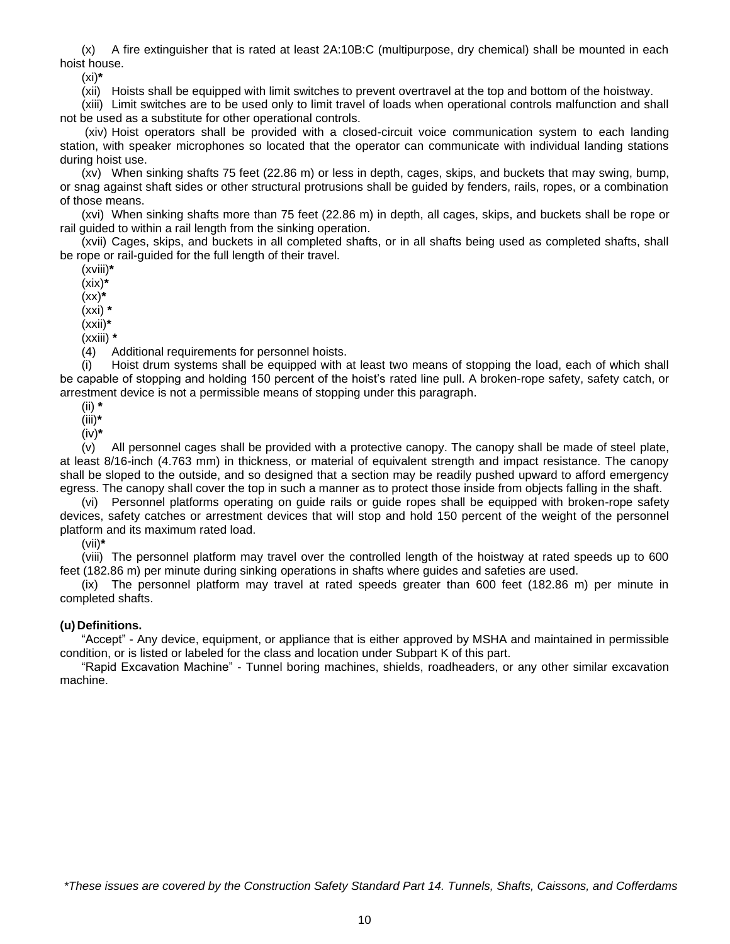(x) A fire extinguisher that is rated at least 2A:10B:C (multipurpose, dry chemical) shall be mounted in each hoist house.

(xi)**\***

(xii) Hoists shall be equipped with limit switches to prevent overtravel at the top and bottom of the hoistway.

(xiii) Limit switches are to be used only to limit travel of loads when operational controls malfunction and shall not be used as a substitute for other operational controls.

(xiv) Hoist operators shall be provided with a closed-circuit voice communication system to each landing station, with speaker microphones so located that the operator can communicate with individual landing stations during hoist use.

(xv) When sinking shafts 75 feet (22.86 m) or less in depth, cages, skips, and buckets that may swing, bump, or snag against shaft sides or other structural protrusions shall be guided by fenders, rails, ropes, or a combination of those means.

(xvi) When sinking shafts more than 75 feet (22.86 m) in depth, all cages, skips, and buckets shall be rope or rail guided to within a rail length from the sinking operation.

(xvii) Cages, skips, and buckets in all completed shafts, or in all shafts being used as completed shafts, shall be rope or rail-guided for the full length of their travel.

(xviii)**\***

(xix)**\***

(xx)**\***

(xxi) **\***

(xxii)**\***

(xxiii) **\***

(4) Additional requirements for personnel hoists.

(i) Hoist drum systems shall be equipped with at least two means of stopping the load, each of which shall be capable of stopping and holding 150 percent of the hoist's rated line pull. A broken-rope safety, safety catch, or arrestment device is not a permissible means of stopping under this paragraph.

(ii) **\***

(iii)**\***

(iv)**\***

(v) All personnel cages shall be provided with a protective canopy. The canopy shall be made of steel plate, at least 8/16-inch (4.763 mm) in thickness, or material of equivalent strength and impact resistance. The canopy shall be sloped to the outside, and so designed that a section may be readily pushed upward to afford emergency egress. The canopy shall cover the top in such a manner as to protect those inside from objects falling in the shaft.

(vi) Personnel platforms operating on guide rails or guide ropes shall be equipped with broken-rope safety devices, safety catches or arrestment devices that will stop and hold 150 percent of the weight of the personnel platform and its maximum rated load.

(vii)**\***

(viii) The personnel platform may travel over the controlled length of the hoistway at rated speeds up to 600 feet (182.86 m) per minute during sinking operations in shafts where guides and safeties are used.

(ix) The personnel platform may travel at rated speeds greater than 600 feet (182.86 m) per minute in completed shafts.

#### <span id="page-9-0"></span>**(u) Definitions.**

"Accept" - Any device, equipment, or appliance that is either approved by MSHA and maintained in permissible condition, or is listed or labeled for the class and location under Subpart K of this part.

"Rapid Excavation Machine" - Tunnel boring machines, shields, roadheaders, or any other similar excavation machine.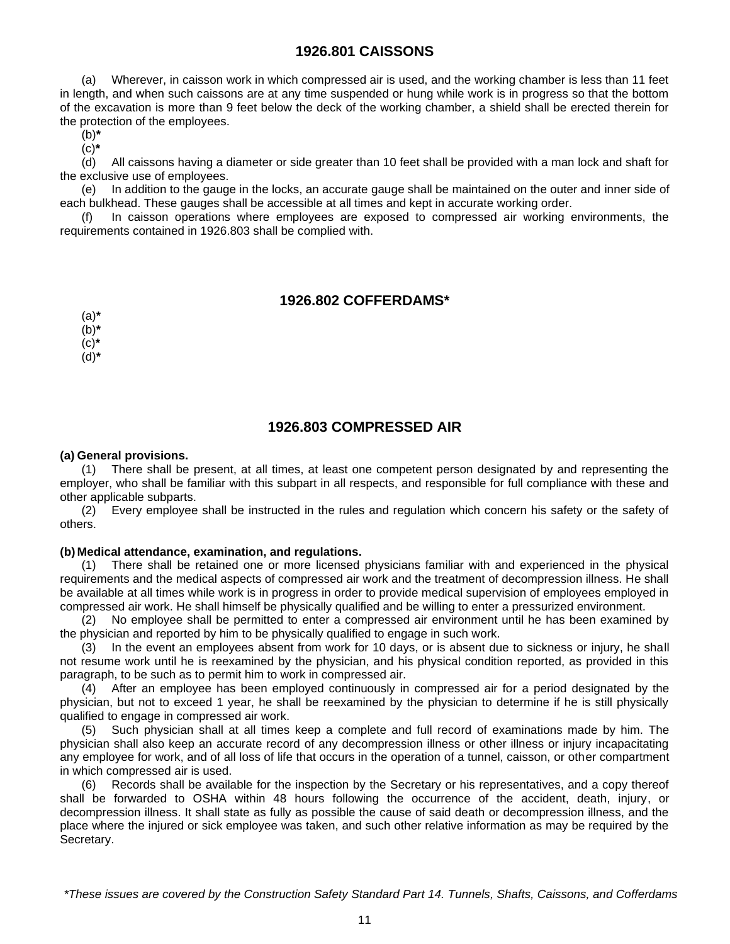## **1926.801 CAISSONS**

<span id="page-10-0"></span>(a) Wherever, in caisson work in which compressed air is used, and the working chamber is less than 11 feet in length, and when such caissons are at any time suspended or hung while work is in progress so that the bottom of the excavation is more than 9 feet below the deck of the working chamber, a shield shall be erected therein for the protection of the employees.

(b)**\*** (c)**\***

(d) All caissons having a diameter or side greater than 10 feet shall be provided with a man lock and shaft for the exclusive use of employees.

(e) In addition to the gauge in the locks, an accurate gauge shall be maintained on the outer and inner side of each bulkhead. These gauges shall be accessible at all times and kept in accurate working order.

(f) In caisson operations where employees are exposed to compressed air working environments, the requirements contained in 1926.803 shall be complied with.

## **1926.802 COFFERDAMS\***

<span id="page-10-1"></span>(a)**\*** (b)**\*** (c)**\*** (d)**\***

## **1926.803 COMPRESSED AIR**

#### <span id="page-10-3"></span><span id="page-10-2"></span>**(a) General provisions.**

(1) There shall be present, at all times, at least one competent person designated by and representing the employer, who shall be familiar with this subpart in all respects, and responsible for full compliance with these and other applicable subparts.

(2) Every employee shall be instructed in the rules and regulation which concern his safety or the safety of others.

#### <span id="page-10-4"></span>**(b) Medical attendance, examination, and regulations.**

(1) There shall be retained one or more licensed physicians familiar with and experienced in the physical requirements and the medical aspects of compressed air work and the treatment of decompression illness. He shall be available at all times while work is in progress in order to provide medical supervision of employees employed in compressed air work. He shall himself be physically qualified and be willing to enter a pressurized environment.

(2) No employee shall be permitted to enter a compressed air environment until he has been examined by the physician and reported by him to be physically qualified to engage in such work.

(3) In the event an employees absent from work for 10 days, or is absent due to sickness or injury, he shall not resume work until he is reexamined by the physician, and his physical condition reported, as provided in this paragraph, to be such as to permit him to work in compressed air.

(4) After an employee has been employed continuously in compressed air for a period designated by the physician, but not to exceed 1 year, he shall be reexamined by the physician to determine if he is still physically qualified to engage in compressed air work.

(5) Such physician shall at all times keep a complete and full record of examinations made by him. The physician shall also keep an accurate record of any decompression illness or other illness or injury incapacitating any employee for work, and of all loss of life that occurs in the operation of a tunnel, caisson, or other compartment in which compressed air is used.

(6) Records shall be available for the inspection by the Secretary or his representatives, and a copy thereof shall be forwarded to OSHA within 48 hours following the occurrence of the accident, death, injury, or decompression illness. It shall state as fully as possible the cause of said death or decompression illness, and the place where the injured or sick employee was taken, and such other relative information as may be required by the Secretary.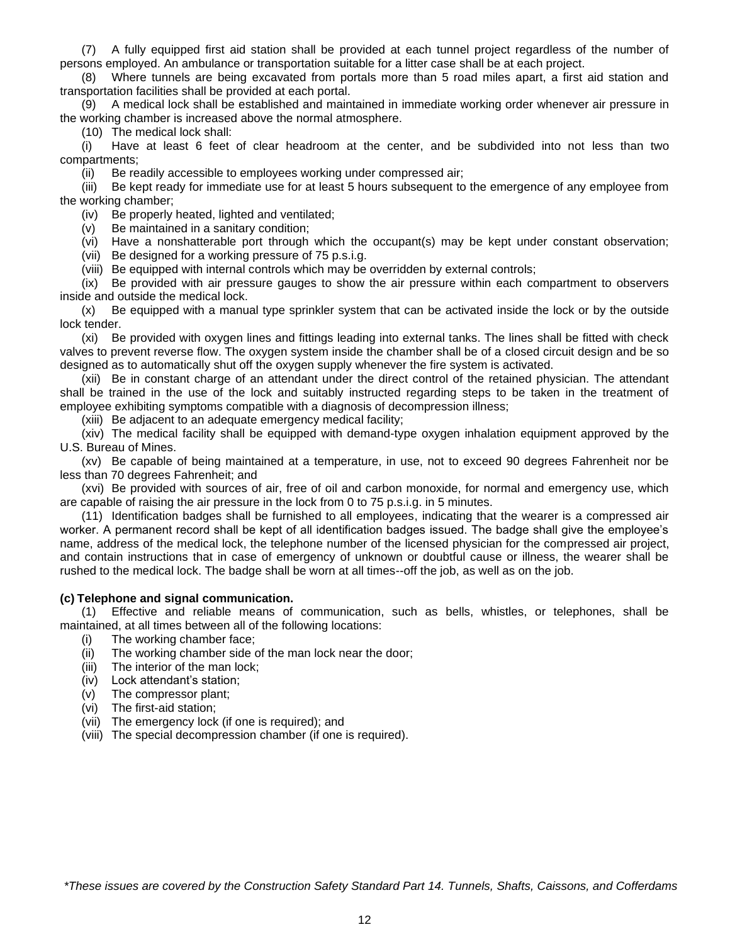(7) A fully equipped first aid station shall be provided at each tunnel project regardless of the number of persons employed. An ambulance or transportation suitable for a litter case shall be at each project.

(8) Where tunnels are being excavated from portals more than 5 road miles apart, a first aid station and transportation facilities shall be provided at each portal.

(9) A medical lock shall be established and maintained in immediate working order whenever air pressure in the working chamber is increased above the normal atmosphere.

(10) The medical lock shall:

(i) Have at least 6 feet of clear headroom at the center, and be subdivided into not less than two compartments;

(ii) Be readily accessible to employees working under compressed air;

(iii) Be kept ready for immediate use for at least 5 hours subsequent to the emergence of any employee from the working chamber;

(iv) Be properly heated, lighted and ventilated;

(v) Be maintained in a sanitary condition;

(vi) Have a nonshatterable port through which the occupant(s) may be kept under constant observation;

(vii) Be designed for a working pressure of 75 p.s.i.g.

(viii) Be equipped with internal controls which may be overridden by external controls;

(ix) Be provided with air pressure gauges to show the air pressure within each compartment to observers inside and outside the medical lock.

(x) Be equipped with a manual type sprinkler system that can be activated inside the lock or by the outside lock tender.

(xi) Be provided with oxygen lines and fittings leading into external tanks. The lines shall be fitted with check valves to prevent reverse flow. The oxygen system inside the chamber shall be of a closed circuit design and be so designed as to automatically shut off the oxygen supply whenever the fire system is activated.

(xii) Be in constant charge of an attendant under the direct control of the retained physician. The attendant shall be trained in the use of the lock and suitably instructed regarding steps to be taken in the treatment of employee exhibiting symptoms compatible with a diagnosis of decompression illness;

(xiii) Be adjacent to an adequate emergency medical facility;

(xiv) The medical facility shall be equipped with demand-type oxygen inhalation equipment approved by the U.S. Bureau of Mines.

(xv) Be capable of being maintained at a temperature, in use, not to exceed 90 degrees Fahrenheit nor be less than 70 degrees Fahrenheit; and

(xvi) Be provided with sources of air, free of oil and carbon monoxide, for normal and emergency use, which are capable of raising the air pressure in the lock from 0 to 75 p.s.i.g. in 5 minutes.

(11) Identification badges shall be furnished to all employees, indicating that the wearer is a compressed air worker. A permanent record shall be kept of all identification badges issued. The badge shall give the employee's name, address of the medical lock, the telephone number of the licensed physician for the compressed air project, and contain instructions that in case of emergency of unknown or doubtful cause or illness, the wearer shall be rushed to the medical lock. The badge shall be worn at all times--off the job, as well as on the job.

#### <span id="page-11-0"></span>**(c) Telephone and signal communication.**

(1) Effective and reliable means of communication, such as bells, whistles, or telephones, shall be maintained, at all times between all of the following locations:

- (i) The working chamber face;
- (ii) The working chamber side of the man lock near the door;
- (iii) The interior of the man lock;
- (iv) Lock attendant's station;
- (v) The compressor plant;
- (vi) The first-aid station;
- (vii) The emergency lock (if one is required); and
- (viii) The special decompression chamber (if one is required).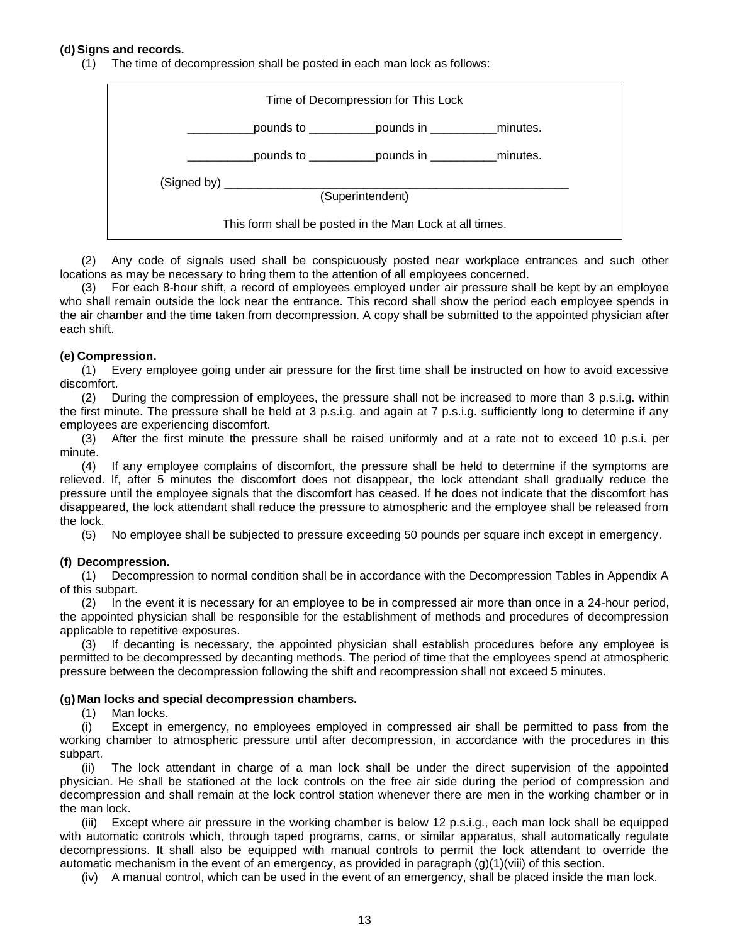#### <span id="page-12-0"></span>**(d)Signs and records.**

(1) The time of decompression shall be posted in each man lock as follows:

| Time of Decompression for This Lock                     |                                            |          |  |  |  |  |  |
|---------------------------------------------------------|--------------------------------------------|----------|--|--|--|--|--|
|                                                         | pounds to ____________ pounds in _________ | minutes. |  |  |  |  |  |
|                                                         | pounds to ____________pounds in __________ | minutes. |  |  |  |  |  |
| (Signed by)                                             |                                            |          |  |  |  |  |  |
| (Superintendent)                                        |                                            |          |  |  |  |  |  |
| This form shall be posted in the Man Lock at all times. |                                            |          |  |  |  |  |  |

(2) Any code of signals used shall be conspicuously posted near workplace entrances and such other locations as may be necessary to bring them to the attention of all employees concerned.

(3) For each 8-hour shift, a record of employees employed under air pressure shall be kept by an employee who shall remain outside the lock near the entrance. This record shall show the period each employee spends in the air chamber and the time taken from decompression. A copy shall be submitted to the appointed physician after each shift.

#### <span id="page-12-1"></span>**(e) Compression.**

(1) Every employee going under air pressure for the first time shall be instructed on how to avoid excessive discomfort.

(2) During the compression of employees, the pressure shall not be increased to more than 3 p.s.i.g. within the first minute. The pressure shall be held at 3 p.s.i.g. and again at 7 p.s.i.g. sufficiently long to determine if any employees are experiencing discomfort.

(3) After the first minute the pressure shall be raised uniformly and at a rate not to exceed 10 p.s.i. per minute.

(4) If any employee complains of discomfort, the pressure shall be held to determine if the symptoms are relieved. If, after 5 minutes the discomfort does not disappear, the lock attendant shall gradually reduce the pressure until the employee signals that the discomfort has ceased. If he does not indicate that the discomfort has disappeared, the lock attendant shall reduce the pressure to atmospheric and the employee shall be released from the lock.

(5) No employee shall be subjected to pressure exceeding 50 pounds per square inch except in emergency.

#### <span id="page-12-2"></span>**(f) Decompression.**

(1) Decompression to normal condition shall be in accordance with the Decompression Tables in Appendix A of this subpart.

(2) In the event it is necessary for an employee to be in compressed air more than once in a 24-hour period, the appointed physician shall be responsible for the establishment of methods and procedures of decompression applicable to repetitive exposures.

(3) If decanting is necessary, the appointed physician shall establish procedures before any employee is permitted to be decompressed by decanting methods. The period of time that the employees spend at atmospheric pressure between the decompression following the shift and recompression shall not exceed 5 minutes.

#### <span id="page-12-3"></span>**(g) Man locks and special decompression chambers.**

(1) Man locks.

(i) Except in emergency, no employees employed in compressed air shall be permitted to pass from the working chamber to atmospheric pressure until after decompression, in accordance with the procedures in this subpart.

(ii) The lock attendant in charge of a man lock shall be under the direct supervision of the appointed physician. He shall be stationed at the lock controls on the free air side during the period of compression and decompression and shall remain at the lock control station whenever there are men in the working chamber or in the man lock.

(iii) Except where air pressure in the working chamber is below 12 p.s.i.g., each man lock shall be equipped with automatic controls which, through taped programs, cams, or similar apparatus, shall automatically regulate decompressions. It shall also be equipped with manual controls to permit the lock attendant to override the automatic mechanism in the event of an emergency, as provided in paragraph (g)(1)(viii) of this section.

(iv) A manual control, which can be used in the event of an emergency, shall be placed inside the man lock.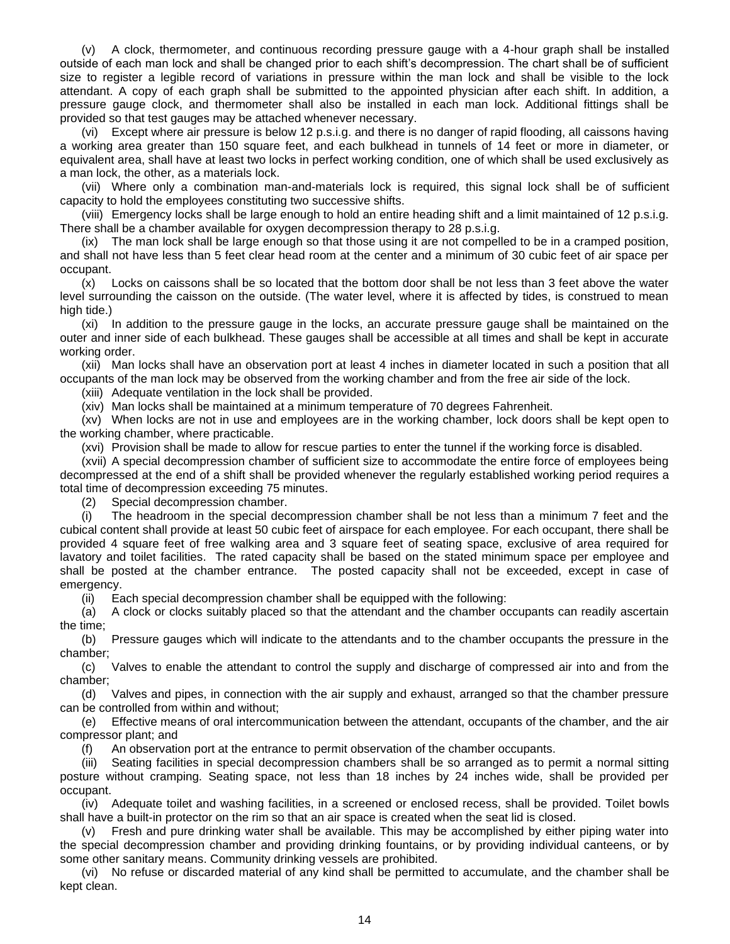(v) A clock, thermometer, and continuous recording pressure gauge with a 4-hour graph shall be installed outside of each man lock and shall be changed prior to each shift's decompression. The chart shall be of sufficient size to register a legible record of variations in pressure within the man lock and shall be visible to the lock attendant. A copy of each graph shall be submitted to the appointed physician after each shift. In addition, a pressure gauge clock, and thermometer shall also be installed in each man lock. Additional fittings shall be provided so that test gauges may be attached whenever necessary.

(vi) Except where air pressure is below 12 p.s.i.g. and there is no danger of rapid flooding, all caissons having a working area greater than 150 square feet, and each bulkhead in tunnels of 14 feet or more in diameter, or equivalent area, shall have at least two locks in perfect working condition, one of which shall be used exclusively as a man lock, the other, as a materials lock.

(vii) Where only a combination man-and-materials lock is required, this signal lock shall be of sufficient capacity to hold the employees constituting two successive shifts.

(viii) Emergency locks shall be large enough to hold an entire heading shift and a limit maintained of 12 p.s.i.g. There shall be a chamber available for oxygen decompression therapy to 28 p.s.i.g.

(ix) The man lock shall be large enough so that those using it are not compelled to be in a cramped position, and shall not have less than 5 feet clear head room at the center and a minimum of 30 cubic feet of air space per occupant.

(x) Locks on caissons shall be so located that the bottom door shall be not less than 3 feet above the water level surrounding the caisson on the outside. (The water level, where it is affected by tides, is construed to mean high tide.)

(xi) In addition to the pressure gauge in the locks, an accurate pressure gauge shall be maintained on the outer and inner side of each bulkhead. These gauges shall be accessible at all times and shall be kept in accurate working order.

(xii) Man locks shall have an observation port at least 4 inches in diameter located in such a position that all occupants of the man lock may be observed from the working chamber and from the free air side of the lock.

(xiii) Adequate ventilation in the lock shall be provided.

(xiv) Man locks shall be maintained at a minimum temperature of 70 degrees Fahrenheit.

(xv) When locks are not in use and employees are in the working chamber, lock doors shall be kept open to the working chamber, where practicable.

(xvi) Provision shall be made to allow for rescue parties to enter the tunnel if the working force is disabled.

(xvii) A special decompression chamber of sufficient size to accommodate the entire force of employees being decompressed at the end of a shift shall be provided whenever the regularly established working period requires a total time of decompression exceeding 75 minutes.

(2) Special decompression chamber.

(i) The headroom in the special decompression chamber shall be not less than a minimum 7 feet and the cubical content shall provide at least 50 cubic feet of airspace for each employee. For each occupant, there shall be provided 4 square feet of free walking area and 3 square feet of seating space, exclusive of area required for lavatory and toilet facilities. The rated capacity shall be based on the stated minimum space per employee and shall be posted at the chamber entrance. The posted capacity shall not be exceeded, except in case of emergency.

(ii) Each special decompression chamber shall be equipped with the following:

(a) A clock or clocks suitably placed so that the attendant and the chamber occupants can readily ascertain the time;

(b) Pressure gauges which will indicate to the attendants and to the chamber occupants the pressure in the chamber;

(c) Valves to enable the attendant to control the supply and discharge of compressed air into and from the chamber;

(d) Valves and pipes, in connection with the air supply and exhaust, arranged so that the chamber pressure can be controlled from within and without;

(e) Effective means of oral intercommunication between the attendant, occupants of the chamber, and the air compressor plant; and

(f) An observation port at the entrance to permit observation of the chamber occupants.

(iii) Seating facilities in special decompression chambers shall be so arranged as to permit a normal sitting posture without cramping. Seating space, not less than 18 inches by 24 inches wide, shall be provided per occupant.

(iv) Adequate toilet and washing facilities, in a screened or enclosed recess, shall be provided. Toilet bowls shall have a built-in protector on the rim so that an air space is created when the seat lid is closed.

(v) Fresh and pure drinking water shall be available. This may be accomplished by either piping water into the special decompression chamber and providing drinking fountains, or by providing individual canteens, or by some other sanitary means. Community drinking vessels are prohibited.

(vi) No refuse or discarded material of any kind shall be permitted to accumulate, and the chamber shall be kept clean.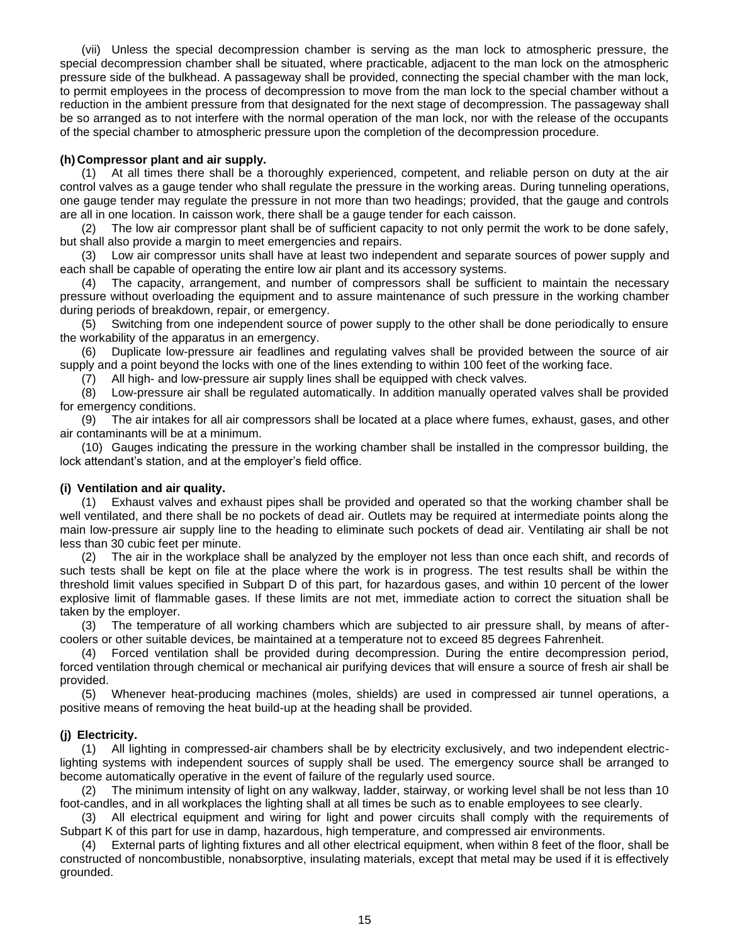(vii) Unless the special decompression chamber is serving as the man lock to atmospheric pressure, the special decompression chamber shall be situated, where practicable, adjacent to the man lock on the atmospheric pressure side of the bulkhead. A passageway shall be provided, connecting the special chamber with the man lock, to permit employees in the process of decompression to move from the man lock to the special chamber without a reduction in the ambient pressure from that designated for the next stage of decompression. The passageway shall be so arranged as to not interfere with the normal operation of the man lock, nor with the release of the occupants of the special chamber to atmospheric pressure upon the completion of the decompression procedure.

#### <span id="page-14-0"></span>**(h) Compressor plant and air supply.**

(1) At all times there shall be a thoroughly experienced, competent, and reliable person on duty at the air control valves as a gauge tender who shall regulate the pressure in the working areas. During tunneling operations, one gauge tender may regulate the pressure in not more than two headings; provided, that the gauge and controls are all in one location. In caisson work, there shall be a gauge tender for each caisson.

(2) The low air compressor plant shall be of sufficient capacity to not only permit the work to be done safely, but shall also provide a margin to meet emergencies and repairs.

(3) Low air compressor units shall have at least two independent and separate sources of power supply and each shall be capable of operating the entire low air plant and its accessory systems.

(4) The capacity, arrangement, and number of compressors shall be sufficient to maintain the necessary pressure without overloading the equipment and to assure maintenance of such pressure in the working chamber during periods of breakdown, repair, or emergency.

(5) Switching from one independent source of power supply to the other shall be done periodically to ensure the workability of the apparatus in an emergency.

(6) Duplicate low-pressure air feadlines and regulating valves shall be provided between the source of air supply and a point beyond the locks with one of the lines extending to within 100 feet of the working face.

(7) All high- and low-pressure air supply lines shall be equipped with check valves.

(8) Low-pressure air shall be regulated automatically. In addition manually operated valves shall be provided for emergency conditions.

(9) The air intakes for all air compressors shall be located at a place where fumes, exhaust, gases, and other air contaminants will be at a minimum.

(10) Gauges indicating the pressure in the working chamber shall be installed in the compressor building, the lock attendant's station, and at the employer's field office.

#### <span id="page-14-1"></span>**(i) Ventilation and air quality.**

(1) Exhaust valves and exhaust pipes shall be provided and operated so that the working chamber shall be well ventilated, and there shall be no pockets of dead air. Outlets may be required at intermediate points along the main low-pressure air supply line to the heading to eliminate such pockets of dead air. Ventilating air shall be not less than 30 cubic feet per minute.

(2) The air in the workplace shall be analyzed by the employer not less than once each shift, and records of such tests shall be kept on file at the place where the work is in progress. The test results shall be within the threshold limit values specified in Subpart D of this part, for hazardous gases, and within 10 percent of the lower explosive limit of flammable gases. If these limits are not met, immediate action to correct the situation shall be taken by the employer.

(3) The temperature of all working chambers which are subjected to air pressure shall, by means of aftercoolers or other suitable devices, be maintained at a temperature not to exceed 85 degrees Fahrenheit.

(4) Forced ventilation shall be provided during decompression. During the entire decompression period, forced ventilation through chemical or mechanical air purifying devices that will ensure a source of fresh air shall be provided.

(5) Whenever heat-producing machines (moles, shields) are used in compressed air tunnel operations, a positive means of removing the heat build-up at the heading shall be provided.

#### <span id="page-14-2"></span>**(j) Electricity.**

(1) All lighting in compressed-air chambers shall be by electricity exclusively, and two independent electriclighting systems with independent sources of supply shall be used. The emergency source shall be arranged to become automatically operative in the event of failure of the regularly used source.

(2) The minimum intensity of light on any walkway, ladder, stairway, or working level shall be not less than 10 foot-candles, and in all workplaces the lighting shall at all times be such as to enable employees to see clearly.

(3) All electrical equipment and wiring for light and power circuits shall comply with the requirements of Subpart K of this part for use in damp, hazardous, high temperature, and compressed air environments.

(4) External parts of lighting fixtures and all other electrical equipment, when within 8 feet of the floor, shall be constructed of noncombustible, nonabsorptive, insulating materials, except that metal may be used if it is effectively grounded.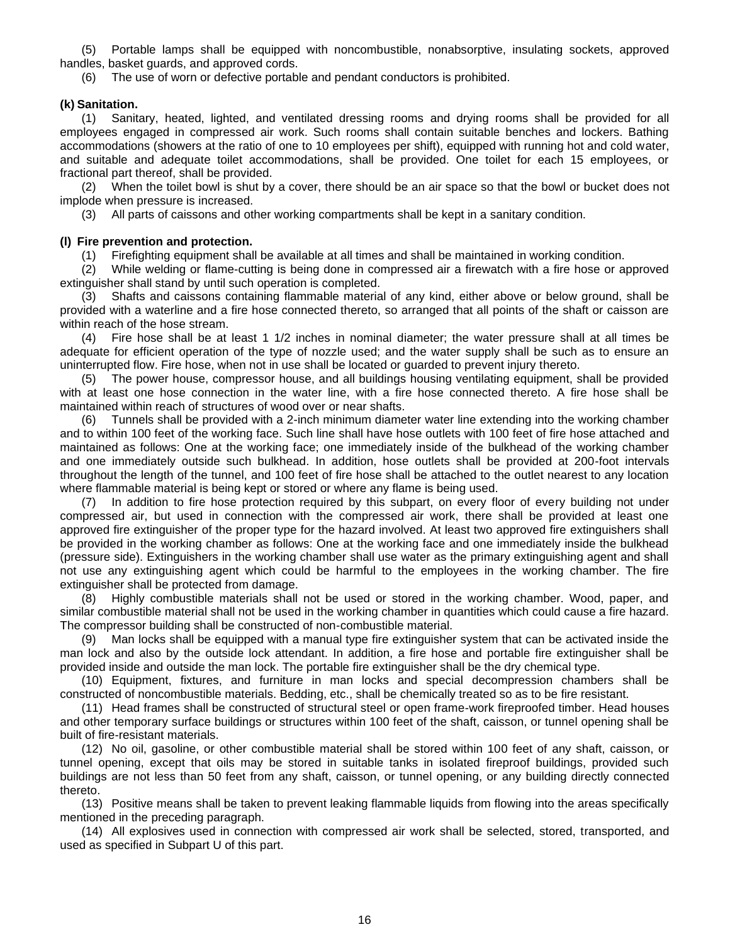(5) Portable lamps shall be equipped with noncombustible, nonabsorptive, insulating sockets, approved handles, basket guards, and approved cords.

(6) The use of worn or defective portable and pendant conductors is prohibited.

## <span id="page-15-0"></span>**(k) Sanitation.**

(1) Sanitary, heated, lighted, and ventilated dressing rooms and drying rooms shall be provided for all employees engaged in compressed air work. Such rooms shall contain suitable benches and lockers. Bathing accommodations (showers at the ratio of one to 10 employees per shift), equipped with running hot and cold water, and suitable and adequate toilet accommodations, shall be provided. One toilet for each 15 employees, or fractional part thereof, shall be provided.

(2) When the toilet bowl is shut by a cover, there should be an air space so that the bowl or bucket does not implode when pressure is increased.

(3) All parts of caissons and other working compartments shall be kept in a sanitary condition.

#### <span id="page-15-1"></span>**(l) Fire prevention and protection.**

(1) Firefighting equipment shall be available at all times and shall be maintained in working condition.

(2) While welding or flame-cutting is being done in compressed air a firewatch with a fire hose or approved extinguisher shall stand by until such operation is completed.

(3) Shafts and caissons containing flammable material of any kind, either above or below ground, shall be provided with a waterline and a fire hose connected thereto, so arranged that all points of the shaft or caisson are within reach of the hose stream.

(4) Fire hose shall be at least 1 1/2 inches in nominal diameter; the water pressure shall at all times be adequate for efficient operation of the type of nozzle used; and the water supply shall be such as to ensure an uninterrupted flow. Fire hose, when not in use shall be located or guarded to prevent injury thereto.

(5) The power house, compressor house, and all buildings housing ventilating equipment, shall be provided with at least one hose connection in the water line, with a fire hose connected thereto. A fire hose shall be maintained within reach of structures of wood over or near shafts.

(6) Tunnels shall be provided with a 2-inch minimum diameter water line extending into the working chamber and to within 100 feet of the working face. Such line shall have hose outlets with 100 feet of fire hose attached and maintained as follows: One at the working face; one immediately inside of the bulkhead of the working chamber and one immediately outside such bulkhead. In addition, hose outlets shall be provided at 200-foot intervals throughout the length of the tunnel, and 100 feet of fire hose shall be attached to the outlet nearest to any location where flammable material is being kept or stored or where any flame is being used.

(7) In addition to fire hose protection required by this subpart, on every floor of every building not under compressed air, but used in connection with the compressed air work, there shall be provided at least one approved fire extinguisher of the proper type for the hazard involved. At least two approved fire extinguishers shall be provided in the working chamber as follows: One at the working face and one immediately inside the bulkhead (pressure side). Extinguishers in the working chamber shall use water as the primary extinguishing agent and shall not use any extinguishing agent which could be harmful to the employees in the working chamber. The fire extinguisher shall be protected from damage.

(8) Highly combustible materials shall not be used or stored in the working chamber. Wood, paper, and similar combustible material shall not be used in the working chamber in quantities which could cause a fire hazard. The compressor building shall be constructed of non-combustible material.

(9) Man locks shall be equipped with a manual type fire extinguisher system that can be activated inside the man lock and also by the outside lock attendant. In addition, a fire hose and portable fire extinguisher shall be provided inside and outside the man lock. The portable fire extinguisher shall be the dry chemical type.

(10) Equipment, fixtures, and furniture in man locks and special decompression chambers shall be constructed of noncombustible materials. Bedding, etc., shall be chemically treated so as to be fire resistant.

(11) Head frames shall be constructed of structural steel or open frame-work fireproofed timber. Head houses and other temporary surface buildings or structures within 100 feet of the shaft, caisson, or tunnel opening shall be built of fire-resistant materials.

(12) No oil, gasoline, or other combustible material shall be stored within 100 feet of any shaft, caisson, or tunnel opening, except that oils may be stored in suitable tanks in isolated fireproof buildings, provided such buildings are not less than 50 feet from any shaft, caisson, or tunnel opening, or any building directly connected thereto.

(13) Positive means shall be taken to prevent leaking flammable liquids from flowing into the areas specifically mentioned in the preceding paragraph.

(14) All explosives used in connection with compressed air work shall be selected, stored, transported, and used as specified in Subpart U of this part.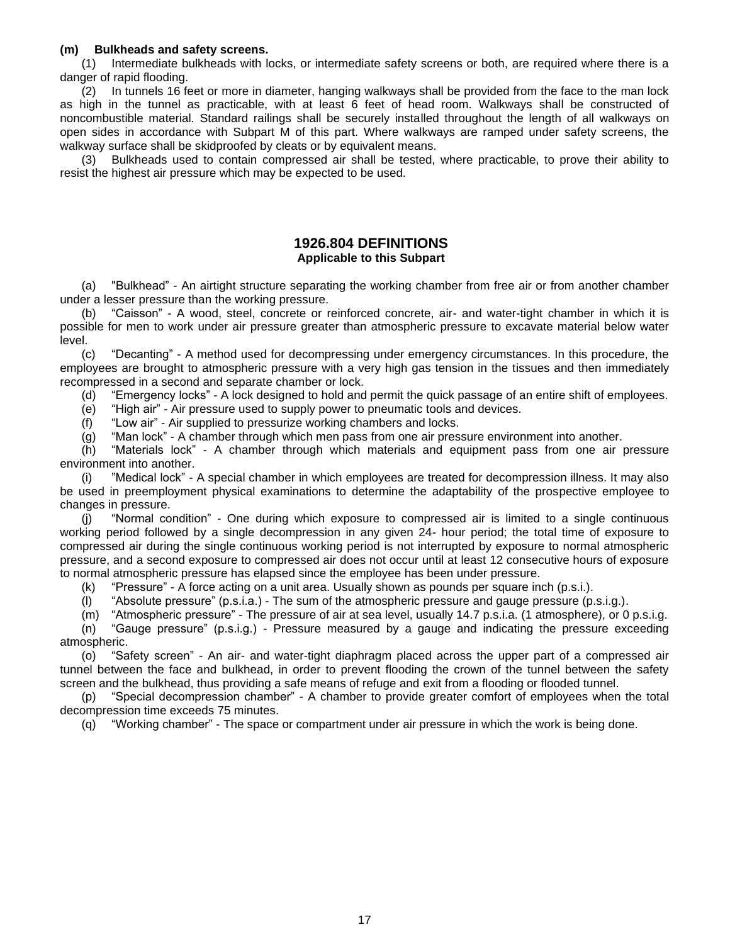#### <span id="page-16-0"></span>**(m) Bulkheads and safety screens.**

(1) Intermediate bulkheads with locks, or intermediate safety screens or both, are required where there is a danger of rapid flooding.

(2) In tunnels 16 feet or more in diameter, hanging walkways shall be provided from the face to the man lock as high in the tunnel as practicable, with at least 6 feet of head room. Walkways shall be constructed of noncombustible material. Standard railings shall be securely installed throughout the length of all walkways on open sides in accordance with Subpart M of this part. Where walkways are ramped under safety screens, the walkway surface shall be skidproofed by cleats or by equivalent means.

(3) Bulkheads used to contain compressed air shall be tested, where practicable, to prove their ability to resist the highest air pressure which may be expected to be used.

#### **1926.804 DEFINITIONS Applicable to this Subpart**

<span id="page-16-1"></span>(a) "Bulkhead" - An airtight structure separating the working chamber from free air or from another chamber under a lesser pressure than the working pressure.

(b) "Caisson" - A wood, steel, concrete or reinforced concrete, air- and water-tight chamber in which it is possible for men to work under air pressure greater than atmospheric pressure to excavate material below water level.

(c) "Decanting" - A method used for decompressing under emergency circumstances. In this procedure, the employees are brought to atmospheric pressure with a very high gas tension in the tissues and then immediately recompressed in a second and separate chamber or lock.

(d) "Emergency locks" - A lock designed to hold and permit the quick passage of an entire shift of employees.

(e) "High air" - Air pressure used to supply power to pneumatic tools and devices.

(f) "Low air" - Air supplied to pressurize working chambers and locks.

(g) "Man lock" - A chamber through which men pass from one air pressure environment into another.

(h) "Materials lock" - A chamber through which materials and equipment pass from one air pressure environment into another.

(i) "Medical lock" - A special chamber in which employees are treated for decompression illness. It may also be used in preemployment physical examinations to determine the adaptability of the prospective employee to changes in pressure.

(j) "Normal condition" - One during which exposure to compressed air is limited to a single continuous working period followed by a single decompression in any given 24- hour period; the total time of exposure to compressed air during the single continuous working period is not interrupted by exposure to normal atmospheric pressure, and a second exposure to compressed air does not occur until at least 12 consecutive hours of exposure to normal atmospheric pressure has elapsed since the employee has been under pressure.

(k) "Pressure" - A force acting on a unit area. Usually shown as pounds per square inch (p.s.i.).

(l) "Absolute pressure" (p.s.i.a.) - The sum of the atmospheric pressure and gauge pressure (p.s.i.g.).

(m) "Atmospheric pressure" - The pressure of air at sea level, usually 14.7 p.s.i.a. (1 atmosphere), or 0 p.s.i.g.

(n) "Gauge pressure" (p.s.i.g.) - Pressure measured by a gauge and indicating the pressure exceeding atmospheric.

(o) "Safety screen" - An air- and water-tight diaphragm placed across the upper part of a compressed air tunnel between the face and bulkhead, in order to prevent flooding the crown of the tunnel between the safety screen and the bulkhead, thus providing a safe means of refuge and exit from a flooding or flooded tunnel.

(p) "Special decompression chamber" - A chamber to provide greater comfort of employees when the total decompression time exceeds 75 minutes.

<span id="page-16-2"></span>(q) "Working chamber" - The space or compartment under air pressure in which the work is being done.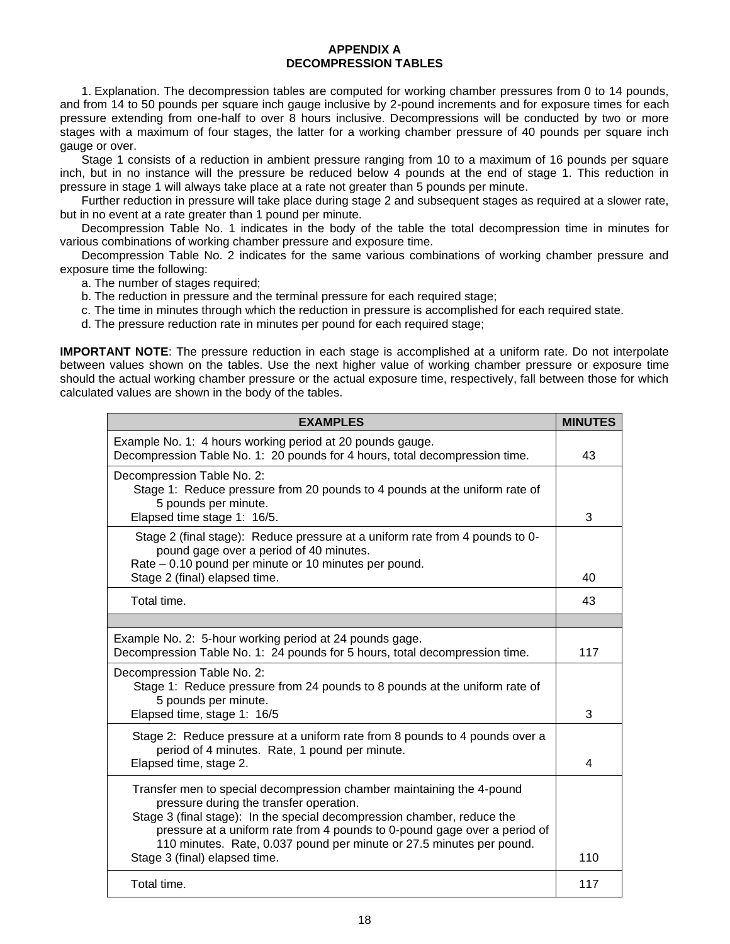## **APPENDIX A DECOMPRESSION TABLES**

1. Explanation. The decompression tables are computed for working chamber pressures from 0 to 14 pounds, and from 14 to 50 pounds per square inch gauge inclusive by 2-pound increments and for exposure times for each pressure extending from one-half to over 8 hours inclusive. Decompressions will be conducted by two or more stages with a maximum of four stages, the latter for a working chamber pressure of 40 pounds per square inch gauge or over.

Stage 1 consists of a reduction in ambient pressure ranging from 10 to a maximum of 16 pounds per square inch, but in no instance will the pressure be reduced below 4 pounds at the end of stage 1. This reduction in pressure in stage 1 will always take place at a rate not greater than 5 pounds per minute.

Further reduction in pressure will take place during stage 2 and subsequent stages as required at a slower rate, but in no event at a rate greater than 1 pound per minute.

Decompression Table No. 1 indicates in the body of the table the total decompression time in minutes for various combinations of working chamber pressure and exposure time.

Decompression Table No. 2 indicates for the same various combinations of working chamber pressure and exposure time the following:

- a. The number of stages required;
- b. The reduction in pressure and the terminal pressure for each required stage;
- c. The time in minutes through which the reduction in pressure is accomplished for each required state.

d. The pressure reduction rate in minutes per pound for each required stage;

**IMPORTANT NOTE**: The pressure reduction in each stage is accomplished at a uniform rate. Do not interpolate between values shown on the tables. Use the next higher value of working chamber pressure or exposure time should the actual working chamber pressure or the actual exposure time, respectively, fall between those for which calculated values are shown in the body of the tables.

| <b>EXAMPLES</b>                                                                                                                                                                                                                                                                                                                                                                   | <b>MINUTES</b> |
|-----------------------------------------------------------------------------------------------------------------------------------------------------------------------------------------------------------------------------------------------------------------------------------------------------------------------------------------------------------------------------------|----------------|
| Example No. 1: 4 hours working period at 20 pounds gauge.<br>Decompression Table No. 1: 20 pounds for 4 hours, total decompression time.                                                                                                                                                                                                                                          | 43             |
| Decompression Table No. 2:<br>Stage 1: Reduce pressure from 20 pounds to 4 pounds at the uniform rate of<br>5 pounds per minute.<br>Elapsed time stage 1: 16/5.                                                                                                                                                                                                                   | 3              |
| Stage 2 (final stage): Reduce pressure at a uniform rate from 4 pounds to 0-<br>pound gage over a period of 40 minutes.<br>Rate - 0.10 pound per minute or 10 minutes per pound.<br>Stage 2 (final) elapsed time.                                                                                                                                                                 | 40             |
| Total time.                                                                                                                                                                                                                                                                                                                                                                       | 43             |
|                                                                                                                                                                                                                                                                                                                                                                                   |                |
| Example No. 2: 5-hour working period at 24 pounds gage.<br>Decompression Table No. 1: 24 pounds for 5 hours, total decompression time.                                                                                                                                                                                                                                            | 117            |
| Decompression Table No. 2:<br>Stage 1: Reduce pressure from 24 pounds to 8 pounds at the uniform rate of<br>5 pounds per minute.<br>Elapsed time, stage 1: 16/5                                                                                                                                                                                                                   | 3              |
| Stage 2: Reduce pressure at a uniform rate from 8 pounds to 4 pounds over a<br>period of 4 minutes. Rate, 1 pound per minute.<br>Elapsed time, stage 2.                                                                                                                                                                                                                           | 4              |
| Transfer men to special decompression chamber maintaining the 4-pound<br>pressure during the transfer operation.<br>Stage 3 (final stage): In the special decompression chamber, reduce the<br>pressure at a uniform rate from 4 pounds to 0-pound gage over a period of<br>110 minutes. Rate, 0.037 pound per minute or 27.5 minutes per pound.<br>Stage 3 (final) elapsed time. | 110            |
| Total time.                                                                                                                                                                                                                                                                                                                                                                       | 117            |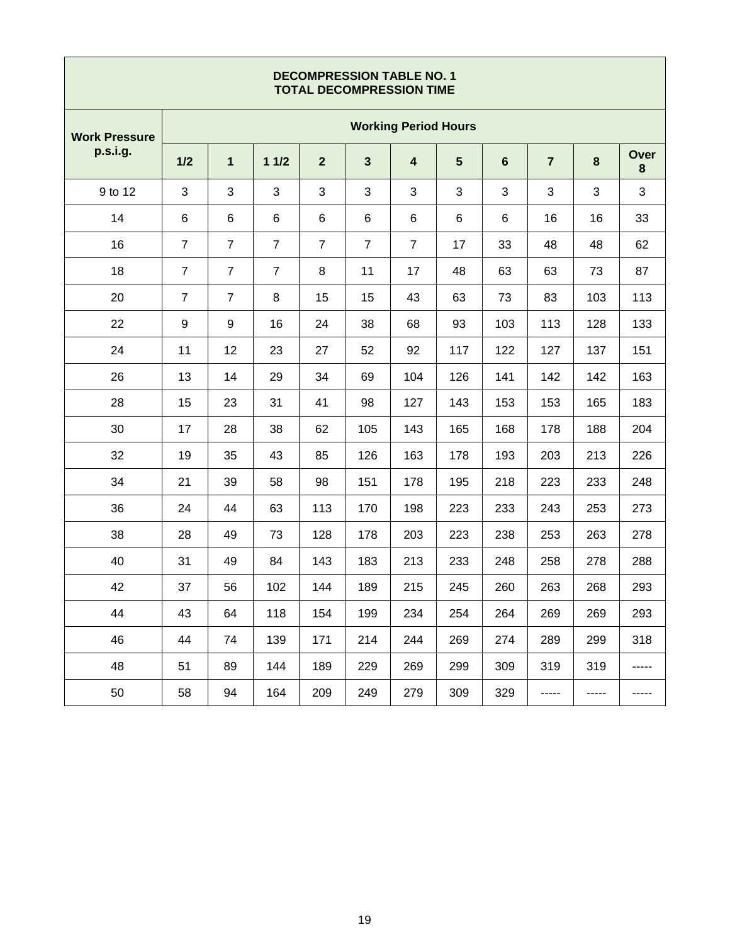## **DECOMPRESSION TABLE NO. 1 TOTAL DECOMPRESSION TIME**

| <b>Work Pressure</b> |                |                |                |                |                         | <b>Working Period Hours</b> |                |                |                |       |           |  |  |  |  |
|----------------------|----------------|----------------|----------------|----------------|-------------------------|-----------------------------|----------------|----------------|----------------|-------|-----------|--|--|--|--|
| p.s.i.g.             | 1/2            | $\mathbf{1}$   | 11/2           | $\overline{2}$ | $\overline{\mathbf{3}}$ | $\overline{\mathbf{4}}$     | $5\phantom{1}$ | $6\phantom{1}$ | $\overline{7}$ | 8     | Over<br>8 |  |  |  |  |
| 9 to 12              | 3              | 3              | 3              | 3              | 3                       | 3                           | 3              | 3              | 3              | 3     | 3         |  |  |  |  |
| 14                   | 6              | $\,6$          | 6              | 6              | 6                       | $\,6$                       | $\,6$          | 6              | 16             | 16    | 33        |  |  |  |  |
| 16                   | $\overline{7}$ | $\overline{7}$ | $\overline{7}$ | $\overline{7}$ | $\overline{7}$          | $\overline{7}$              | 17             | 33             | 48             | 48    | 62        |  |  |  |  |
| 18                   | $\overline{7}$ | $\overline{7}$ | $\overline{7}$ | 8              | 11                      | 17                          | 48             | 63             | 63             | 73    | 87        |  |  |  |  |
| 20                   | $\overline{7}$ | $\overline{7}$ | 8              | 15             | 15                      | 43                          | 63             | 73             | 83             | 103   | 113       |  |  |  |  |
| 22                   | 9              | 9              | 16             | 24             | 38                      | 68                          | 93             | 103            | 113            | 128   | 133       |  |  |  |  |
| 24                   | 11             | 12             | 23             | 27             | 52                      | 92                          | 117            | 122            | 127            | 137   | 151       |  |  |  |  |
| 26                   | 13             | 14             | 29             | 34             | 69                      | 104                         | 126            | 141            | 142            | 142   | 163       |  |  |  |  |
| 28                   | 15             | 23             | 31             | 41             | 98                      | 127                         | 143            | 153            | 153            | 165   | 183       |  |  |  |  |
| 30                   | 17             | 28             | 38             | 62             | 105                     | 143                         | 165            | 168            | 178            | 188   | 204       |  |  |  |  |
| 32                   | 19             | 35             | 43             | 85             | 126                     | 163                         | 178            | 193            | 203            | 213   | 226       |  |  |  |  |
| 34                   | 21             | 39             | 58             | 98             | 151                     | 178                         | 195            | 218            | 223            | 233   | 248       |  |  |  |  |
| 36                   | 24             | 44             | 63             | 113            | 170                     | 198                         | 223            | 233            | 243            | 253   | 273       |  |  |  |  |
| 38                   | 28             | 49             | 73             | 128            | 178                     | 203                         | 223            | 238            | 253            | 263   | 278       |  |  |  |  |
| 40                   | 31             | 49             | 84             | 143            | 183                     | 213                         | 233            | 248            | 258            | 278   | 288       |  |  |  |  |
| 42                   | 37             | 56             | 102            | 144            | 189                     | 215                         | 245            | 260            | 263            | 268   | 293       |  |  |  |  |
| 44                   | 43             | 64             | 118            | 154            | 199                     | 234                         | 254            | 264            | 269            | 269   | 293       |  |  |  |  |
| 46                   | 44             | 74             | 139            | 171            | 214                     | 244                         | 269            | 274            | 289            | 299   | 318       |  |  |  |  |
| 48                   | 51             | 89             | 144            | 189            | 229                     | 269                         | 299            | 309            | 319            | 319   |           |  |  |  |  |
| 50                   | 58             | 94             | 164            | 209            | 249                     | 279                         | 309            | 329            | -----          | ----- | -----     |  |  |  |  |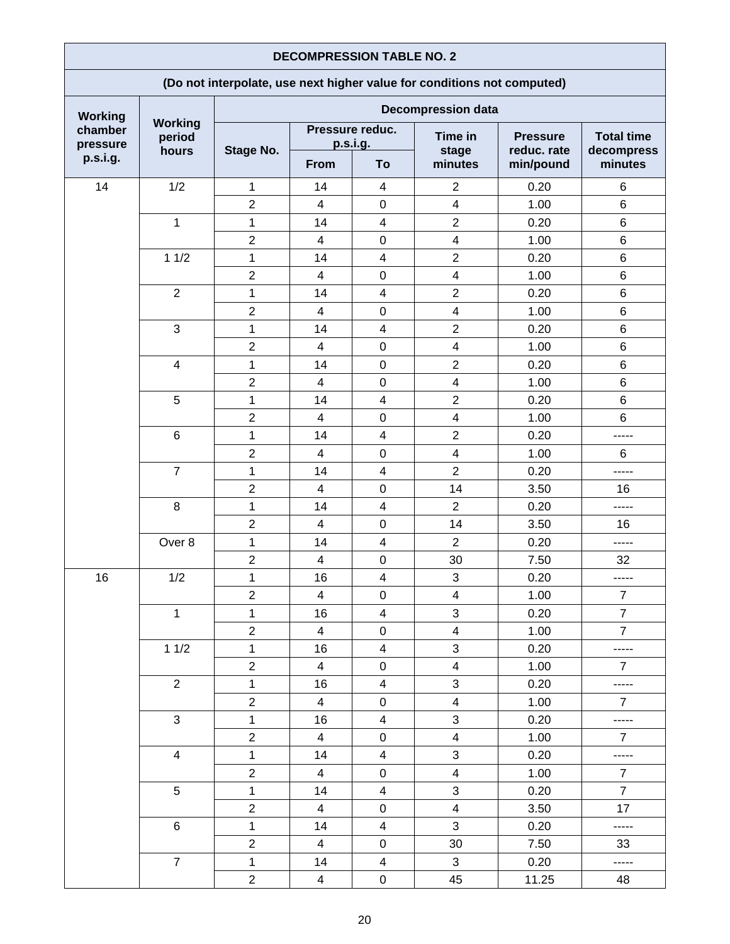| <b>DECOMPRESSION TABLE NO. 2</b> |                                   |                     |                             |                                        |                                                                         |                                |                                 |  |  |
|----------------------------------|-----------------------------------|---------------------|-----------------------------|----------------------------------------|-------------------------------------------------------------------------|--------------------------------|---------------------------------|--|--|
|                                  |                                   |                     |                             |                                        | (Do not interpolate, use next higher value for conditions not computed) |                                |                                 |  |  |
| <b>Working</b>                   |                                   |                     |                             |                                        | <b>Decompression data</b>                                               |                                |                                 |  |  |
| chamber<br>pressure              | <b>Working</b><br>period<br>hours | <b>Stage No.</b>    | Pressure reduc.<br>p.s.i.g. |                                        | Time in<br>stage                                                        | <b>Pressure</b><br>reduc. rate | <b>Total time</b><br>decompress |  |  |
| p.s.i.g.                         |                                   |                     | <b>From</b>                 | To                                     | minutes                                                                 | min/pound                      | minutes                         |  |  |
| 14                               | 1/2                               | 1                   | 14                          | $\overline{4}$                         | $\overline{2}$                                                          | 0.20                           | 6                               |  |  |
|                                  |                                   | $\overline{2}$      | 4                           | $\pmb{0}$                              | $\overline{\mathbf{4}}$                                                 | 1.00                           | $\,6\,$                         |  |  |
|                                  | 1                                 | 1                   | 14                          | $\overline{\mathbf{4}}$                | $\overline{2}$                                                          | 0.20                           | $\,6\,$                         |  |  |
|                                  |                                   | $\overline{2}$      | 4                           | $\mathbf 0$                            | $\overline{\mathbf{4}}$                                                 | 1.00                           | $\,6\,$                         |  |  |
|                                  | 11/2                              | 1<br>$\overline{2}$ | 14                          | $\overline{\mathbf{4}}$                | $\overline{2}$                                                          | 0.20                           | $\,6$                           |  |  |
|                                  | $\overline{2}$                    |                     | 4<br>14                     | $\mathbf 0$<br>$\overline{\mathbf{4}}$ | $\overline{\mathbf{4}}$<br>$\overline{2}$                               | 1.00<br>0.20                   | $\,6\,$<br>$\,6$                |  |  |
|                                  |                                   | 1<br>$\overline{2}$ | 4                           | $\mathbf 0$                            | $\overline{\mathbf{4}}$                                                 | 1.00                           | $\,6\,$                         |  |  |
|                                  | 3                                 | 1                   | 14                          | $\overline{\mathbf{4}}$                | $\overline{2}$                                                          | 0.20                           | $\,6\,$                         |  |  |
|                                  |                                   | $\overline{c}$      | 4                           | $\mathbf 0$                            | $\overline{\mathbf{4}}$                                                 | 1.00                           | $\,6$                           |  |  |
|                                  | $\overline{\mathbf{4}}$           | $\mathbf{1}$        | 14                          | $\mathbf 0$                            | $\overline{2}$                                                          | 0.20                           | $6\phantom{1}$                  |  |  |
|                                  |                                   | $\overline{2}$      | 4                           | $\mathbf 0$                            | $\overline{\mathbf{4}}$                                                 | 1.00                           | $\,6\,$                         |  |  |
|                                  | 5                                 | 1                   | 14                          | $\overline{\mathbf{4}}$                | $\overline{2}$                                                          | 0.20                           | 6                               |  |  |
|                                  |                                   | $\overline{c}$      | 4                           | $\pmb{0}$                              | 4                                                                       | 1.00                           | $\,6\,$                         |  |  |
|                                  | 6                                 | $\mathbf{1}$        | 14                          | $\overline{\mathbf{4}}$                | $\overline{2}$                                                          | 0.20                           | -----                           |  |  |
|                                  |                                   | $\overline{c}$      | 4                           | $\mathbf 0$                            | $\overline{\mathbf{4}}$                                                 | 1.00                           | 6                               |  |  |
|                                  | $\overline{7}$                    | $\mathbf{1}$        | 14                          | $\overline{\mathbf{4}}$                | $\overline{2}$                                                          | 0.20                           | -----                           |  |  |
|                                  |                                   | $\overline{2}$      | $\overline{\mathbf{4}}$     | $\pmb{0}$                              | 14                                                                      | 3.50                           | 16                              |  |  |
|                                  | 8                                 | $\mathbf{1}$        | 14                          | $\overline{\mathbf{4}}$                | $\overline{2}$                                                          | 0.20                           | -----                           |  |  |
|                                  | Over 8                            | $\overline{2}$      | $\overline{\mathbf{4}}$     | $\mathbf 0$                            | 14                                                                      | 3.50                           | 16                              |  |  |
|                                  |                                   | $\mathbf 1$         | 14                          | $\overline{\mathbf{4}}$                | $\overline{2}$                                                          | 0.20                           | -----                           |  |  |
|                                  |                                   | $\overline{2}$<br>1 | $\overline{\mathbf{4}}$     | $\boldsymbol{0}$                       | 30<br>3                                                                 | 7.50                           | 32                              |  |  |
| $16\,$                           | 1/2                               | $\overline{2}$      | 16<br>$\overline{4}$        | $\overline{\mathbf{4}}$<br>$\mathbf 0$ | $\overline{4}$                                                          | 0.20<br>1.00                   | -----<br>$\overline{7}$         |  |  |
|                                  | $\mathbf{1}$                      | $\mathbf{1}$        | 16                          | $\overline{4}$                         | $\mathbf{3}$                                                            | 0.20                           | $\overline{7}$                  |  |  |
|                                  |                                   | $\overline{2}$      | $\overline{4}$              | $\mathbf 0$                            | $\overline{\mathbf{4}}$                                                 | 1.00                           | $\overline{7}$                  |  |  |
|                                  | 11/2                              | $\mathbf{1}$        | 16                          | $\overline{4}$                         | $\mathfrak{B}$                                                          | 0.20                           | -----                           |  |  |
|                                  |                                   | $\overline{c}$      | $\overline{4}$              | $\pmb{0}$                              | $\overline{4}$                                                          | 1.00                           | $\overline{7}$                  |  |  |
|                                  | $\overline{2}$                    | $\mathbf{1}$        | 16                          | 4                                      | $\mathfrak{S}$                                                          | 0.20                           | -----                           |  |  |
|                                  |                                   | $\overline{2}$      | $\overline{4}$              | $\mathbf 0$                            | $\overline{\mathbf{4}}$                                                 | 1.00                           | $\overline{7}$                  |  |  |
|                                  | 3                                 | $\mathbf{1}$        | 16                          | $\overline{4}$                         | $\mathfrak{S}$                                                          | 0.20                           | -----                           |  |  |
|                                  |                                   | $\overline{c}$      | 4                           | $\pmb{0}$                              | $\overline{\mathbf{4}}$                                                 | 1.00                           | $\overline{7}$                  |  |  |
|                                  | $\overline{4}$                    | $\mathbf{1}$        | 14                          | $\overline{\mathcal{A}}$               | $\mathbf{3}$                                                            | 0.20                           | -----                           |  |  |
|                                  |                                   | $\overline{2}$      | $\overline{4}$              | $\pmb{0}$                              | $\overline{\mathbf{4}}$                                                 | 1.00                           | $\overline{7}$                  |  |  |
|                                  | 5                                 | $\mathbf{1}$        | 14                          | $\overline{\mathcal{A}}$               | $\mathfrak{S}$                                                          | 0.20                           | $\overline{7}$                  |  |  |
|                                  |                                   | $\overline{2}$      | $\overline{4}$              | $\pmb{0}$                              | $\overline{\mathbf{4}}$                                                 | 3.50                           | 17                              |  |  |
|                                  | $6\phantom{.}$                    | $\mathbf{1}$        | 14                          | $\overline{\mathcal{A}}$               | $\mathbf{3}$                                                            | 0.20                           | -----                           |  |  |
|                                  |                                   | $\overline{2}$      | $\overline{4}$              | $\mathbf 0$                            | 30                                                                      | 7.50                           | 33                              |  |  |
|                                  | $\overline{7}$                    | $\mathbf{1}$        | 14                          | $\overline{4}$                         | $\mathbf{3}$                                                            | 0.20                           | -----                           |  |  |
|                                  |                                   | $\overline{2}$      | $\overline{4}$              | $\pmb{0}$                              | 45                                                                      | 11.25                          | 48                              |  |  |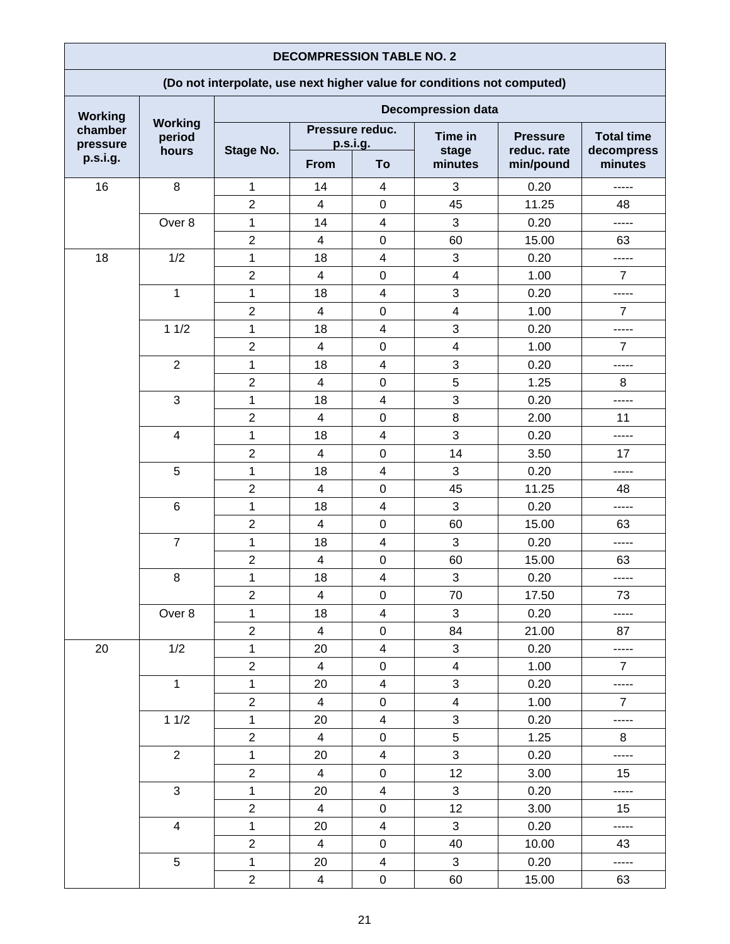|                     | <b>DECOMPRESSION TABLE NO. 2</b> |                               |                               |                                        |                                                                         |                          |                       |  |  |  |
|---------------------|----------------------------------|-------------------------------|-------------------------------|----------------------------------------|-------------------------------------------------------------------------|--------------------------|-----------------------|--|--|--|
|                     |                                  |                               |                               |                                        | (Do not interpolate, use next higher value for conditions not computed) |                          |                       |  |  |  |
| <b>Working</b>      |                                  |                               |                               |                                        | <b>Decompression data</b>                                               |                          |                       |  |  |  |
| chamber<br>pressure | <b>Working</b><br>period         |                               | Pressure reduc.<br>p.s.i.g.   |                                        | Time in                                                                 | <b>Pressure</b>          | <b>Total time</b>     |  |  |  |
| p.s.i.g.            | hours                            | <b>Stage No.</b>              | From                          | To                                     | stage<br>minutes                                                        | reduc. rate<br>min/pound | decompress<br>minutes |  |  |  |
| 16                  | 8                                | $\mathbf{1}$                  | 14                            | $\overline{\mathbf{4}}$                | $\mathbf{3}$                                                            | 0.20                     | -----                 |  |  |  |
|                     |                                  | $\overline{c}$                | 4                             | $\mathbf 0$                            | 45                                                                      | 11.25                    | 48                    |  |  |  |
|                     | Over 8                           | $\mathbf{1}$                  | 14                            | $\overline{\mathbf{4}}$                | 3                                                                       | 0.20                     | -----                 |  |  |  |
|                     |                                  | $\overline{2}$                | 4                             | $\mathbf 0$                            | 60                                                                      | 15.00                    | 63                    |  |  |  |
| 18                  | 1/2                              | $\mathbf{1}$                  | 18                            | $\overline{\mathbf{4}}$                | $\sqrt{3}$                                                              | 0.20                     | -----                 |  |  |  |
|                     |                                  | $\overline{c}$                | 4                             | $\boldsymbol{0}$                       | $\overline{\mathbf{4}}$                                                 | 1.00                     | $\overline{7}$        |  |  |  |
|                     | $\mathbf{1}$                     | $\mathbf{1}$                  | 18                            | $\overline{\mathbf{4}}$                | 3                                                                       | 0.20                     | -----                 |  |  |  |
|                     |                                  | $\overline{c}$                | 4                             | $\mathbf 0$                            | $\overline{\mathbf{4}}$                                                 | 1.00                     | $\overline{7}$        |  |  |  |
|                     | 11/2                             | 1                             | 18                            | $\overline{\mathbf{4}}$                | 3                                                                       | 0.20                     | -----                 |  |  |  |
|                     |                                  | $\overline{2}$                | 4                             | $\boldsymbol{0}$                       | $\overline{\mathbf{4}}$                                                 | 1.00                     | $\overline{7}$        |  |  |  |
|                     | $\overline{2}$                   | 1                             | 18                            | $\overline{\mathcal{A}}$               | $\mathbf{3}$                                                            | 0.20                     | -----                 |  |  |  |
|                     |                                  | $\overline{2}$                | 4                             | $\boldsymbol{0}$                       | $\overline{5}$                                                          | 1.25                     | 8                     |  |  |  |
|                     | 3                                | $\mathbf{1}$                  | 18                            | $\overline{\mathbf{4}}$                | 3                                                                       | 0.20                     | -----                 |  |  |  |
|                     | $\overline{\mathbf{4}}$          | $\overline{2}$                | $\overline{4}$                | $\mathbf 0$                            | $\bf 8$<br>3                                                            | 2.00                     | 11                    |  |  |  |
|                     |                                  | $\mathbf 1$<br>$\overline{2}$ | 18<br>$\overline{\mathbf{4}}$ | $\overline{\mathbf{4}}$<br>$\mathbf 0$ | 14                                                                      | 0.20                     | -----                 |  |  |  |
|                     | 5                                | $\mathbf{1}$                  | 18                            | $\overline{\mathcal{A}}$               | $\mathbf{3}$                                                            | 3.50<br>0.20             | 17<br>-----           |  |  |  |
|                     |                                  | $\overline{2}$                | $\overline{\mathbf{4}}$       | $\boldsymbol{0}$                       | 45                                                                      | 11.25                    | 48                    |  |  |  |
|                     | 6                                | $\mathbf{1}$                  | 18                            | $\overline{\mathbf{4}}$                | 3                                                                       | 0.20                     | -----                 |  |  |  |
|                     |                                  | $\overline{2}$                | $\overline{4}$                | $\mathbf 0$                            | 60                                                                      | 15.00                    | 63                    |  |  |  |
|                     | $\overline{7}$                   | $\mathbf{1}$                  | 18                            | $\overline{\mathcal{A}}$               | $\mathbf{3}$                                                            | 0.20                     | -----                 |  |  |  |
|                     |                                  | $\overline{2}$                | $\overline{\mathbf{4}}$       | $\boldsymbol{0}$                       | 60                                                                      | 15.00                    | 63                    |  |  |  |
|                     | 8                                | $\mathbf{1}$                  | 18                            | 4                                      | 3                                                                       | 0.20                     | -----                 |  |  |  |
|                     |                                  | $\overline{2}$                | $\overline{4}$                | $\mathbf 0$                            | 70                                                                      | 17.50                    | 73                    |  |  |  |
|                     | Over 8                           | 1                             | 18                            | 4                                      | 3                                                                       | 0.20                     | -----                 |  |  |  |
|                     |                                  | $\overline{2}$                | $\overline{4}$                | 0                                      | 84                                                                      | 21.00                    | 87                    |  |  |  |
| 20                  | 1/2                              | $\mathbf{1}$                  | 20                            | 4                                      | 3                                                                       | 0.20                     | -----                 |  |  |  |
|                     |                                  | $\overline{2}$                | 4                             | 0                                      | $\overline{4}$                                                          | 1.00                     | $\overline{7}$        |  |  |  |
|                     | $\mathbf{1}$                     | $\mathbf{1}$                  | 20                            | $\overline{\mathbf{4}}$                | $\mathfrak{S}$                                                          | 0.20                     | -----                 |  |  |  |
|                     |                                  | $\overline{2}$                | $\overline{4}$                | 0                                      | $\overline{\mathbf{4}}$                                                 | 1.00                     | $\overline{7}$        |  |  |  |
|                     | 11/2                             | $\mathbf{1}$                  | 20                            | $\overline{\mathbf{4}}$                | $\mathfrak{S}$                                                          | 0.20                     | -----                 |  |  |  |
|                     |                                  | $\overline{2}$                | $\overline{4}$                | $\boldsymbol{0}$                       | 5                                                                       | 1.25                     | 8                     |  |  |  |
|                     | $\overline{2}$                   | $\mathbf{1}$                  | 20                            | $\overline{\mathbf{4}}$                | 3                                                                       | 0.20                     | $---$                 |  |  |  |
|                     |                                  | $\overline{2}$                | $\overline{4}$                | $\mathbf 0$                            | 12                                                                      | 3.00                     | 15                    |  |  |  |
|                     | 3                                | $\mathbf{1}$                  | 20                            | $\overline{\mathbf{4}}$                | 3                                                                       | 0.20                     | -----                 |  |  |  |
|                     |                                  | $\overline{c}$                | $\overline{4}$                | $\pmb{0}$                              | 12                                                                      | 3.00                     | 15                    |  |  |  |
|                     | $\overline{4}$                   | $\mathbf{1}$                  | 20                            | $\overline{\mathbf{4}}$                | 3                                                                       | 0.20                     | -----                 |  |  |  |
|                     |                                  | $\overline{2}$                | $\overline{4}$                | 0                                      | 40                                                                      | 10.00                    | 43                    |  |  |  |
|                     | 5                                | $\mathbf{1}$                  | 20                            | $\overline{\mathbf{4}}$                | 3                                                                       | 0.20                     | -----                 |  |  |  |
|                     |                                  | $\overline{2}$                | 4                             | 0                                      | 60                                                                      | 15.00                    | 63                    |  |  |  |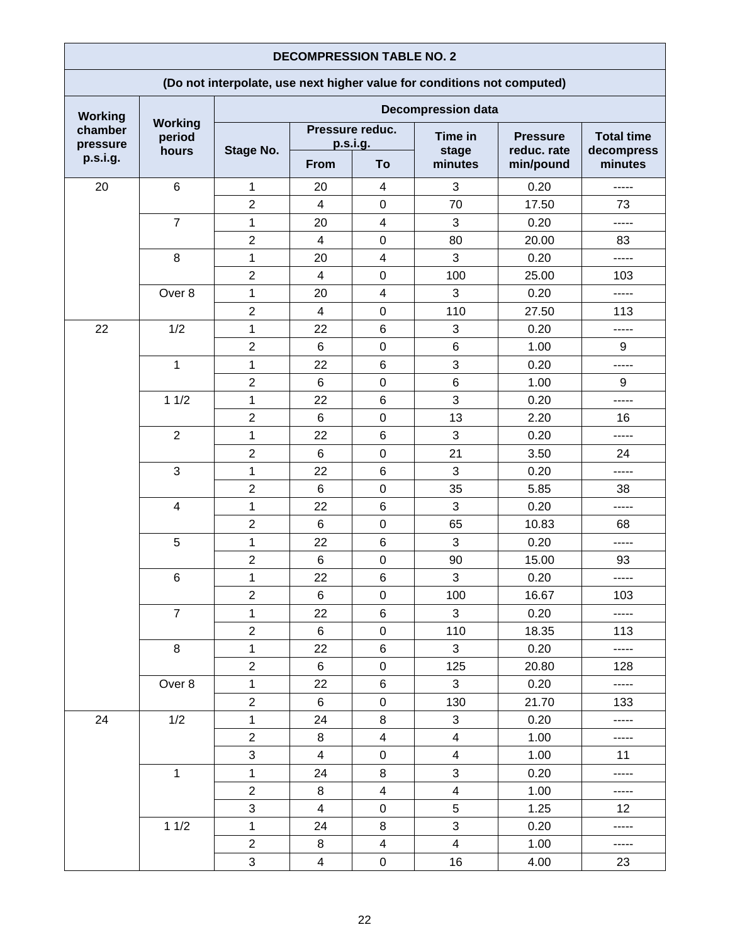| <b>DECOMPRESSION TABLE NO. 2</b> |                                   |                  |                             |                          |                                                                         |                                |                                 |  |  |  |
|----------------------------------|-----------------------------------|------------------|-----------------------------|--------------------------|-------------------------------------------------------------------------|--------------------------------|---------------------------------|--|--|--|
|                                  |                                   |                  |                             |                          | (Do not interpolate, use next higher value for conditions not computed) |                                |                                 |  |  |  |
| <b>Working</b>                   |                                   |                  | <b>Decompression data</b>   |                          |                                                                         |                                |                                 |  |  |  |
| chamber<br>pressure              | <b>Working</b><br>period<br>hours | <b>Stage No.</b> | Pressure reduc.<br>p.s.i.g. |                          | Time in<br>stage                                                        | <b>Pressure</b><br>reduc. rate | <b>Total time</b><br>decompress |  |  |  |
| p.s.i.g.                         |                                   |                  | From                        | To                       | minutes                                                                 | min/pound                      | minutes                         |  |  |  |
| 20                               | 6                                 | $\mathbf{1}$     | 20                          | $\overline{\mathbf{4}}$  | $\mathbf{3}$                                                            | 0.20                           | -----                           |  |  |  |
|                                  |                                   | $\overline{c}$   | 4                           | $\mathbf 0$              | 70                                                                      | 17.50                          | 73                              |  |  |  |
|                                  | $\overline{7}$                    | $\mathbf{1}$     | 20                          | $\overline{\mathbf{4}}$  | 3                                                                       | 0.20                           | -----                           |  |  |  |
|                                  |                                   | $\overline{2}$   | 4                           | $\mathbf 0$              | 80                                                                      | 20.00                          | 83                              |  |  |  |
|                                  | 8                                 | $\mathbf{1}$     | 20                          | $\overline{\mathbf{4}}$  | $\mathbf{3}$                                                            | 0.20                           | -----                           |  |  |  |
|                                  |                                   | $\overline{c}$   | 4                           | $\boldsymbol{0}$         | 100                                                                     | 25.00                          | 103                             |  |  |  |
|                                  | Over 8                            | $\mathbf{1}$     | 20                          | $\overline{\mathbf{4}}$  | 3                                                                       | 0.20                           | -----                           |  |  |  |
|                                  |                                   | $\overline{2}$   | 4                           | $\mathbf 0$              | 110                                                                     | 27.50                          | 113                             |  |  |  |
| 22                               | 1/2                               | 1                | 22                          | 6                        | 3                                                                       | 0.20                           | -----                           |  |  |  |
|                                  |                                   | $\overline{2}$   | $6\phantom{1}6$             | $\boldsymbol{0}$         | $\,6$                                                                   | 1.00                           | 9                               |  |  |  |
|                                  | 1                                 | 1                | 22                          | 6                        | $\mathbf{3}$                                                            | 0.20                           | -----                           |  |  |  |
|                                  |                                   | $\overline{2}$   | $6\phantom{1}6$             | $\boldsymbol{0}$         | $\,6$                                                                   | 1.00                           | $\boldsymbol{9}$                |  |  |  |
|                                  | 11/2                              | $\mathbf{1}$     | 22                          | 6                        | 3                                                                       | 0.20                           | -----                           |  |  |  |
|                                  |                                   | $\overline{2}$   | $6\phantom{1}$              | $\mathbf 0$              | 13                                                                      | 2.20                           | 16                              |  |  |  |
|                                  | $\overline{2}$                    | $\mathbf 1$      | 22                          | 6                        | 3                                                                       | 0.20                           | -----                           |  |  |  |
|                                  |                                   | $\overline{2}$   | $6\phantom{1}6$             | $\mathbf 0$              | 21                                                                      | 3.50                           | 24                              |  |  |  |
|                                  | 3                                 | $\mathbf{1}$     | 22                          | 6                        | 3                                                                       | 0.20                           | -----                           |  |  |  |
|                                  |                                   | $\overline{2}$   | $6\phantom{1}6$             | $\boldsymbol{0}$         | 35                                                                      | 5.85                           | 38                              |  |  |  |
|                                  | $\overline{\mathbf{4}}$           | $\mathbf{1}$     | 22                          | 6                        | 3                                                                       | 0.20                           | -----                           |  |  |  |
|                                  |                                   | $\overline{2}$   | $6\phantom{1}6$             | $\mathbf 0$              | 65                                                                      | 10.83                          | 68                              |  |  |  |
|                                  | 5                                 | $\mathbf{1}$     | 22                          | 6                        | $\mathbf{3}$                                                            | 0.20                           | -----                           |  |  |  |
|                                  |                                   | $\overline{2}$   | 6                           | $\boldsymbol{0}$         | 90                                                                      | 15.00                          | 93                              |  |  |  |
|                                  | 6                                 | $\mathbf{1}$     | 22                          | $\,6$                    | 3                                                                       | 0.20                           | -----                           |  |  |  |
|                                  |                                   | $\overline{2}$   | 6                           | 0                        | 100                                                                     | 16.67                          | 103                             |  |  |  |
|                                  | $\overline{7}$                    | 1                | 22                          | 6                        | 3                                                                       | 0.20                           | -----                           |  |  |  |
|                                  |                                   | $\overline{2}$   | 6                           | 0                        | 110                                                                     | 18.35                          | 113                             |  |  |  |
|                                  | 8                                 | $\mathbf{1}$     | 22                          | 6                        | 3                                                                       | 0.20                           | -----                           |  |  |  |
|                                  |                                   | $\overline{2}$   | 6                           | 0                        | 125                                                                     | 20.80                          | 128                             |  |  |  |
|                                  | Over 8                            | $\mathbf{1}$     | 22                          | 6                        | 3                                                                       | 0.20                           | $- - - - -$                     |  |  |  |
|                                  |                                   | $\overline{2}$   | 6                           | $\pmb{0}$                | 130                                                                     | 21.70                          | 133                             |  |  |  |
| 24                               | 1/2                               | $\mathbf{1}$     | 24                          | 8                        | 3                                                                       | 0.20                           | -----                           |  |  |  |
|                                  |                                   | $\overline{2}$   | 8                           | $\overline{\mathcal{A}}$ | $\overline{\mathbf{4}}$                                                 | 1.00                           | -----                           |  |  |  |
|                                  |                                   | 3                | $\overline{4}$              | $\boldsymbol{0}$         | $\overline{\mathbf{4}}$                                                 | 1.00                           | 11                              |  |  |  |
|                                  | $\mathbf{1}$                      | $\mathbf{1}$     | 24                          | 8                        | 3                                                                       | 0.20                           | -----                           |  |  |  |
|                                  |                                   | $\overline{2}$   | 8                           | $\overline{\mathcal{A}}$ | $\overline{4}$                                                          | 1.00                           | -----                           |  |  |  |
|                                  |                                   | 3                | $\overline{4}$              | $\mathbf 0$              | 5                                                                       | 1.25                           | 12                              |  |  |  |
|                                  | 11/2                              | $\mathbf{1}$     | 24                          | 8                        | $\overline{3}$                                                          | 0.20                           | -----                           |  |  |  |
|                                  |                                   | $\overline{2}$   | 8                           | 4                        | $\overline{4}$                                                          | 1.00                           | -----                           |  |  |  |
|                                  |                                   | 3                | 4                           | $\pmb{0}$                | 16                                                                      | 4.00                           | 23                              |  |  |  |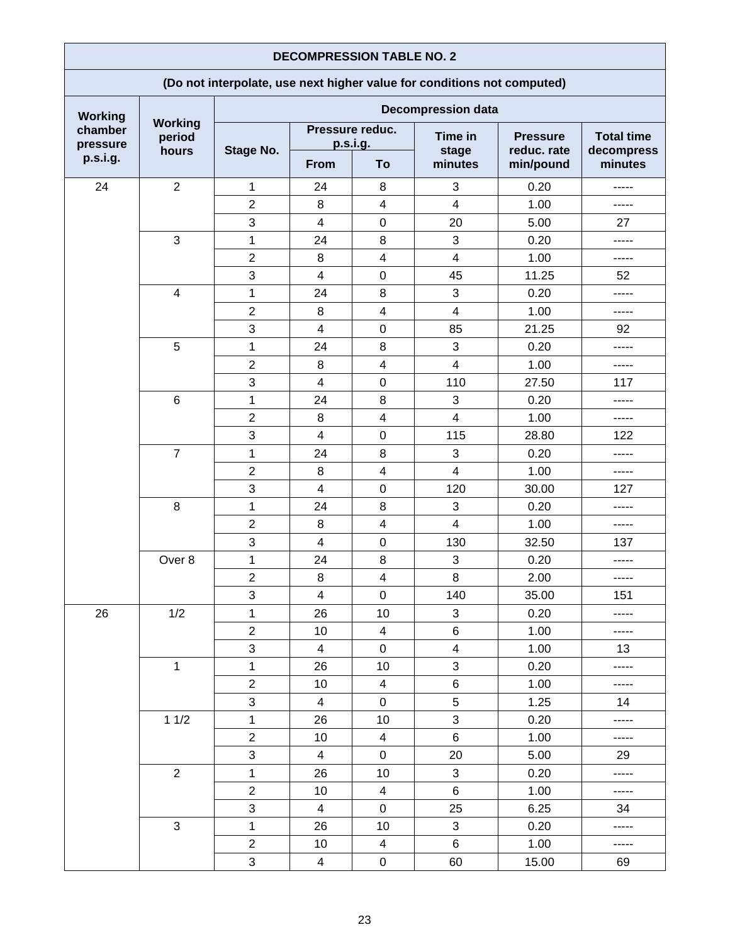|                     | <b>DECOMPRESSION TABLE NO. 2</b> |                  |                           |                             |                                                                         |                                |                       |  |  |  |  |  |
|---------------------|----------------------------------|------------------|---------------------------|-----------------------------|-------------------------------------------------------------------------|--------------------------------|-----------------------|--|--|--|--|--|
|                     |                                  |                  |                           |                             | (Do not interpolate, use next higher value for conditions not computed) |                                |                       |  |  |  |  |  |
| <b>Working</b>      |                                  |                  | <b>Decompression data</b> |                             |                                                                         |                                |                       |  |  |  |  |  |
| chamber<br>pressure | <b>Working</b><br>period         | <b>Stage No.</b> |                           | Pressure reduc.<br>p.s.i.g. | Time in<br>stage                                                        | <b>Pressure</b><br>reduc. rate | <b>Total time</b>     |  |  |  |  |  |
| p.s.i.g.            | hours                            |                  | <b>From</b>               | To                          | minutes                                                                 | min/pound                      | decompress<br>minutes |  |  |  |  |  |
| 24                  | $\overline{2}$                   | $\mathbf{1}$     | 24                        | 8                           | 3                                                                       | 0.20                           | -----                 |  |  |  |  |  |
|                     |                                  | $\overline{2}$   | 8                         | $\overline{4}$              | $\overline{\mathbf{4}}$                                                 | 1.00                           | -----                 |  |  |  |  |  |
|                     |                                  | 3                | $\overline{\mathbf{4}}$   | $\mathbf 0$                 | 20                                                                      | 5.00                           | 27                    |  |  |  |  |  |
|                     | 3                                | 1                | 24                        | 8                           | 3                                                                       | 0.20                           | -----                 |  |  |  |  |  |
|                     |                                  | $\overline{2}$   | 8                         | $\overline{\mathbf{4}}$     | 4                                                                       | 1.00                           | -----                 |  |  |  |  |  |
|                     |                                  | 3                | $\overline{4}$            | $\boldsymbol{0}$            | 45                                                                      | 11.25                          | 52                    |  |  |  |  |  |
|                     | 4                                | 1                | 24                        | 8                           | 3                                                                       | 0.20                           | -----                 |  |  |  |  |  |
|                     |                                  | $\boldsymbol{2}$ | 8                         | $\overline{\mathbf{4}}$     | 4                                                                       | 1.00                           | -----                 |  |  |  |  |  |
|                     |                                  | 3                | $\overline{\mathbf{4}}$   | $\mathbf 0$                 | 85                                                                      | 21.25                          | 92                    |  |  |  |  |  |
|                     | 5                                | $\mathbf 1$      | 24                        | 8                           | $\sqrt{3}$                                                              | 0.20                           | -----                 |  |  |  |  |  |
|                     |                                  | $\overline{2}$   | 8                         | $\overline{\mathbf{4}}$     | $\overline{4}$                                                          | 1.00                           | -----                 |  |  |  |  |  |
|                     |                                  | 3                | 4                         | $\boldsymbol{0}$            | 110                                                                     | 27.50                          | 117                   |  |  |  |  |  |
|                     | 6                                | 1                | 24                        | 8                           | $\sqrt{3}$                                                              | 0.20                           | -----                 |  |  |  |  |  |
|                     |                                  | $\overline{2}$   | 8                         | $\overline{\mathbf{4}}$     | $\overline{\mathbf{4}}$                                                 | 1.00                           | -----                 |  |  |  |  |  |
|                     |                                  | 3                | $\overline{4}$            | $\mathbf 0$                 | 115                                                                     | 28.80                          | 122                   |  |  |  |  |  |
|                     | $\overline{7}$                   | 1                | 24                        | 8                           | 3                                                                       | 0.20                           | -----                 |  |  |  |  |  |
|                     |                                  | $\overline{2}$   | 8                         | $\overline{4}$              | $\overline{\mathbf{4}}$                                                 | 1.00                           | -----                 |  |  |  |  |  |
|                     |                                  | 3                | $\overline{\mathbf{4}}$   | $\mathbf 0$                 | 120                                                                     | 30.00                          | 127                   |  |  |  |  |  |
|                     | 8                                | 1                | 24                        | 8                           | 3                                                                       | 0.20                           | -----                 |  |  |  |  |  |
|                     |                                  | $\boldsymbol{2}$ | 8                         | $\overline{\mathbf{4}}$     | $\overline{\mathbf{4}}$                                                 | 1.00                           | -----                 |  |  |  |  |  |
|                     |                                  | 3                | $\overline{4}$            | $\mathbf 0$                 | 130                                                                     | 32.50                          | 137                   |  |  |  |  |  |
|                     | Over 8                           | $\mathbf 1$      | 24                        | 8                           | 3                                                                       | 0.20                           | -----                 |  |  |  |  |  |
|                     |                                  | $\boldsymbol{2}$ | 8                         | $\overline{\mathbf{4}}$     | 8                                                                       | 2.00                           |                       |  |  |  |  |  |
|                     |                                  | $\mathfrak{S}$   | $\overline{\mathcal{A}}$  | $\mathsf 0$                 | 140                                                                     | 35.00                          | 151                   |  |  |  |  |  |
| 26                  | 1/2                              | $\mathbf{1}$     | 26                        | 10                          | 3                                                                       | 0.20                           | -----                 |  |  |  |  |  |
|                     |                                  | $\overline{c}$   | 10                        | $\overline{\mathbf{4}}$     | $\,6\,$                                                                 | 1.00                           | -----                 |  |  |  |  |  |
|                     |                                  | 3                | $\overline{4}$            | $\pmb{0}$                   | $\overline{4}$                                                          | 1.00                           | 13                    |  |  |  |  |  |
|                     | $\mathbf{1}$                     | $\mathbf{1}$     | 26                        | 10                          | $\mathfrak{S}$                                                          | 0.20                           | -----                 |  |  |  |  |  |
|                     |                                  | $\overline{2}$   | 10                        | $\overline{\mathbf{4}}$     | $\,6\,$                                                                 | 1.00                           | -----                 |  |  |  |  |  |
|                     |                                  | $\mathfrak{S}$   | $\overline{\mathbf{4}}$   | $\mathsf 0$                 | 5                                                                       | 1.25                           | 14                    |  |  |  |  |  |
|                     | 11/2                             | $\mathbf{1}$     | 26                        | 10                          | $\mathbf{3}$                                                            | 0.20                           | -----                 |  |  |  |  |  |
|                     |                                  | $\overline{2}$   | 10                        | $\overline{4}$              | $\,6\,$                                                                 | 1.00                           | -----                 |  |  |  |  |  |
|                     |                                  | $\mathfrak{S}$   | $\overline{4}$            | $\mathsf 0$                 | 20                                                                      | 5.00                           | 29                    |  |  |  |  |  |
|                     | $\overline{2}$                   | $\mathbf{1}$     | 26                        | 10                          | $\mathfrak{S}$                                                          | 0.20                           | -----                 |  |  |  |  |  |
|                     |                                  | $\overline{2}$   | 10                        | 4                           | 6                                                                       | 1.00                           | -----                 |  |  |  |  |  |
|                     |                                  | 3                | $\overline{4}$            | $\pmb{0}$                   | 25                                                                      | 6.25                           | 34                    |  |  |  |  |  |
|                     | 3                                | $\mathbf{1}$     | 26                        | 10                          | 3                                                                       | 0.20                           | -----                 |  |  |  |  |  |
|                     |                                  | $\overline{2}$   | 10                        | $\overline{\mathbf{4}}$     | 6                                                                       | 1.00                           | -----                 |  |  |  |  |  |
|                     |                                  | 3                | $\overline{4}$            | $\pmb{0}$                   | 60                                                                      | 15.00                          | 69                    |  |  |  |  |  |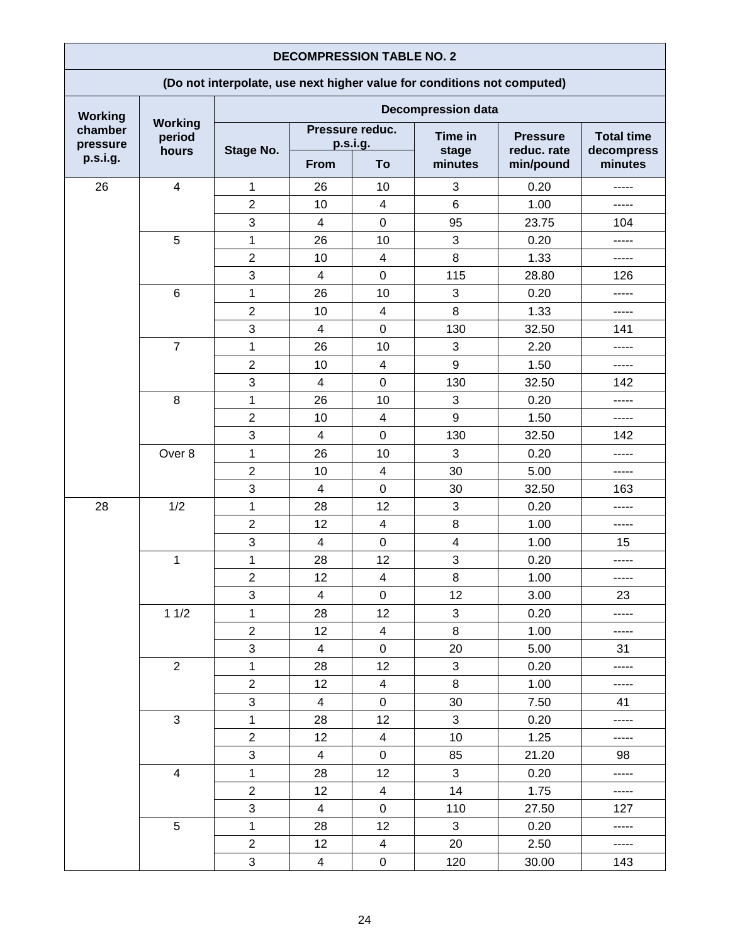|                     | <b>DECOMPRESSION TABLE NO. 2</b> |                  |                          |                             |                                                                         |                          |                       |  |  |  |
|---------------------|----------------------------------|------------------|--------------------------|-----------------------------|-------------------------------------------------------------------------|--------------------------|-----------------------|--|--|--|
|                     |                                  |                  |                          |                             | (Do not interpolate, use next higher value for conditions not computed) |                          |                       |  |  |  |
| Working             |                                  |                  |                          |                             | <b>Decompression data</b>                                               |                          |                       |  |  |  |
| chamber<br>pressure | <b>Working</b><br>period         |                  |                          | Pressure reduc.<br>p.s.i.g. | Time in                                                                 | <b>Pressure</b>          | <b>Total time</b>     |  |  |  |
| p.s.i.g.            | hours                            | <b>Stage No.</b> | <b>From</b>              | To                          | stage<br>minutes                                                        | reduc. rate<br>min/pound | decompress<br>minutes |  |  |  |
| 26                  | $\overline{\mathbf{4}}$          | 1                | 26                       | 10                          | $\sqrt{3}$                                                              | 0.20                     | -----                 |  |  |  |
|                     |                                  | $\overline{2}$   | 10                       | $\overline{4}$              | $\,6$                                                                   | 1.00                     | $- - - - -$           |  |  |  |
|                     |                                  | 3                | $\overline{\mathcal{A}}$ | $\mathbf 0$                 | 95                                                                      | 23.75                    | 104                   |  |  |  |
|                     | 5                                | 1                | 26                       | 10                          | 3                                                                       | 0.20                     | -----                 |  |  |  |
|                     |                                  | $\overline{2}$   | 10                       | $\overline{\mathcal{A}}$    | 8                                                                       | 1.33                     | -----                 |  |  |  |
|                     |                                  | 3                | 4                        | $\boldsymbol{0}$            | 115                                                                     | 28.80                    | 126                   |  |  |  |
|                     | $\,6$                            | 1                | 26                       | 10                          | 3                                                                       | 0.20                     | -----                 |  |  |  |
|                     |                                  | $\boldsymbol{2}$ | 10                       | 4                           | 8                                                                       | 1.33                     | -----                 |  |  |  |
|                     |                                  | 3                | 4                        | $\mathbf 0$                 | 130                                                                     | 32.50                    | 141                   |  |  |  |
|                     | $\overline{7}$                   | 1                | 26                       | 10                          | 3                                                                       | 2.20                     | -----                 |  |  |  |
|                     |                                  | $\overline{2}$   | 10                       | $\overline{\mathbf{4}}$     | $9\,$                                                                   | 1.50                     | -----                 |  |  |  |
|                     |                                  | 3                | 4                        | $\mathbf 0$                 | 130                                                                     | 32.50                    | 142                   |  |  |  |
|                     | 8                                | 1                | 26                       | 10                          | $\sqrt{3}$                                                              | 0.20                     | -----                 |  |  |  |
|                     |                                  | $\overline{2}$   | 10                       | $\overline{\mathbf{4}}$     | 9                                                                       | 1.50                     | -----                 |  |  |  |
|                     |                                  | 3                | $\overline{\mathcal{A}}$ | $\mathbf 0$                 | 130                                                                     | 32.50                    | 142                   |  |  |  |
|                     | Over 8                           | 1                | 26                       | 10                          | 3                                                                       | 0.20                     | -----                 |  |  |  |
|                     |                                  | $\overline{2}$   | 10                       | $\overline{4}$              | 30                                                                      | 5.00                     | -----                 |  |  |  |
|                     |                                  | 3                | $\overline{\mathcal{A}}$ | $\mathbf 0$                 | 30                                                                      | 32.50                    | 163                   |  |  |  |
| 28                  | 1/2                              | 1                | 28                       | 12                          | 3                                                                       | 0.20                     | -----                 |  |  |  |
|                     |                                  | $\overline{2}$   | 12                       | 4                           | 8                                                                       | 1.00                     | -----                 |  |  |  |
|                     |                                  | 3                | 4                        | $\mathbf 0$                 | 4                                                                       | 1.00                     | 15                    |  |  |  |
|                     | 1                                | 1                | 28                       | 12                          | 3                                                                       | 0.20                     | -----                 |  |  |  |
|                     |                                  | $\overline{c}$   | 12                       | $\overline{\mathcal{A}}$    | $\,8\,$                                                                 | 1.00                     |                       |  |  |  |
|                     |                                  | 3                | $\overline{4}$           | $\mathbf 0$                 | 12                                                                      | 3.00                     | 23                    |  |  |  |
|                     | 11/2                             | $\mathbf{1}$     | 28                       | 12                          | $\mathbf{3}$                                                            | 0.20                     | -----                 |  |  |  |
|                     |                                  | $\overline{2}$   | 12                       | $\overline{\mathbf{4}}$     | $\bf 8$                                                                 | 1.00                     | -----                 |  |  |  |
|                     |                                  | $\mathfrak{S}$   | $\overline{4}$           | $\mathbf 0$                 | 20                                                                      | 5.00                     | 31                    |  |  |  |
|                     | $\overline{2}$                   | $\mathbf 1$      | 28                       | 12                          | $\mathbf{3}$                                                            | 0.20                     | -----                 |  |  |  |
|                     |                                  | $\overline{2}$   | 12                       | $\overline{\mathbf{4}}$     | 8                                                                       | 1.00                     | $-----$               |  |  |  |
|                     |                                  | $\mathbf{3}$     | $\overline{4}$           | $\mathbf 0$                 | 30                                                                      | 7.50                     | 41                    |  |  |  |
|                     | 3                                | $\mathbf{1}$     | 28                       | 12                          | $\mathbf{3}$                                                            | 0.20                     | -----                 |  |  |  |
|                     |                                  | $\overline{2}$   | 12                       | $\overline{4}$              | 10                                                                      | 1.25                     | -----                 |  |  |  |
|                     |                                  | 3                | $\overline{4}$           | $\mathbf 0$                 | 85                                                                      | 21.20                    | 98                    |  |  |  |
|                     | $\overline{\mathbf{4}}$          | $\mathbf 1$      | 28                       | 12                          | $\mathbf{3}$                                                            | 0.20                     | -----                 |  |  |  |
|                     |                                  | $\overline{2}$   | 12                       | $\overline{4}$              | 14                                                                      | 1.75                     | $-----$               |  |  |  |
|                     |                                  | 3                | $\overline{\mathbf{4}}$  | $\pmb{0}$                   | 110                                                                     | 27.50                    | 127                   |  |  |  |
|                     | $\sqrt{5}$                       | 1                | 28                       | 12                          | 3                                                                       | 0.20                     | -----                 |  |  |  |
|                     |                                  | $\overline{2}$   | 12                       | $\overline{4}$              | 20                                                                      | 2.50                     | -----                 |  |  |  |
|                     |                                  | 3                | 4                        | $\pmb{0}$                   | 120                                                                     | 30.00                    | 143                   |  |  |  |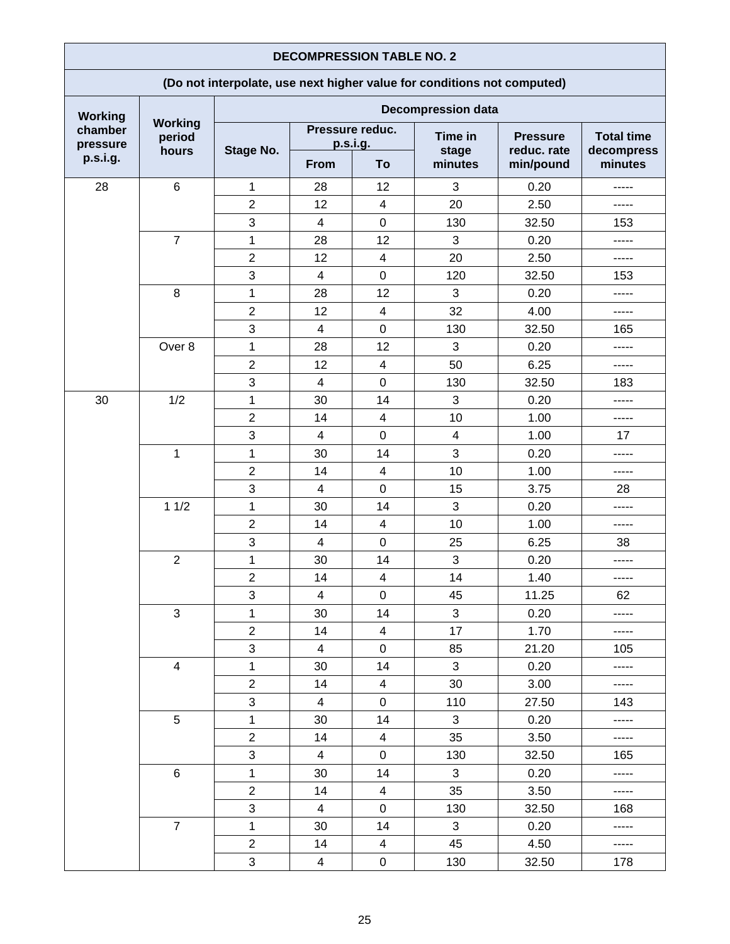| <b>DECOMPRESSION TABLE NO. 2</b> |                            |                  |                             |                         |                                                                         |                                |                                 |  |  |
|----------------------------------|----------------------------|------------------|-----------------------------|-------------------------|-------------------------------------------------------------------------|--------------------------------|---------------------------------|--|--|
|                                  |                            |                  |                             |                         | (Do not interpolate, use next higher value for conditions not computed) |                                |                                 |  |  |
| <b>Working</b>                   |                            |                  |                             |                         | <b>Decompression data</b>                                               |                                |                                 |  |  |
| chamber<br>pressure              | Working<br>period<br>hours | <b>Stage No.</b> | Pressure reduc.<br>p.s.i.g. |                         | Time in<br>stage                                                        | <b>Pressure</b><br>reduc. rate | <b>Total time</b><br>decompress |  |  |
| p.s.i.g.                         |                            |                  | <b>From</b>                 | To                      | minutes                                                                 | min/pound                      | minutes                         |  |  |
| 28                               | 6                          | $\mathbf{1}$     | 28                          | 12                      | 3                                                                       | 0.20                           | -----                           |  |  |
|                                  |                            | $\overline{2}$   | 12                          | $\overline{\mathbf{4}}$ | 20                                                                      | 2.50                           | -----                           |  |  |
|                                  |                            | 3                | 4                           | $\mathbf 0$             | 130                                                                     | 32.50                          | 153                             |  |  |
|                                  | $\overline{7}$             | $\mathbf 1$      | 28                          | 12                      | 3                                                                       | 0.20                           | -----                           |  |  |
|                                  |                            | $\overline{2}$   | 12                          | $\overline{\mathbf{4}}$ | 20                                                                      | 2.50                           | -----                           |  |  |
|                                  |                            | 3                | 4                           | $\boldsymbol{0}$        | 120                                                                     | 32.50                          | 153                             |  |  |
|                                  | 8                          | 1                | 28                          | 12                      | 3                                                                       | 0.20                           |                                 |  |  |
|                                  |                            | $\overline{2}$   | 12                          | $\overline{\mathbf{4}}$ | 32                                                                      | 4.00                           | -----                           |  |  |
|                                  |                            | 3                | $\overline{4}$              | $\mathbf 0$             | 130                                                                     | 32.50                          | 165                             |  |  |
|                                  | Over 8                     | $\mathbf{1}$     | 28                          | 12                      | $\mathbf{3}$                                                            | 0.20                           | -----                           |  |  |
|                                  |                            | $\overline{2}$   | 12                          | $\overline{\mathbf{4}}$ | 50                                                                      | 6.25                           | -----                           |  |  |
|                                  |                            | 3                | $\overline{4}$              | $\mathbf 0$             | 130                                                                     | 32.50                          | 183                             |  |  |
| 30                               | 1/2                        | $\mathbf{1}$     | 30                          | 14                      | 3                                                                       | 0.20                           | -----                           |  |  |
|                                  |                            | $\overline{2}$   | 14                          | $\overline{\mathbf{4}}$ | 10                                                                      | 1.00                           | -----                           |  |  |
|                                  |                            | 3                | $\overline{4}$              | $\mathbf 0$             | $\overline{\mathbf{4}}$                                                 | 1.00                           | 17                              |  |  |
|                                  | $\mathbf{1}$               | $\mathbf{1}$     | 30                          | 14                      | 3                                                                       | 0.20                           | -----                           |  |  |
|                                  |                            | $\overline{2}$   | 14                          | 4                       | 10                                                                      | 1.00                           | -----                           |  |  |
|                                  |                            | 3                | 4                           | $\mathbf 0$             | 15                                                                      | 3.75                           | 28                              |  |  |
|                                  | 11/2                       | $\mathbf{1}$     | 30                          | 14                      | $\mathbf{3}$                                                            | 0.20                           | -----                           |  |  |
|                                  |                            | $\overline{2}$   | 14                          | $\overline{\mathbf{4}}$ | 10                                                                      | 1.00                           | -----                           |  |  |
|                                  |                            | 3                | 4                           | $\mathbf 0$             | 25                                                                      | 6.25                           | 38                              |  |  |
|                                  | $\overline{2}$             | $\mathbf{1}$     | 30                          | 14                      | 3                                                                       | 0.20                           | -----                           |  |  |
|                                  |                            | $\overline{2}$   | 14                          | 4                       | 14                                                                      | 1.40                           | -----                           |  |  |
|                                  |                            | 3                | 4                           | $\mathbf 0$             | 45                                                                      | 11.25                          | 62                              |  |  |
|                                  | 3                          | $\mathbf{1}$     | 30                          | 14                      | $\mathbf{3}$                                                            | 0.20                           | -----                           |  |  |
|                                  |                            | $\overline{c}$   | 14                          | 4                       | 17                                                                      | 1.70                           | -----                           |  |  |
|                                  |                            | 3                | 4                           | $\pmb{0}$               | 85                                                                      | 21.20                          | 105                             |  |  |
|                                  | 4                          | 1                | 30                          | 14                      | $\mathbf{3}$                                                            | 0.20                           | -----                           |  |  |
|                                  |                            | $\overline{c}$   | 14                          | 4                       | 30                                                                      | 3.00                           | -----                           |  |  |
|                                  |                            | 3                | $\overline{4}$              | $\mathbf 0$             | 110                                                                     | 27.50                          | 143                             |  |  |
|                                  | 5                          | $\mathbf{1}$     | 30                          | 14                      | 3                                                                       | 0.20                           | -----                           |  |  |
|                                  |                            | $\overline{c}$   | 14                          | $\overline{4}$          | 35                                                                      | 3.50                           | -----                           |  |  |
|                                  |                            | 3                | $\overline{4}$              | $\pmb{0}$               | 130                                                                     | 32.50                          | 165                             |  |  |
|                                  | 6                          | 1                | 30                          | 14                      | 3                                                                       | 0.20                           | -----                           |  |  |
|                                  |                            | $\overline{c}$   | 14                          | 4                       | 35                                                                      | 3.50                           | -----                           |  |  |
|                                  |                            | 3                | 4                           | 0                       | 130                                                                     | 32.50                          | 168                             |  |  |
|                                  | $\overline{7}$             | $\mathbf{1}$     | 30                          | 14                      | 3                                                                       | 0.20                           | -----                           |  |  |
|                                  |                            | $\overline{2}$   | 14                          | 4                       | 45                                                                      | 4.50                           | -----                           |  |  |
|                                  |                            | 3                | $\overline{4}$              | $\pmb{0}$               | 130                                                                     | 32.50                          | 178                             |  |  |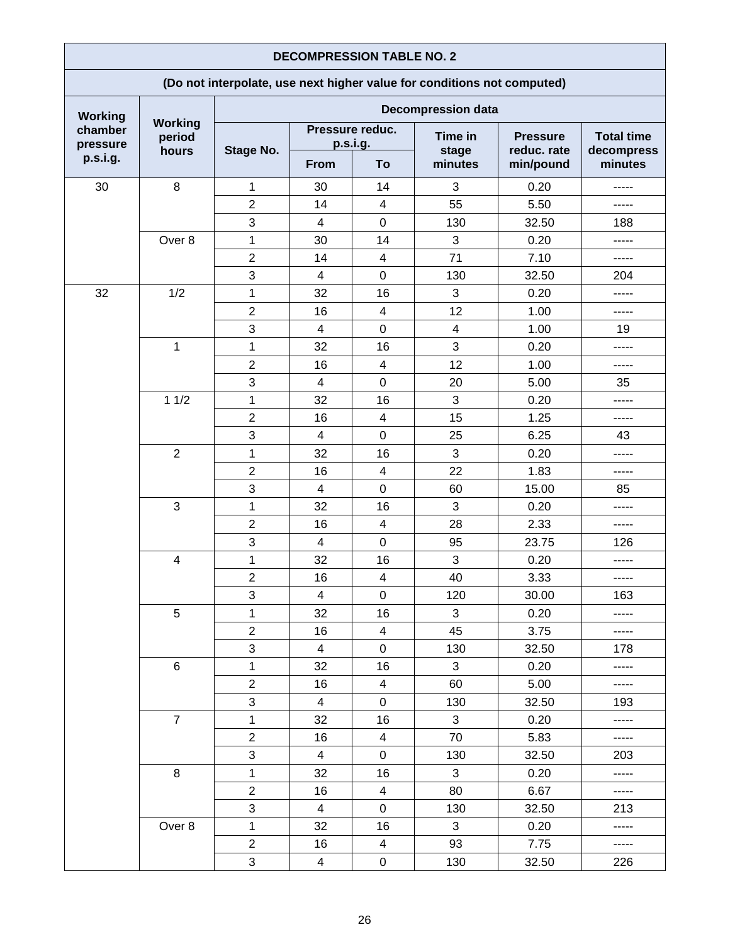| <b>DECOMPRESSION TABLE NO. 2</b>                                        |                          |                           |                             |                         |                          |                          |                       |  |  |  |
|-------------------------------------------------------------------------|--------------------------|---------------------------|-----------------------------|-------------------------|--------------------------|--------------------------|-----------------------|--|--|--|
| (Do not interpolate, use next higher value for conditions not computed) |                          |                           |                             |                         |                          |                          |                       |  |  |  |
| <b>Working</b>                                                          |                          | <b>Decompression data</b> |                             |                         |                          |                          |                       |  |  |  |
| chamber<br>pressure<br>p.s.i.g.                                         | <b>Working</b><br>period |                           | Pressure reduc.<br>p.s.i.g. |                         | Time in                  | <b>Pressure</b>          | <b>Total time</b>     |  |  |  |
|                                                                         | hours                    | <b>Stage No.</b>          | <b>From</b>                 | To                      | stage<br>minutes         | reduc. rate<br>min/pound | decompress<br>minutes |  |  |  |
| 30                                                                      | $\,8\,$                  | $\mathbf 1$               | 30                          | 14                      | 3                        | 0.20                     | -----                 |  |  |  |
|                                                                         |                          | $\overline{2}$            | 14                          | $\overline{\mathbf{4}}$ | 55                       | 5.50                     | -----                 |  |  |  |
|                                                                         |                          | 3                         | 4                           | 0                       | 130                      | 32.50                    | 188                   |  |  |  |
|                                                                         | Over 8                   | 1                         | 30                          | 14                      | $\mathbf{3}$             | 0.20                     | -----                 |  |  |  |
|                                                                         |                          | $\overline{2}$            | 14                          | $\overline{\mathbf{4}}$ | 71                       | 7.10                     | -----                 |  |  |  |
|                                                                         |                          | 3                         | 4                           | $\pmb{0}$               | 130                      | 32.50                    | 204                   |  |  |  |
| 32                                                                      | 1/2                      | 1                         | 32                          | 16                      | 3                        | 0.20                     | -----                 |  |  |  |
|                                                                         |                          | $\overline{c}$            | 16                          | 4                       | 12                       | 1.00                     | -----                 |  |  |  |
|                                                                         |                          | 3                         | 4                           | $\mathbf 0$             | $\overline{\mathcal{A}}$ | 1.00                     | 19                    |  |  |  |
|                                                                         | $\mathbf 1$              | 1                         | 32                          | 16                      | $\mathbf{3}$             | 0.20                     | -----                 |  |  |  |
|                                                                         |                          | $\overline{c}$            | 16                          | $\overline{4}$          | 12                       | 1.00                     | -----                 |  |  |  |
|                                                                         |                          | 3                         | 4                           | 0                       | 20                       | 5.00                     | 35                    |  |  |  |
|                                                                         | 11/2                     | 1                         | 32                          | 16                      | 3                        | 0.20                     | -----                 |  |  |  |
|                                                                         |                          | $\boldsymbol{2}$          | 16                          | 4                       | 15                       | 1.25                     | -----                 |  |  |  |
|                                                                         |                          | 3                         | 4                           | $\mathbf 0$             | 25                       | 6.25                     | 43                    |  |  |  |
|                                                                         | $\overline{2}$           | 1                         | 32                          | 16                      | $\mathbf{3}$             | 0.20                     | -----                 |  |  |  |
|                                                                         |                          | $\overline{2}$            | 16                          | $\overline{\mathbf{4}}$ | 22                       | 1.83                     | -----                 |  |  |  |
|                                                                         |                          | 3                         | 4                           | $\mathbf 0$             | 60                       | 15.00                    | 85                    |  |  |  |
|                                                                         | 3                        | 1                         | 32                          | 16                      | 3                        | 0.20                     | -----                 |  |  |  |
|                                                                         |                          | $\overline{c}$            | 16                          | 4                       | 28                       | 2.33                     | -----                 |  |  |  |
|                                                                         |                          | 3                         | 4                           | $\mathbf 0$             | 95                       | 23.75                    | 126                   |  |  |  |
|                                                                         | $\overline{\mathbf{4}}$  | 1                         | 32                          | 16                      | 3                        | 0.20                     | -----                 |  |  |  |
|                                                                         |                          | $\overline{\mathbf{c}}$   | 16                          | $\overline{\mathbf{4}}$ | 40                       | 3.33                     |                       |  |  |  |
|                                                                         |                          | 3                         | $\overline{\mathcal{A}}$    | $\mathbf 0$             | 120                      | 30.00                    | 163                   |  |  |  |
|                                                                         | 5                        | 1                         | 32                          | 16                      | $\mathbf{3}$             | 0.20                     | -----                 |  |  |  |
|                                                                         |                          | $\overline{2}$            | 16                          | $\overline{\mathbf{4}}$ | 45                       | 3.75                     | -----                 |  |  |  |
|                                                                         |                          | 3                         | $\overline{4}$              | 0                       | 130                      | 32.50                    | 178                   |  |  |  |
|                                                                         | $\,6$                    | $\mathbf{1}$              | 32                          | 16                      | 3                        | 0.20                     | -----                 |  |  |  |
|                                                                         |                          | $\overline{2}$            | 16                          | $\overline{\mathbf{4}}$ | 60                       | 5.00                     | -----                 |  |  |  |
|                                                                         |                          | 3                         | $\overline{\mathbf{4}}$     | $\mathbf 0$             | 130                      | 32.50                    | 193                   |  |  |  |
|                                                                         | $\overline{7}$           | $\mathbf{1}$              | 32                          | 16                      | $\mathbf{3}$             | 0.20                     | -----                 |  |  |  |
|                                                                         |                          | $\overline{c}$            | 16                          | $\overline{\mathbf{4}}$ | 70                       | 5.83                     | -----                 |  |  |  |
|                                                                         |                          | 3                         | $\overline{4}$              | $\pmb{0}$               | 130                      | 32.50                    | 203                   |  |  |  |
|                                                                         | 8                        | $\mathbf{1}$              | 32                          | 16                      | $\mathbf{3}$             | 0.20                     | -----                 |  |  |  |
|                                                                         |                          | $\overline{2}$            | 16                          | 4                       | 80                       | 6.67                     | -----                 |  |  |  |
|                                                                         |                          | 3                         | 4                           | 0                       | 130                      | 32.50                    | 213                   |  |  |  |
|                                                                         | Over 8                   | 1                         | 32                          | 16                      | 3                        | 0.20                     | -----                 |  |  |  |
|                                                                         |                          | $\overline{c}$            | 16                          | 4                       | 93                       | 7.75                     | -----                 |  |  |  |
|                                                                         |                          | 3                         | $\overline{\mathbf{4}}$     | $\pmb{0}$               | 130                      | 32.50                    | 226                   |  |  |  |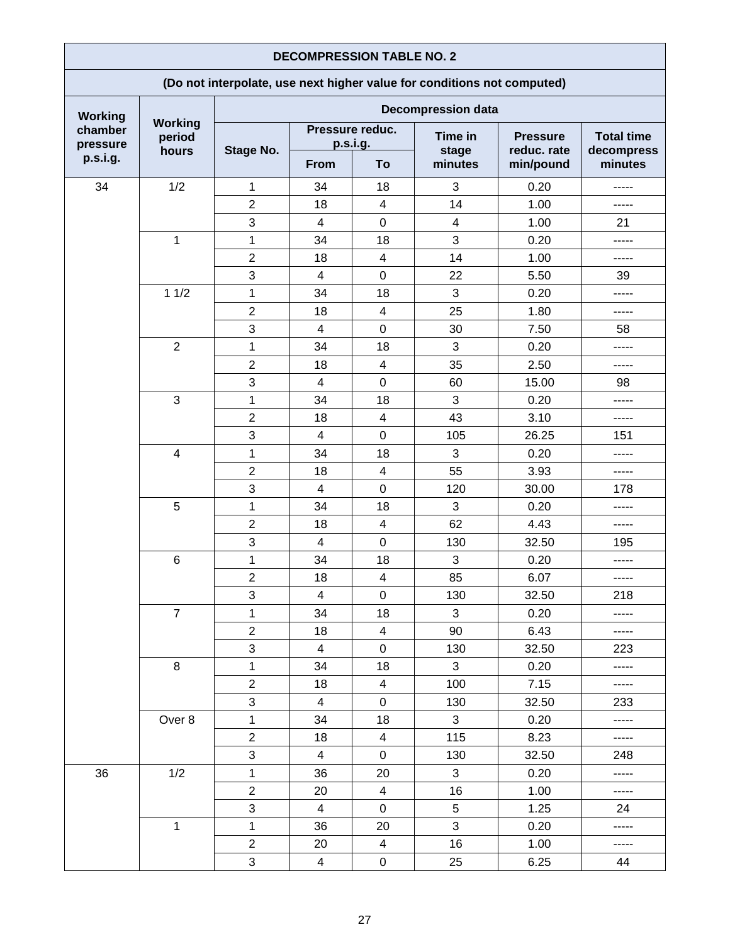#### **DECOMPRESSION TABLE NO. 2 (Do not interpolate, use next higher value for conditions not computed) Working chamber pressure p.s.i.g. Working period hours Decompression data Stage No. Pressure reduc. p.s.i.g. Time in stage minutes Pressure reduc. rate min/pound From To minutes Total time decompress**  34 | 1/2 | 1 | 34 | 18 | 3 | 0.20 | -----2 | 18 | 4 | 14 | 1.00 | -----3 4 0 4 1.00 21 1 | 1 | 34 | 18 | 3 | 0.20 | -----2 | 18 | 4 | 14 | 1.00 | -----3 4 0 22 5.50 39 1 1/2 | 1 | 34 | 18 | 3 | 0.20 | -----2 | 18 | 4 | 25 | 1.80 | -----3 4 0 30 7.50 58 2 | 1 | 34 | 18 | 3 | 0.20 | -----2 | 18 | 4 | 35 | 2.50 | -----3 4 0 60 15.00 98 3 | 1 | 34 | 18 | 3 | 0.20 | -----2 | 18 | 4 | 43 | 3.10 | -----3 4 0 105 26.25 151 4 | 1 | 34 | 18 | 3 | 0.20 | -----2 | 18 | 4 | 55 | 3.93 | -----3 4 0 120 30.00 178 5 | 1 | 34 | 18 | 3 | 0.20 | -----2 | 18 | 4 | 62 | 4.43 | -----3 | 4 | 0 | 130 | 32.50 | 195 6 | 1 | 34 | 18 | 3 | 0.20 | -----2 | 18 | 4 | 85 | 6.07 | -----3 4 0 130 32.50 218 7 | 1 | 34 | 18 | 3 | 0.20 | -----2 | 18 | 4 | 90 | 6.43 | -----3 4 0 130 32.50 223 8 | 1 | 34 | 18 | 3 | 0.20 | -----2 | 18 | 4 | 100 | 7.15 | -----3 4 0 130 32.50 233 Over 8 | 1 | 34 | 18 | 3 | 0.20 | -----2 | 18 | 4 | 115 | 8.23 | -----3 4 0 130 32.50 248 36 | 1/2 | 1 | 36 | 20 | 3 | 0.20 | -----2 | 20 | 4 | 16 | 1.00 | -----3 4 0 5 1.25 24 1 | 1 | 36 | 20 | 3 | 0.20 | -----2 | 20 | 4 | 16 | 1.00 | -----3 4 0 25 6.25 44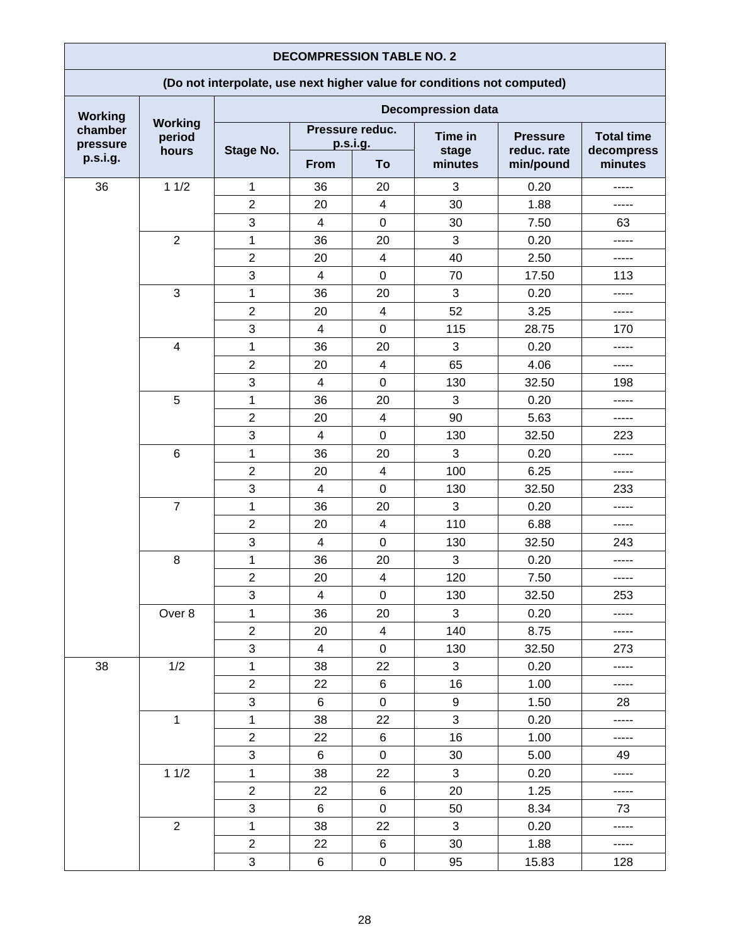#### **DECOMPRESSION TABLE NO. 2 (Do not interpolate, use next higher value for conditions not computed) Working chamber pressure p.s.i.g. Working period hours Decompression data Stage No. Pressure reduc. p.s.i.g. Time in stage minutes Pressure reduc. rate min/pound From To minutes Total time decompress**  36 | 1 1/2 | 1 | 36 | 20 | 3 | 0.20 | -----2 | 20 | 4 | 30 | 1.88 | -----3 4 0 30 7.50 63 2 | 1 | 36 | 20 | 3 | 0.20 | -----2 | 20 | 4 | 40 | 2.50 | -----3 | 4 | 0 | 70 | 17.50 | 113 3 | 1 | 36 | 20 | 3 | 0.20 | -----2 | 20 | 4 | 52 | 3.25 | -----3 | 4 | 0 | 115 | 28.75 | 170 4 | 1 | 36 | 20 | 3 | 0.20 | -----2 | 20 | 4 | 65 | 4.06 | -----3 4 0 130 32.50 198 5 | 1 | 36 | 20 | 3 | 0.20 | -----2 | 20 | 4 | 90 | 5.63 | -----3 4 0 130 32.50 223 6 | 1 | 36 | 20 | 3 | 0.20 | -----2 | 20 | 4 | 100 | 6.25 | -----3 4 0 130 32.50 233 7 | 1 | 36 | 20 | 3 | 0.20 | -----2 | 20 | 4 | 110 | 6.88 | -----3 4 0 130 32.50 243 8 | 1 | 36 | 20 | 3 | 0.20 | -----2 | 20 | 4 | 120 | 7.50 | -----3 4 0 130 32.50 253 Over 8 1 36 20 3 0.20 ----- 2 | 20 | 4 | 140 | 8.75 | -----3 4 0 130 32.50 273 38 | 1/2 | 1 | 38 | 22 | 3 | 0.20 | -----2 | 22 | 6 | 16 | 1.00 | -----3 6 0 9 1.50 28 1 | 1 | 38 | 22 | 3 | 0.20 | -----2 | 22 | 6 | 16 | 1.00 | -----3 6 0 30 5.00 49 1 1/2 | 1 | 38 | 22 | 3 | 0.20 | -----2 | 22 | 6 | 20 | 1.25 | -----3 6 0 50 8.34 73 2 | 1 | 38 | 22 | 3 | 0.20 | -----2 | 22 | 6 | 30 | 1.88 | -----3 6 0 95 15.83 128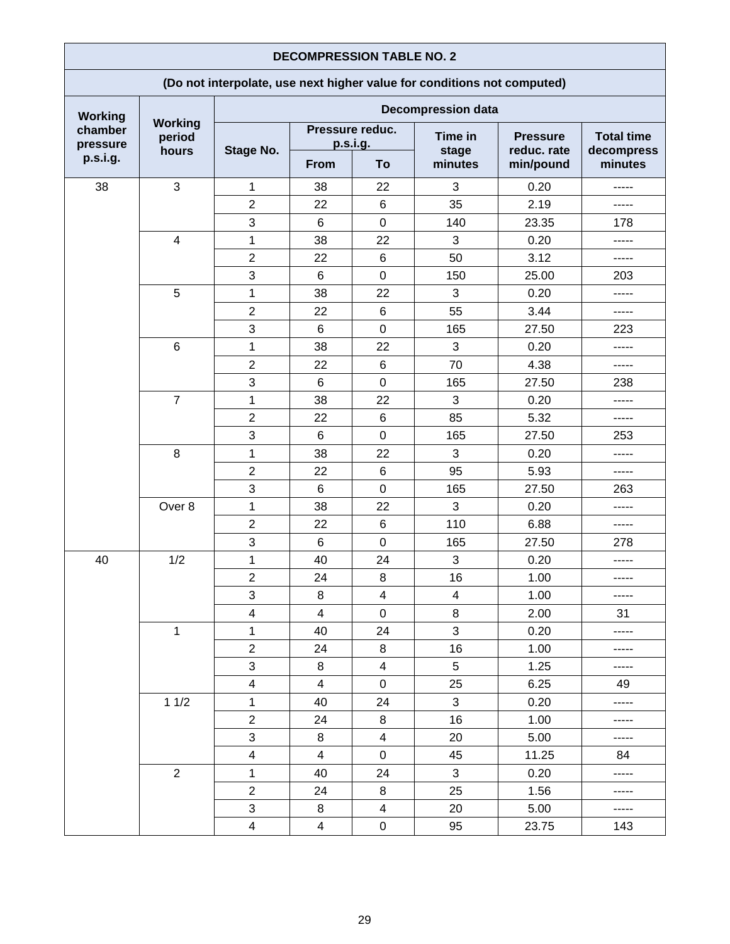| <b>DECOMPRESSION TABLE NO. 2</b>                                        |                                   |                           |                             |                 |                  |                                                                                                                                                                                                                                                                                                                                           |                                 |  |  |  |
|-------------------------------------------------------------------------|-----------------------------------|---------------------------|-----------------------------|-----------------|------------------|-------------------------------------------------------------------------------------------------------------------------------------------------------------------------------------------------------------------------------------------------------------------------------------------------------------------------------------------|---------------------------------|--|--|--|
| (Do not interpolate, use next higher value for conditions not computed) |                                   |                           |                             |                 |                  |                                                                                                                                                                                                                                                                                                                                           |                                 |  |  |  |
| <b>Working</b>                                                          |                                   | <b>Decompression data</b> |                             |                 |                  |                                                                                                                                                                                                                                                                                                                                           |                                 |  |  |  |
| chamber<br>pressure                                                     | <b>Working</b><br>period<br>hours | <b>Stage No.</b>          | Pressure reduc.<br>p.s.i.g. |                 | Time in<br>stage | <b>Pressure</b>                                                                                                                                                                                                                                                                                                                           | <b>Total time</b><br>decompress |  |  |  |
| p.s.i.g.                                                                |                                   |                           | From                        | To              | minutes          | reduc. rate<br>min/pound<br>0.20<br>2.19<br>23.35<br>0.20<br>3.12<br>25.00<br>0.20<br>3.44<br>27.50<br>0.20<br>4.38<br>27.50<br>0.20<br>5.32<br>27.50<br>0.20<br>5.93<br>27.50<br>0.20<br>6.88<br>27.50<br>0.20<br>1.00<br>1.00<br>2.00<br>0.20<br>1.00<br>1.25<br>6.25<br>0.20<br>1.00<br>5.00<br>11.25<br>0.20<br>1.56<br>5.00<br>23.75 | minutes                         |  |  |  |
| 38                                                                      | 3                                 | 1                         | 38                          | 22              | $\mathbf{3}$     |                                                                                                                                                                                                                                                                                                                                           | -----                           |  |  |  |
|                                                                         |                                   | $\overline{2}$            | 22                          | $6\phantom{1}6$ | 35               |                                                                                                                                                                                                                                                                                                                                           | -----                           |  |  |  |
|                                                                         |                                   | 3                         | 6                           | $\mathbf 0$     | 140              |                                                                                                                                                                                                                                                                                                                                           | 178                             |  |  |  |
|                                                                         | $\overline{4}$                    | 1                         | 38                          | 22              | $\mathbf{3}$     |                                                                                                                                                                                                                                                                                                                                           | -----                           |  |  |  |
|                                                                         |                                   | $\overline{2}$            | 22                          | 6               | 50               |                                                                                                                                                                                                                                                                                                                                           | -----                           |  |  |  |
|                                                                         |                                   | 3                         | $6\phantom{1}6$             | $\mathbf 0$     | 150              |                                                                                                                                                                                                                                                                                                                                           | 203                             |  |  |  |
|                                                                         | 5                                 | $\mathbf{1}$              | 38                          | 22              | 3                |                                                                                                                                                                                                                                                                                                                                           | -----                           |  |  |  |
|                                                                         |                                   | $\overline{2}$            | 22                          | $6\phantom{1}6$ | 55               |                                                                                                                                                                                                                                                                                                                                           | -----                           |  |  |  |
|                                                                         |                                   | 3                         | $6\phantom{1}6$             | $\mathbf 0$     | 165              |                                                                                                                                                                                                                                                                                                                                           | 223                             |  |  |  |
|                                                                         | $6\phantom{1}$                    | $\mathbf{1}$              | 38                          | 22              | 3                |                                                                                                                                                                                                                                                                                                                                           | -----                           |  |  |  |
|                                                                         |                                   | $\overline{2}$            | 22                          | 6               | 70               |                                                                                                                                                                                                                                                                                                                                           | -----                           |  |  |  |
|                                                                         |                                   | 3                         | $6\phantom{1}$              | $\mathbf 0$     | 165              |                                                                                                                                                                                                                                                                                                                                           | 238                             |  |  |  |
|                                                                         | $\overline{7}$                    | $\mathbf{1}$              | 38                          | 22              | 3                |                                                                                                                                                                                                                                                                                                                                           | -----                           |  |  |  |
|                                                                         |                                   | $\overline{2}$            | 22                          | $\,6$           | 85               |                                                                                                                                                                                                                                                                                                                                           | -----                           |  |  |  |
|                                                                         |                                   | 3                         | $6\phantom{1}6$             | $\mathbf 0$     | 165              |                                                                                                                                                                                                                                                                                                                                           | 253                             |  |  |  |
|                                                                         | 8                                 | $\mathbf{1}$              | 38                          | 22              | $\mathbf{3}$     |                                                                                                                                                                                                                                                                                                                                           | -----                           |  |  |  |
|                                                                         |                                   | $\overline{2}$            | 22                          | $\,6$           | 95               |                                                                                                                                                                                                                                                                                                                                           | -----                           |  |  |  |
|                                                                         |                                   | 3                         | $6\phantom{1}$              | $\mathbf 0$     | 165              |                                                                                                                                                                                                                                                                                                                                           | 263                             |  |  |  |
|                                                                         | Over 8                            | $\mathbf 1$               | 38                          | 22              | 3                |                                                                                                                                                                                                                                                                                                                                           | -----                           |  |  |  |
|                                                                         |                                   | $\overline{2}$            | 22                          | $\,6$           | 110              |                                                                                                                                                                                                                                                                                                                                           | -----                           |  |  |  |
|                                                                         |                                   | 3                         | $6\phantom{1}6$             | $\mathbf 0$     | 165              |                                                                                                                                                                                                                                                                                                                                           | 278                             |  |  |  |
| 40                                                                      | 1/2                               | 1                         | 40                          | 24              | $\sqrt{3}$       |                                                                                                                                                                                                                                                                                                                                           | -----                           |  |  |  |
|                                                                         |                                   | $\boldsymbol{2}$          | 24                          | $\bf 8$         | 16               |                                                                                                                                                                                                                                                                                                                                           | -----                           |  |  |  |
|                                                                         |                                   | 3                         | 8                           | $\overline{4}$  | 4                |                                                                                                                                                                                                                                                                                                                                           | -----                           |  |  |  |
|                                                                         |                                   | $\overline{\mathbf{4}}$   | $\overline{4}$              | $\mathbf 0$     | 8                |                                                                                                                                                                                                                                                                                                                                           | 31                              |  |  |  |
|                                                                         | $\mathbf{1}$                      | $\mathbf{1}$              | 40                          | 24              | 3                |                                                                                                                                                                                                                                                                                                                                           | -----                           |  |  |  |
|                                                                         |                                   | $\overline{2}$            | 24                          | 8               | 16               |                                                                                                                                                                                                                                                                                                                                           | -----                           |  |  |  |
|                                                                         |                                   | $\sqrt{3}$                | 8                           | $\overline{4}$  | 5                |                                                                                                                                                                                                                                                                                                                                           | -----                           |  |  |  |
|                                                                         |                                   | 4                         | 4                           | $\mathbf 0$     | 25               |                                                                                                                                                                                                                                                                                                                                           | 49                              |  |  |  |
|                                                                         | 11/2                              | 1                         | 40                          | 24              | 3                |                                                                                                                                                                                                                                                                                                                                           | -----                           |  |  |  |
|                                                                         |                                   | $\overline{2}$            | 24                          | 8               | 16               |                                                                                                                                                                                                                                                                                                                                           | -----                           |  |  |  |
|                                                                         |                                   | $\sqrt{3}$                | 8                           | 4               | 20               |                                                                                                                                                                                                                                                                                                                                           | -----                           |  |  |  |
|                                                                         |                                   | 4                         | $\overline{4}$              | $\mathbf 0$     | 45               |                                                                                                                                                                                                                                                                                                                                           | 84                              |  |  |  |
|                                                                         | $\overline{2}$                    | 1                         | 40                          | 24              | 3                |                                                                                                                                                                                                                                                                                                                                           | -----                           |  |  |  |
|                                                                         |                                   | $\boldsymbol{2}$          | 24                          | 8               | 25               |                                                                                                                                                                                                                                                                                                                                           | -----                           |  |  |  |
|                                                                         |                                   | $\ensuremath{\mathsf{3}}$ | 8                           | 4               | 20               |                                                                                                                                                                                                                                                                                                                                           | -----                           |  |  |  |
|                                                                         |                                   | $\overline{\mathbf{4}}$   | $\overline{\mathbf{4}}$     | $\pmb{0}$       | 95               |                                                                                                                                                                                                                                                                                                                                           | 143                             |  |  |  |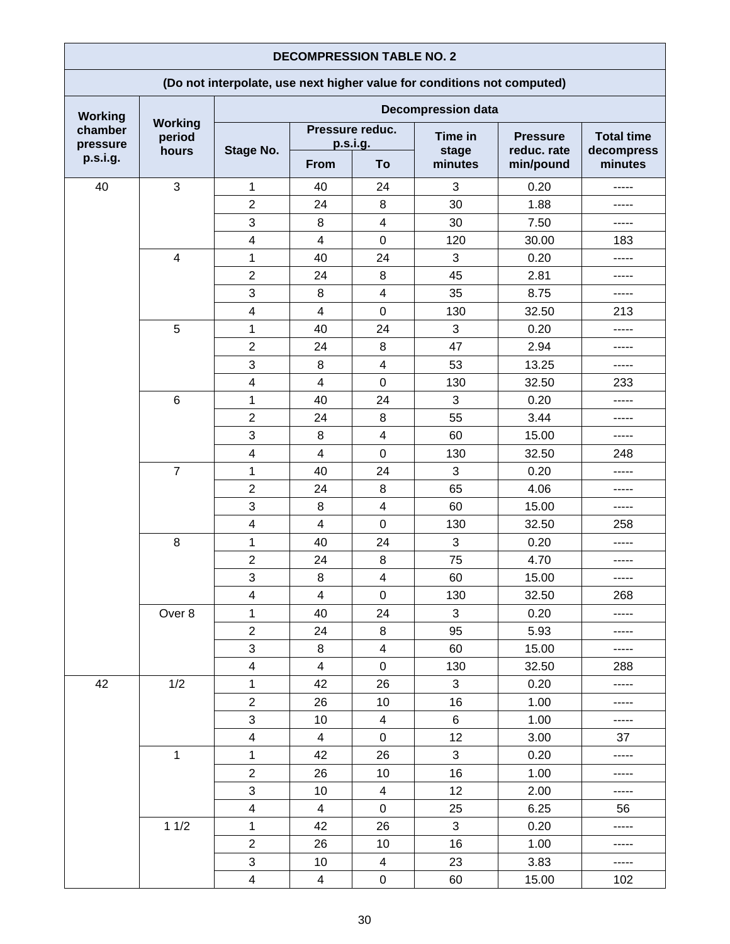| <b>DECOMPRESSION TABLE NO. 2</b>                                        |                                   |                           |                             |                         |                         |                                |                                 |  |  |  |
|-------------------------------------------------------------------------|-----------------------------------|---------------------------|-----------------------------|-------------------------|-------------------------|--------------------------------|---------------------------------|--|--|--|
| (Do not interpolate, use next higher value for conditions not computed) |                                   |                           |                             |                         |                         |                                |                                 |  |  |  |
| <b>Working</b>                                                          |                                   | <b>Decompression data</b> |                             |                         |                         |                                |                                 |  |  |  |
| chamber<br>pressure                                                     | <b>Working</b><br>period<br>hours | <b>Stage No.</b>          | Pressure reduc.<br>p.s.i.g. |                         | <b>Time in</b><br>stage | <b>Pressure</b><br>reduc. rate | <b>Total time</b><br>decompress |  |  |  |
| p.s.i.g.                                                                |                                   |                           | <b>From</b>                 | To                      | minutes                 | min/pound                      | minutes                         |  |  |  |
| 40                                                                      | 3                                 | $\mathbf 1$               | 40                          | 24                      | 3                       | 0.20                           | -----                           |  |  |  |
|                                                                         |                                   | $\overline{2}$            | 24                          | 8                       | 30                      | 1.88                           | -----                           |  |  |  |
|                                                                         |                                   | $\mathfrak{S}$            | $\, 8$                      | $\overline{\mathbf{4}}$ | 30                      | 7.50                           | -----                           |  |  |  |
|                                                                         |                                   | $\overline{\mathbf{4}}$   | $\overline{\mathbf{4}}$     | $\mathbf 0$             | 120                     | 30.00                          | 183                             |  |  |  |
|                                                                         | $\overline{4}$                    | $\mathbf{1}$              | 40                          | 24                      | 3                       | 0.20                           | -----                           |  |  |  |
|                                                                         |                                   | $\overline{2}$            | 24                          | 8                       | 45                      | 2.81                           | -----                           |  |  |  |
|                                                                         |                                   | 3                         | 8                           | $\overline{4}$          | 35                      | 8.75                           | -----                           |  |  |  |
|                                                                         |                                   | $\overline{\mathbf{4}}$   | $\overline{\mathbf{4}}$     | $\mathbf 0$             | 130                     | 32.50                          | 213                             |  |  |  |
|                                                                         | 5                                 | $\mathbf{1}$              | 40                          | 24                      | 3                       | 0.20                           | -----                           |  |  |  |
|                                                                         |                                   | $\overline{2}$            | 24                          | 8                       | 47                      | 2.94                           | -----                           |  |  |  |
|                                                                         |                                   | 3                         | 8                           | $\overline{4}$          | 53                      | 13.25                          | -----                           |  |  |  |
|                                                                         |                                   | $\overline{\mathbf{4}}$   | 4                           | $\mathbf 0$             | 130                     | 32.50                          | 233                             |  |  |  |
|                                                                         | 6                                 | $\mathbf{1}$              | 40                          | 24                      | 3                       | 0.20                           | -----                           |  |  |  |
|                                                                         |                                   | $\mathbf 2$               | 24                          | 8                       | 55                      | 3.44                           | -----                           |  |  |  |
|                                                                         |                                   | 3                         | $\, 8$                      | $\overline{4}$          | 60                      | 15.00                          | -----                           |  |  |  |
|                                                                         |                                   | $\overline{\mathbf{4}}$   | 4                           | $\mathbf 0$             | 130                     | 32.50                          | 248                             |  |  |  |
|                                                                         | $\overline{7}$                    | $\mathbf{1}$              | 40                          | 24                      | 3                       | 0.20                           | -----                           |  |  |  |
|                                                                         |                                   | $\overline{2}$            | 24                          | 8                       | 65                      | 4.06                           | -----                           |  |  |  |
|                                                                         |                                   | 3                         | 8                           | 4                       | 60                      | 15.00                          | -----                           |  |  |  |
|                                                                         |                                   | $\overline{\mathbf{4}}$   | 4                           | $\mathbf 0$             | 130                     | 32.50                          | 258                             |  |  |  |
|                                                                         | $\,8\,$                           | 1                         | 40                          | 24                      | 3                       | 0.20                           | -----                           |  |  |  |
|                                                                         |                                   | $\mathbf 2$               | 24                          | 8                       | 75                      | 4.70                           | -----                           |  |  |  |
|                                                                         |                                   | 3                         | 8                           | $\overline{\mathbf{4}}$ | 60                      | 15.00                          |                                 |  |  |  |
|                                                                         |                                   | 4                         | 4                           | 0                       | 130                     | 32.50                          | 268                             |  |  |  |
|                                                                         | Over 8                            | 1                         | 40                          | 24                      | 3                       | 0.20                           | -----                           |  |  |  |
|                                                                         |                                   | $\boldsymbol{2}$          | 24                          | 8                       | 95                      | 5.93                           | -----                           |  |  |  |
|                                                                         |                                   | 3                         | 8                           | 4                       | 60                      | 15.00                          | -----                           |  |  |  |
|                                                                         |                                   | $\overline{\mathbf{4}}$   | $\overline{4}$              | $\mathbf 0$             | 130                     | 32.50                          | 288                             |  |  |  |
| 42                                                                      | 1/2                               | 1                         | 42                          | 26                      | 3                       | 0.20                           | -----                           |  |  |  |
|                                                                         |                                   | $\boldsymbol{2}$          | 26                          | 10                      | 16                      | 1.00                           | -----                           |  |  |  |
|                                                                         |                                   | 3                         | 10                          | $\overline{4}$          | 6                       | 1.00                           | -----                           |  |  |  |
|                                                                         |                                   | $\overline{\mathbf{4}}$   | $\overline{\mathbf{4}}$     | $\boldsymbol{0}$        | 12                      | 3.00                           | 37                              |  |  |  |
|                                                                         | $\mathbf{1}$                      | 1                         | 42                          | 26                      | 3                       | 0.20                           | -----                           |  |  |  |
|                                                                         |                                   | $\overline{c}$            | 26                          | 10                      | 16                      | 1.00                           | -----                           |  |  |  |
|                                                                         |                                   | $\ensuremath{\mathsf{3}}$ | 10                          | 4                       | 12                      | 2.00                           | -----                           |  |  |  |
|                                                                         |                                   | $\overline{\mathbf{4}}$   | $\overline{\mathbf{4}}$     | $\pmb{0}$               | 25                      | 6.25                           | 56                              |  |  |  |
|                                                                         | 11/2                              | 1                         | 42                          | 26                      | $\mathbf{3}$            | 0.20                           | -----                           |  |  |  |
|                                                                         |                                   | $\overline{2}$            | 26                          | 10                      | 16                      | 1.00                           | -----                           |  |  |  |
|                                                                         |                                   | $\mathsf 3$               | 10                          | $\overline{4}$          | 23                      | 3.83                           | -----                           |  |  |  |
|                                                                         |                                   | $\overline{\mathbf{4}}$   | $\overline{\mathbf{4}}$     | $\mathbf 0$             | 60                      | 15.00                          | 102                             |  |  |  |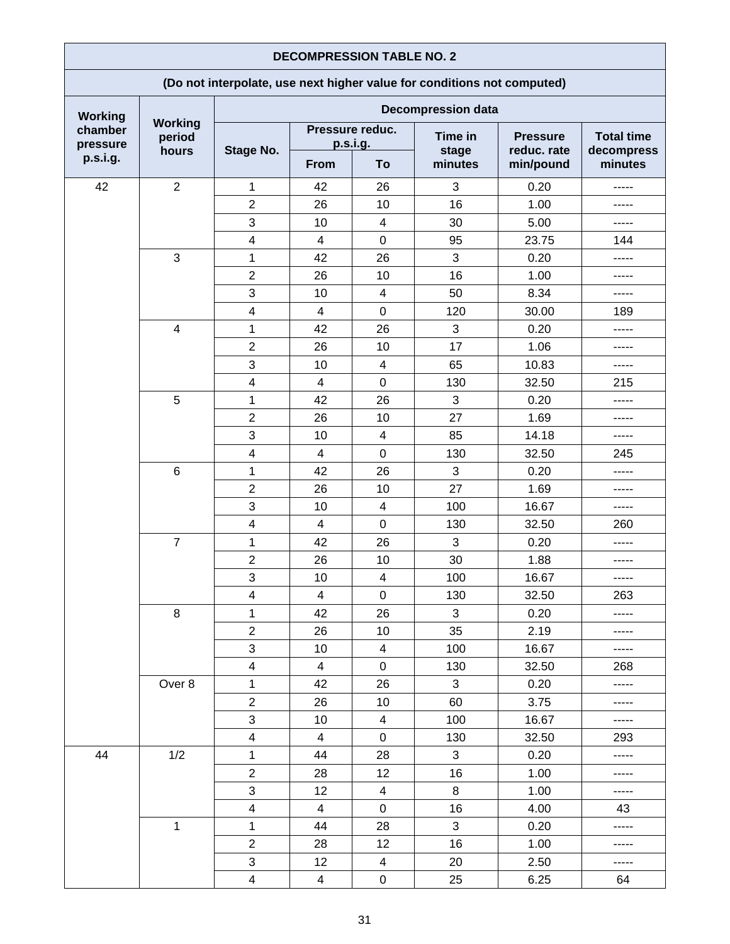| <b>DECOMPRESSION TABLE NO. 2</b>                                        |                                   |                           |                             |                         |                       |                          |                       |  |  |  |
|-------------------------------------------------------------------------|-----------------------------------|---------------------------|-----------------------------|-------------------------|-----------------------|--------------------------|-----------------------|--|--|--|
| (Do not interpolate, use next higher value for conditions not computed) |                                   |                           |                             |                         |                       |                          |                       |  |  |  |
| <b>Working</b>                                                          | <b>Working</b><br>period<br>hours | <b>Decompression data</b> |                             |                         |                       |                          |                       |  |  |  |
| chamber<br>pressure                                                     |                                   |                           | Pressure reduc.<br>p.s.i.g. |                         | <b>Time in</b>        | <b>Pressure</b>          | <b>Total time</b>     |  |  |  |
| p.s.i.g.                                                                |                                   | <b>Stage No.</b>          | <b>From</b>                 | To                      | stage<br>minutes      | reduc. rate<br>min/pound | decompress<br>minutes |  |  |  |
| 42                                                                      | $\overline{2}$                    | $\mathbf{1}$              | 42                          | 26                      | $\mathbf{3}$          | 0.20                     | -----                 |  |  |  |
|                                                                         |                                   | $\overline{2}$            | 26                          | 10                      | 16                    | 1.00                     | -----                 |  |  |  |
|                                                                         |                                   | 3                         | 10                          | $\overline{\mathbf{4}}$ | 30                    | 5.00                     | -----                 |  |  |  |
|                                                                         |                                   | $\overline{\mathbf{4}}$   | $\overline{4}$              | $\mathbf 0$             | 95                    | 23.75                    | 144                   |  |  |  |
|                                                                         | 3                                 | $\mathbf{1}$              | 42                          | 26                      | 3                     | 0.20                     | -----                 |  |  |  |
|                                                                         |                                   | $\overline{2}$            | 26                          | 10                      | 16                    | 1.00                     | -----                 |  |  |  |
|                                                                         |                                   | 3                         | 10                          | $\overline{\mathbf{4}}$ | 50                    | 8.34                     | -----                 |  |  |  |
|                                                                         |                                   | $\overline{\mathbf{4}}$   | $\overline{4}$              | $\mathbf 0$             | 120                   | 30.00                    | 189                   |  |  |  |
|                                                                         | $\overline{4}$                    | 1                         | 42                          | 26                      | 3                     | 0.20                     | -----                 |  |  |  |
|                                                                         |                                   | $\overline{2}$            | 26                          | 10                      | 17                    | 1.06                     | -----                 |  |  |  |
|                                                                         |                                   | 3                         | 10                          | $\overline{\mathbf{4}}$ | 65                    | 10.83                    | -----                 |  |  |  |
|                                                                         |                                   | $\overline{\mathcal{A}}$  | 4                           | $\mathbf 0$             | 130                   | 32.50                    | 215                   |  |  |  |
|                                                                         | 5                                 | 1                         | 42                          | 26                      | $\mathbf{3}$          | 0.20                     | -----                 |  |  |  |
|                                                                         |                                   | $\overline{2}$            | 26                          | 10                      | 27                    | 1.69                     | -----                 |  |  |  |
|                                                                         |                                   | 3                         | 10                          | $\overline{4}$          | 85                    | 14.18                    | -----                 |  |  |  |
|                                                                         | $\,6$                             | $\overline{\mathcal{A}}$  | 4<br>42                     | $\mathbf 0$<br>26       | 130<br>$\mathfrak{B}$ | 32.50<br>0.20            | 245<br>-----          |  |  |  |
|                                                                         |                                   | 1<br>$\overline{2}$       | 26                          | 10                      | 27                    | 1.69                     |                       |  |  |  |
|                                                                         |                                   | 3                         | 10                          | $\overline{4}$          | 100                   | 16.67                    | -----<br>-----        |  |  |  |
|                                                                         |                                   | $\overline{\mathbf{4}}$   | 4                           | $\mathbf 0$             | 130                   | 32.50                    | 260                   |  |  |  |
|                                                                         | $\overline{7}$                    | 1                         | 42                          | 26                      | 3                     | 0.20                     | -----                 |  |  |  |
|                                                                         |                                   | $\overline{2}$            | 26                          | 10                      | 30                    | 1.88                     | -----                 |  |  |  |
|                                                                         |                                   | 3                         | 10                          | $\overline{\mathbf{4}}$ | 100                   | 16.67                    |                       |  |  |  |
|                                                                         |                                   | 4                         | 4                           | 0                       | 130                   | 32.50                    | 263                   |  |  |  |
|                                                                         | $\bf 8$                           | 1                         | 42                          | 26                      | 3                     | 0.20                     | -----                 |  |  |  |
|                                                                         |                                   | $\overline{2}$            | 26                          | 10                      | 35                    | 2.19                     | -----                 |  |  |  |
|                                                                         |                                   | 3                         | 10                          | $\overline{4}$          | 100                   | 16.67                    | -----                 |  |  |  |
|                                                                         |                                   | $\overline{\mathbf{4}}$   | $\overline{\mathbf{4}}$     | $\mathsf 0$             | 130                   | 32.50                    | 268                   |  |  |  |
|                                                                         | Over 8                            | 1                         | 42                          | 26                      | $\mathbf{3}$          | 0.20                     | -----                 |  |  |  |
|                                                                         |                                   | $\overline{2}$            | 26                          | 10                      | 60                    | 3.75                     | -----                 |  |  |  |
|                                                                         |                                   | 3                         | 10                          | $\overline{4}$          | 100                   | 16.67                    | -----                 |  |  |  |
|                                                                         |                                   | $\overline{\mathbf{4}}$   | 4                           | 0                       | 130                   | 32.50                    | 293                   |  |  |  |
| 44                                                                      | 1/2                               | 1                         | 44                          | 28                      | 3                     | 0.20                     | -----                 |  |  |  |
|                                                                         |                                   | $\overline{2}$            | 28                          | 12                      | 16                    | 1.00                     | -----                 |  |  |  |
|                                                                         |                                   | 3                         | 12                          | $\overline{4}$          | 8                     | 1.00                     | -----                 |  |  |  |
|                                                                         |                                   | $\overline{\mathbf{4}}$   | $\overline{4}$              | 0                       | 16                    | 4.00                     | 43                    |  |  |  |
|                                                                         | $\mathbf 1$                       | 1                         | 44                          | 28                      | 3                     | 0.20                     | -----                 |  |  |  |
|                                                                         |                                   | $\overline{2}$            | 28                          | 12                      | 16                    | 1.00                     | -----                 |  |  |  |
|                                                                         |                                   | $\sqrt{3}$                | 12                          | 4                       | 20                    | 2.50                     | -----                 |  |  |  |
|                                                                         |                                   | $\overline{4}$            | $\overline{4}$              | 0                       | 25                    | 6.25                     | 64                    |  |  |  |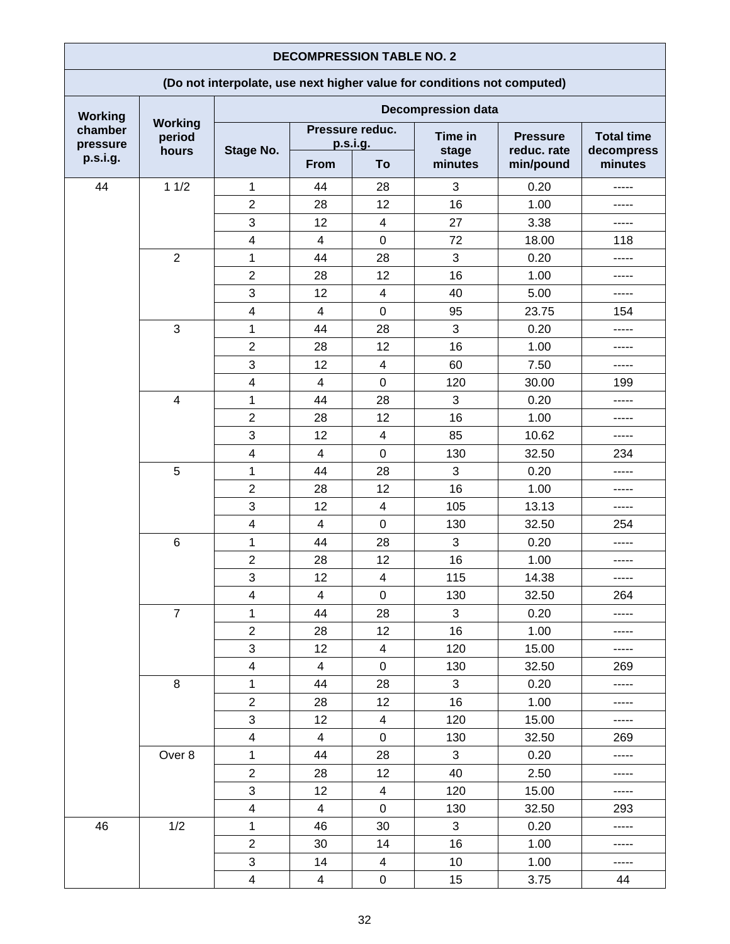#### **DECOMPRESSION TABLE NO. 2 (Do not interpolate, use next higher value for conditions not computed) Working chamber pressure p.s.i.g. Working period hours Decompression data Stage No. Pressure reduc. p.s.i.g. Time in stage minutes Pressure reduc. rate min/pound From To minutes Total time decompress**  44 | 1 1/2 | 1 | 44 | 28 | 3 | 0.20 | -----2 | 28 | 12 | 16 | 1.00 | -----3 | 12 | 4 | 27 | 3.38 | -----4 | 4 | 0 | 72 | 18.00 | 118 2 | 1 | 44 | 28 | 3 | 0.20 | -----2 | 28 | 12 | 16 | 1.00 | -----3 | 12 | 4 | 40 | 5.00 | -----4 | 4 | 0 | 95 | 23.75 | 154 3 | 1 | 44 | 28 | 3 | 0.20 | -----2 | 28 | 12 | 16 | 1.00 | -----3 | 12 | 4 | 60 | 7.50 | -----4 | 4 | 0 | 120 | 30.00 | 199 4 | 1 | 44 | 28 | 3 | 0.20 | -----2 | 28 | 12 | 16 | 1.00 | -----3 | 12 | 4 | 85 | 10.62 | -----4 | 4 | 0 | 130 | 32.50 | 234 5 | 1 | 44 | 28 | 3 | 0.20 | -----2 | 28 | 12 | 16 | 1.00 | -----3 | 12 | 4 | 105 | 13.13 | -----4 | 4 | 0 | 130 | 32.50 | 254 6 | 1 | 44 | 28 | 3 | 0.20 | -----2 | 28 | 12 | 16 | 1.00 | -----3 | 12 | 4 | 115 | 14.38 | -----4 | 4 | 0 | 130 | 32.50 | 264 7 | 1 | 44 | 28 | 3 | 0.20 | -----2 | 28 | 12 | 16 | 1.00 | -----3 | 12 | 4 | 120 | 15.00 | -----4 | 4 | 0 | 130 | 32.50 | 269 8 | 1 | 44 | 28 | 3 | 0.20 | -----2 | 28 | 12 | 16 | 1.00 | -----3 | 12 | 4 | 120 | 15.00 | -----4 | 4 | 0 | 130 | 32.50 | 269 Over 8 | 1 | 44 | 28 | 3 | 0.20 | -----2 | 28 | 12 | 40 | 2.50 | -----3 | 12 | 4 | 120 | 15.00 | -----

46 | 1/2 | 1 | 46 | 30 | 3 | 0.20 | -----

4 | 4 | 0 | 130 | 32.50 | 293

2 | 30 | 14 | 16 | 1.00 | -----3 | 14 | 4 | 10 | 1.00 | -----4 | 4 | 0 | 15 | 3.75 | 44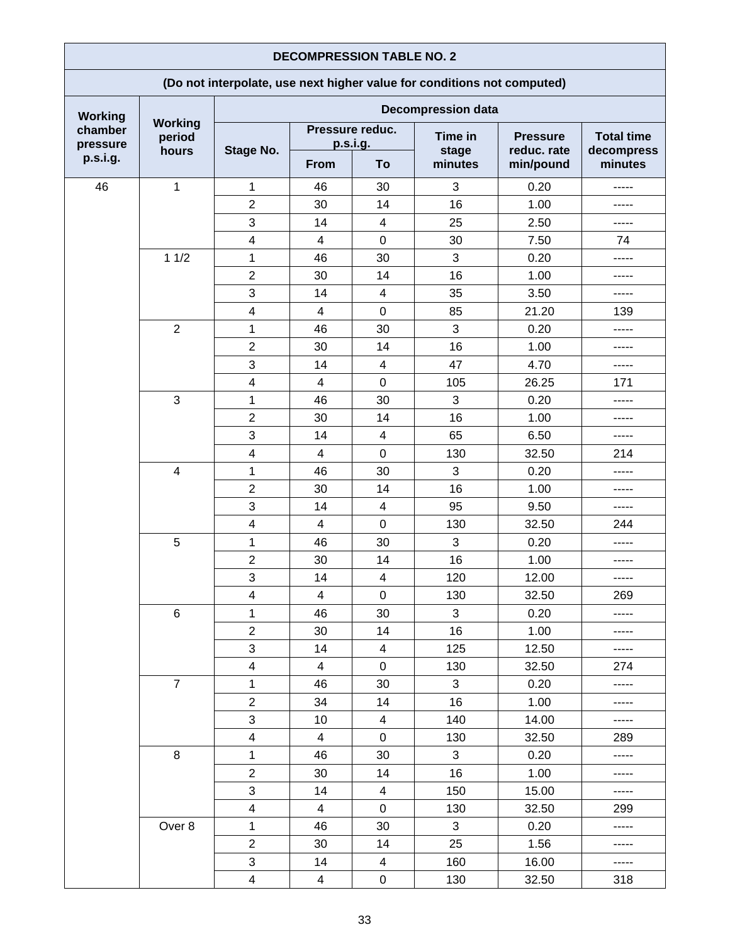| <b>DECOMPRESSION TABLE NO. 2</b>                                        |                          |                           |                             |                         |                  |                          |                       |  |  |  |
|-------------------------------------------------------------------------|--------------------------|---------------------------|-----------------------------|-------------------------|------------------|--------------------------|-----------------------|--|--|--|
| (Do not interpolate, use next higher value for conditions not computed) |                          |                           |                             |                         |                  |                          |                       |  |  |  |
| <b>Working</b><br>chamber<br>pressure                                   |                          | <b>Decompression data</b> |                             |                         |                  |                          |                       |  |  |  |
|                                                                         | <b>Working</b><br>period |                           | Pressure reduc.<br>p.s.i.g. |                         | Time in          | <b>Pressure</b>          | <b>Total time</b>     |  |  |  |
| p.s.i.g.                                                                | hours                    | <b>Stage No.</b>          | <b>From</b>                 | To                      | stage<br>minutes | reduc. rate<br>min/pound | decompress<br>minutes |  |  |  |
| 46                                                                      | 1                        | $\mathbf 1$               | 46                          | 30                      | 3                | 0.20                     | -----                 |  |  |  |
|                                                                         |                          | $\overline{2}$            | 30                          | 14                      | 16               | 1.00                     | -----                 |  |  |  |
|                                                                         |                          | 3                         | 14                          | $\overline{\mathbf{4}}$ | 25               | 2.50                     | -----                 |  |  |  |
|                                                                         |                          | $\overline{\mathbf{4}}$   | $\overline{4}$              | $\mathbf 0$             | 30               | 7.50                     | 74                    |  |  |  |
|                                                                         | 11/2                     | $\mathbf{1}$              | 46                          | 30                      | 3                | 0.20                     | -----                 |  |  |  |
|                                                                         |                          | $\overline{2}$            | 30                          | 14                      | 16               | 1.00                     | -----                 |  |  |  |
|                                                                         |                          | 3                         | 14                          | $\overline{4}$          | 35               | 3.50                     | -----                 |  |  |  |
|                                                                         |                          | $\overline{\mathbf{4}}$   | 4                           | $\mathbf 0$             | 85               | 21.20                    | 139                   |  |  |  |
|                                                                         | $\overline{2}$           | 1                         | 46                          | 30                      | 3                | 0.20                     | -----                 |  |  |  |
|                                                                         |                          | $\overline{2}$            | 30                          | 14                      | 16               | 1.00                     | -----                 |  |  |  |
|                                                                         |                          | 3                         | 14                          | $\overline{4}$          | 47               | 4.70                     | -----                 |  |  |  |
|                                                                         |                          | $\overline{\mathbf{4}}$   | 4                           | $\mathbf 0$             | 105              | 26.25                    | 171                   |  |  |  |
|                                                                         | 3                        | 1                         | 46                          | 30                      | 3                | 0.20                     | -----                 |  |  |  |
|                                                                         |                          | $\overline{2}$            | 30                          | 14                      | 16               | 1.00                     | -----                 |  |  |  |
|                                                                         |                          | 3                         | 14                          | $\overline{4}$          | 65               | 6.50                     | -----                 |  |  |  |
|                                                                         |                          | $\overline{\mathbf{4}}$   | 4                           | $\mathbf 0$             | 130              | 32.50                    | 214                   |  |  |  |
|                                                                         | $\overline{\mathbf{4}}$  | 1                         | 46                          | 30                      | $\mathbf{3}$     | 0.20                     | -----                 |  |  |  |
|                                                                         |                          | $\overline{2}$            | 30                          | 14                      | 16               | 1.00                     | -----                 |  |  |  |
|                                                                         |                          | 3                         | 14                          | $\overline{4}$          | 95               | 9.50                     | -----                 |  |  |  |
|                                                                         |                          | $\overline{\mathbf{4}}$   | 4                           | $\overline{0}$          | 130              | 32.50                    | 244                   |  |  |  |
|                                                                         | 5                        | 1                         | 46                          | 30                      | 3                | 0.20                     | -----                 |  |  |  |
|                                                                         |                          | $\overline{2}$            | 30                          | 14                      | 16               | 1.00                     | -----                 |  |  |  |
|                                                                         |                          | $\mathfrak{S}$            | 14                          | $\overline{\mathbf{4}}$ | 120              | 12.00                    |                       |  |  |  |
|                                                                         |                          | 4                         | 4                           | 0                       | 130              | 32.50                    | 269                   |  |  |  |
|                                                                         | 6                        | 1                         | 46                          | 30                      | 3                | 0.20                     | -----                 |  |  |  |
|                                                                         |                          | $\boldsymbol{2}$          | 30                          | 14                      | 16               | 1.00                     | -----                 |  |  |  |
|                                                                         |                          | 3                         | 14                          | 4                       | 125              | 12.50                    | -----                 |  |  |  |
|                                                                         |                          | $\overline{\mathbf{4}}$   | 4                           | $\pmb{0}$               | 130              | 32.50                    | 274                   |  |  |  |
|                                                                         | $\overline{7}$           | 1                         | 46                          | 30                      | 3                | 0.20                     | -----                 |  |  |  |
|                                                                         |                          | $\overline{2}$            | 34                          | 14                      | 16               | 1.00                     | -----                 |  |  |  |
|                                                                         |                          | 3                         | 10                          | 4                       | 140              | 14.00                    | -----                 |  |  |  |
|                                                                         |                          | $\overline{\mathbf{4}}$   | $\overline{4}$              | $\pmb{0}$               | 130              | 32.50                    | 289                   |  |  |  |
|                                                                         | 8                        | 1                         | 46                          | 30                      | 3                | 0.20                     | -----                 |  |  |  |
|                                                                         |                          | $\overline{2}$            | 30                          | 14                      | 16               | 1.00                     | -----                 |  |  |  |
|                                                                         |                          | 3                         | 14                          | $\overline{4}$          | 150              | 15.00                    | -----                 |  |  |  |
|                                                                         |                          | $\overline{4}$            | $\overline{4}$              | $\mathbf 0$             | 130              | 32.50                    | 299                   |  |  |  |
|                                                                         | Over 8                   | 1                         | 46                          | 30                      | 3                | 0.20                     | -----                 |  |  |  |
|                                                                         |                          | $\overline{2}$            | 30                          | 14                      | 25               | 1.56                     | -----                 |  |  |  |
|                                                                         |                          | $\sqrt{3}$                | 14                          | 4                       | 160              | 16.00                    | -----                 |  |  |  |
|                                                                         |                          | $\overline{\mathbf{4}}$   | $\overline{4}$              | $\pmb{0}$               | 130              | 32.50                    | 318                   |  |  |  |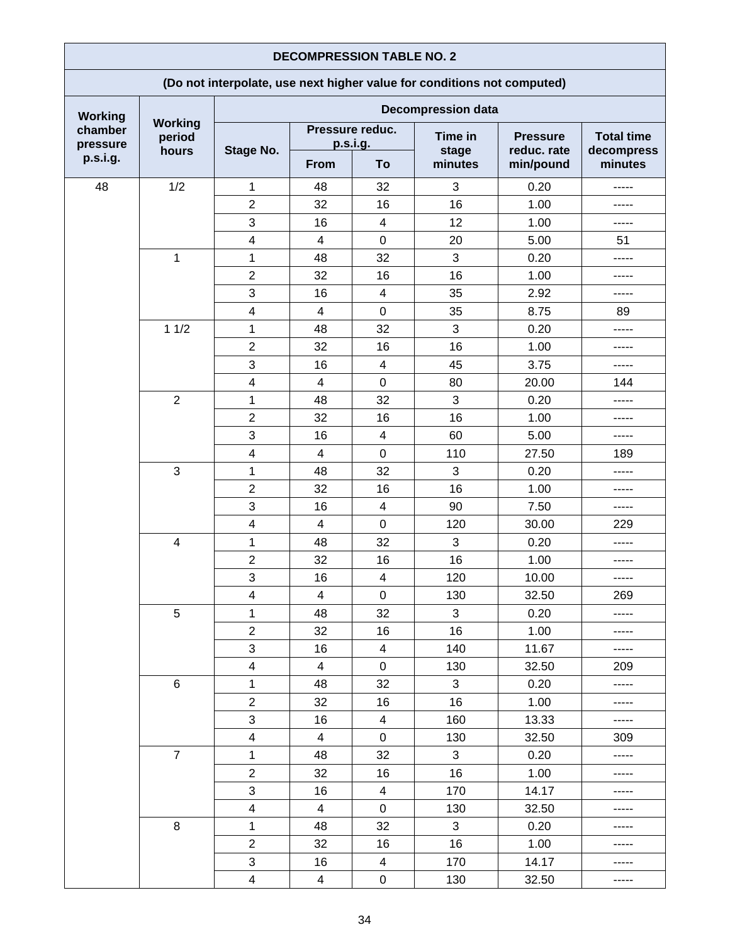#### **DECOMPRESSION TABLE NO. 2 (Do not interpolate, use next higher value for conditions not computed) Working chamber pressure p.s.i.g. Working period hours Decompression data Stage No. Pressure reduc. p.s.i.g. Time in stage minutes Pressure reduc. rate min/pound From To minutes Total time decompress**  48 | 1/2 | 1 | 48 | 32 | 3 | 0.20 | -----2 | 32 | 16 | 16 | 1.00 | -----3 | 16 | 4 | 12 | 1.00 | -----4 | 4 | 0 | 20 | 5.00 | 51 1 | 1 | 48 | 32 | 3 | 0.20 | -----2 | 32 | 16 | 16 | 1.00 | -----3 | 16 | 4 | 35 | 2.92 | -----4 | 4 | 0 | 35 | 8.75 | 89 1 1/2 | 1 | 48 | 32 | 3 | 0.20 | -----2 | 32 | 16 | 16 | 1.00 | -----3 | 16 | 4 | 45 | 3.75 | -----4 | 4 | 0 | 80 | 20.00 | 144 2 | 1 | 48 | 32 | 3 | 0.20 | -----2 | 32 | 16 | 16 | 1.00 | -----3 | 16 | 4 | 60 | 5.00 | -----4 | 4 | 0 | 110 | 27.50 | 189 3 | 1 | 48 | 32 | 3 | 0.20 | -----2 | 32 | 16 | 16 | 1.00 | -----3 | 16 | 4 | 90 | 7.50 | -----4 | 4 | 0 | 120 | 30.00 | 229 4 | 1 | 48 | 32 | 3 | 0.20 | -----2 | 32 | 16 | 16 | 1.00 | -----3 | 16 | 4 | 120 | 10.00 | -----4 | 4 | 0 | 130 | 32.50 | 269 5 | 1 | 48 | 32 | 3 | 0.20 | -----2 | 32 | 16 | 16 | 1.00 | -----3 | 16 | 4 | 140 | 11.67 | -----4 | 4 | 0 | 130 | 32.50 | 209 6 | 1 | 48 | 32 | 3 | 0.20 | -----2 | 32 | 16 | 16 | 1.00 | -----3 | 16 | 4 | 160 | 13.33 | -----4 | 4 | 0 | 130 | 32.50 | 309 7 | 1 | 48 | 32 | 3 | 0.20 | -----2 | 32 | 16 | 16 | 1.00 | -----3 | 16 | 4 | 170 | 14.17 | -----4 | 4 | 0 | 130 | 32.50 | -----8 | 1 | 48 | 32 | 3 | 0.20 | -----2 | 32 | 16 | 16 | 1.00 | -----3 | 16 | 4 | 170 | 14.17 | -----

4 | 4 | 0 | 130 | 32.50 | -----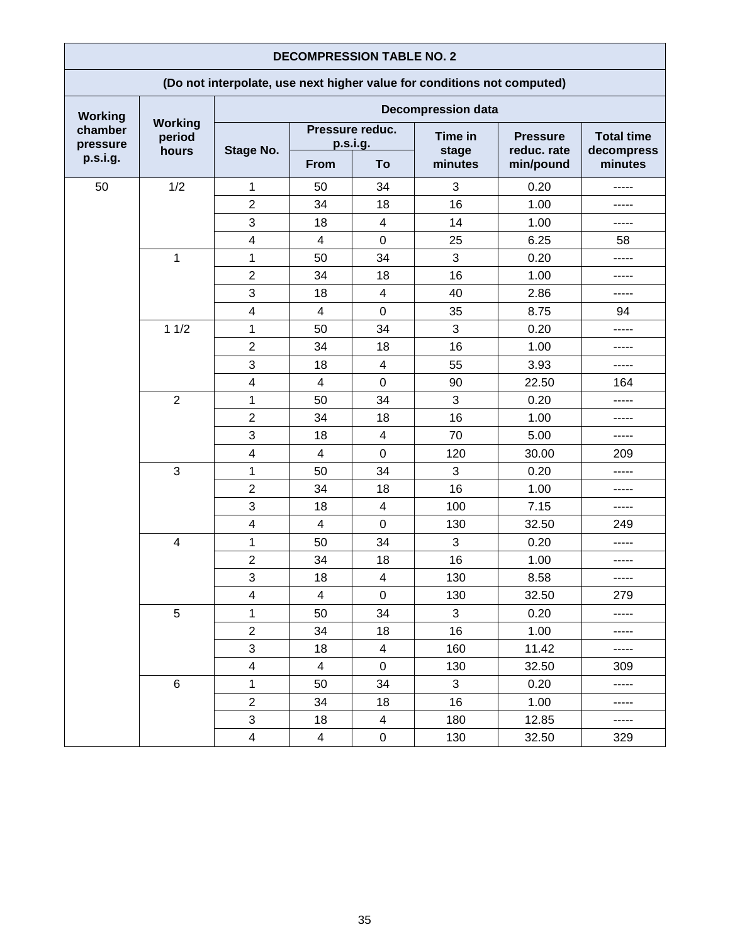| <b>DECOMPRESSION TABLE NO. 2</b>                                        |                                   |                           |                         |                                   |                                    |                                             |                                            |  |  |  |
|-------------------------------------------------------------------------|-----------------------------------|---------------------------|-------------------------|-----------------------------------|------------------------------------|---------------------------------------------|--------------------------------------------|--|--|--|
| (Do not interpolate, use next higher value for conditions not computed) |                                   |                           |                         |                                   |                                    |                                             |                                            |  |  |  |
| <b>Working</b>                                                          | <b>Working</b><br>period<br>hours | <b>Decompression data</b> |                         |                                   |                                    |                                             |                                            |  |  |  |
| chamber<br>pressure<br>p.s.i.g.                                         |                                   | Stage No.                 | <b>From</b>             | Pressure reduc.<br>p.s.i.g.<br>To | <b>Time in</b><br>stage<br>minutes | <b>Pressure</b><br>reduc. rate<br>min/pound | <b>Total time</b><br>decompress<br>minutes |  |  |  |
|                                                                         |                                   |                           |                         |                                   |                                    |                                             |                                            |  |  |  |
| 50                                                                      | 1/2                               | $\mathbf{1}$              | 50                      | 34                                | 3                                  | 0.20                                        | -----                                      |  |  |  |
|                                                                         |                                   | $\overline{2}$            | 34                      | 18                                | 16                                 | 1.00                                        | -----                                      |  |  |  |
|                                                                         |                                   | 3                         | 18                      | $\overline{4}$                    | 14                                 | 1.00                                        | -----                                      |  |  |  |
|                                                                         |                                   | $\overline{\mathbf{4}}$   | 4                       | $\overline{0}$                    | 25                                 | 6.25                                        | 58                                         |  |  |  |
|                                                                         | 1                                 | 1                         | 50                      | 34                                | 3                                  | 0.20                                        | -----                                      |  |  |  |
|                                                                         |                                   | $\overline{2}$            | 34                      | 18                                | 16                                 | 1.00                                        | -----                                      |  |  |  |
|                                                                         |                                   | 3                         | 18                      | $\overline{4}$                    | 40                                 | 2.86                                        | -----                                      |  |  |  |
|                                                                         |                                   | $\overline{\mathbf{4}}$   | $\overline{\mathbf{4}}$ | $\mathbf 0$                       | 35                                 | 8.75                                        | 94                                         |  |  |  |
|                                                                         | 11/2                              | $\mathbf 1$               | 50                      | 34                                | 3                                  | 0.20                                        | -----                                      |  |  |  |
|                                                                         |                                   | $\overline{2}$            | 34                      | 18                                | 16                                 | 1.00                                        | -----                                      |  |  |  |
|                                                                         |                                   | 3                         | 18                      | $\overline{\mathbf{4}}$           | 55                                 | 3.93                                        | -----                                      |  |  |  |
|                                                                         |                                   | $\overline{\mathbf{4}}$   | $\overline{\mathbf{4}}$ | $\mathbf 0$                       | 90                                 | 22.50                                       | 164                                        |  |  |  |
|                                                                         | $\overline{2}$                    | 1                         | 50                      | 34                                | 3                                  | 0.20                                        | -----                                      |  |  |  |
|                                                                         |                                   | $\overline{2}$            | 34                      | 18                                | 16                                 | 1.00                                        | -----                                      |  |  |  |
|                                                                         |                                   | 3                         | 18                      | $\overline{4}$                    | 70                                 | 5.00                                        | -----                                      |  |  |  |
|                                                                         |                                   | $\overline{\mathbf{4}}$   | $\overline{\mathbf{4}}$ | $\mathbf 0$                       | 120                                | 30.00                                       | 209                                        |  |  |  |
|                                                                         | 3                                 | 1                         | 50                      | 34                                | 3                                  | 0.20                                        | -----                                      |  |  |  |
|                                                                         |                                   | $\overline{2}$            | 34                      | 18                                | 16                                 | 1.00                                        | -----                                      |  |  |  |
|                                                                         |                                   | 3                         | 18                      | 4                                 | 100                                | 7.15                                        | -----                                      |  |  |  |
|                                                                         |                                   | $\overline{\mathbf{4}}$   | 4                       | $\mathbf 0$                       | 130                                | 32.50                                       | 249                                        |  |  |  |
|                                                                         | 4                                 | 1                         | 50                      | 34                                | 3                                  | 0.20                                        | -----                                      |  |  |  |
|                                                                         |                                   | $\overline{2}$            | 34                      | 18                                | 16                                 | 1.00                                        | -----                                      |  |  |  |
|                                                                         |                                   | 3                         | 18                      | 4                                 | 130                                | 8.58                                        | -----                                      |  |  |  |
|                                                                         |                                   | $\overline{\mathbf{4}}$   | 4                       | $\mathbf 0$                       | 130                                | 32.50                                       | 279                                        |  |  |  |
|                                                                         | 5                                 | 1                         | 50                      | 34                                | 3                                  | 0.20                                        | -----                                      |  |  |  |
|                                                                         |                                   | $\overline{2}$            | 34                      | 18                                | 16                                 | 1.00                                        | -----                                      |  |  |  |
|                                                                         |                                   | 3                         | 18                      | 4                                 | 160                                | 11.42                                       | -----                                      |  |  |  |
|                                                                         |                                   | $\overline{\mathcal{A}}$  | $\overline{4}$          | $\mathbf 0$                       | 130                                | 32.50                                       | 309                                        |  |  |  |
|                                                                         | 6                                 | 1                         | 50                      | 34                                | 3                                  | 0.20                                        | -----                                      |  |  |  |
|                                                                         |                                   | $\overline{2}$            | 34                      | 18                                | 16                                 | 1.00                                        | -----                                      |  |  |  |
|                                                                         |                                   | $\mathbf{3}$              | 18                      | $\overline{4}$                    | 180                                | 12.85                                       | -----                                      |  |  |  |
|                                                                         |                                   | $\overline{\mathbf{4}}$   | $\overline{\mathbf{4}}$ | $\boldsymbol{0}$                  | 130                                | 32.50                                       | 329                                        |  |  |  |